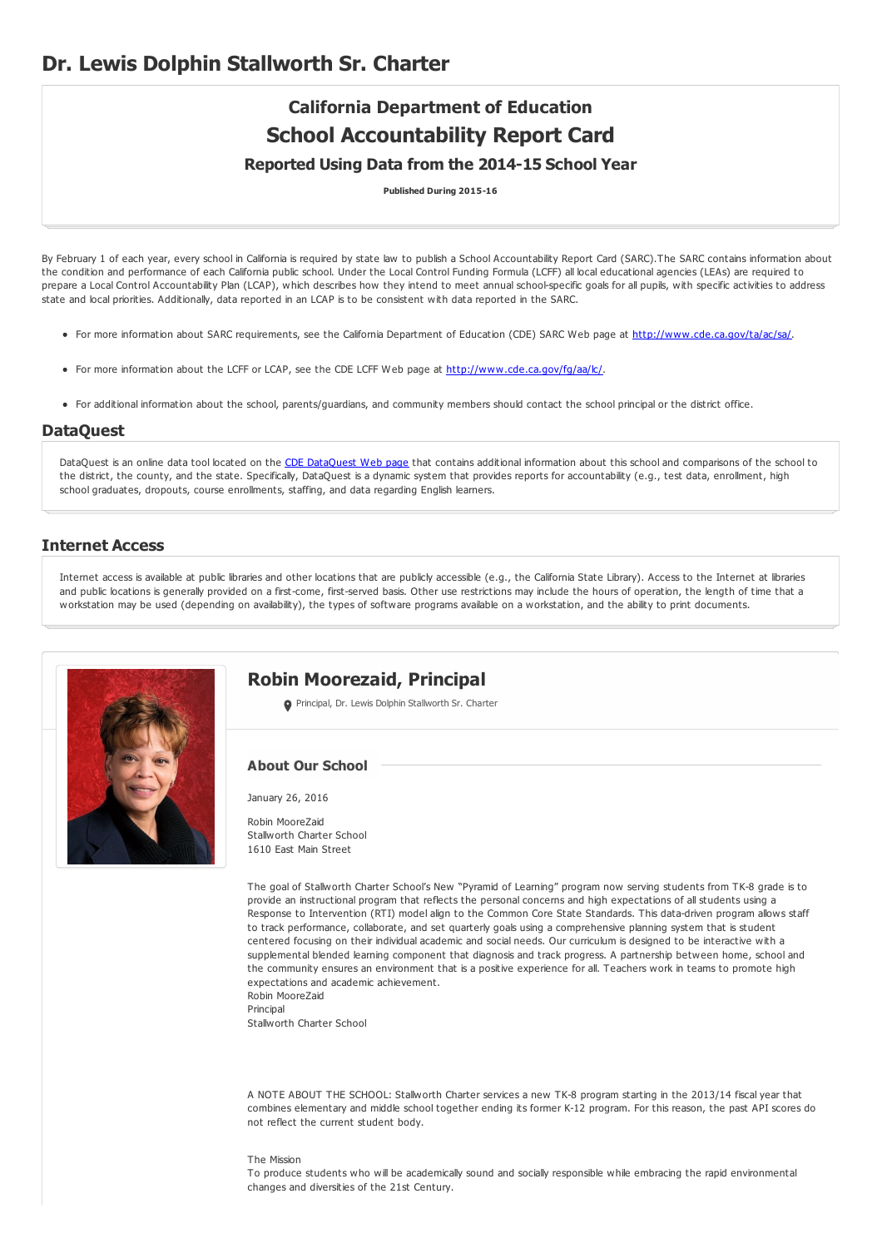# **California Department of Education School Accountability Report Card**

## **Reported Using Data from the 2014-15 School Year**

**Published During 2015-16**

By February 1 of each year, every school in California is required by state law to publish a School Accountability Report Card (SARC). The SARC contains information about the condition and performance of each California public school. Under the Local Control Funding Formula (LCFF) all local educational agencies (LEAs) are required to prepare a Local Control Accountability Plan (LCAP), which describes how they intend to meet annual school-specific goals for all pupils, with specific activities to address state and local priorities. Additionally, data reported in an LCAP is to be consistent with data reported in the SARC.

- For more information about SARC requirements, see the California Department of Education (CDE) SARC Web page at <http://www.cde.ca.gov/ta/ac/sa/>.
- For more information about the LCFF or LCAP, see the CDE LCFF Web page at <http://www.cde.ca.gov/fg/aa/lc/>.
- For additional information about the school, parents/guardians, and community members should contact the school principal or the district office.

#### **DataQuest**

[DataQuest](http://dq.cde.ca.gov/dataquest/) is an online data tool located on the CDE DataQuest Web page that contains additional information about this school and comparisons of the school to the district, the county, and the state. Specifically, DataQuest is a dynamic system that provides reports for accountability (e.g., test data, enrollment, high school graduates, dropouts, course enrollments, staffing, and data regarding English learners.

#### **Internet Access**

Internet access is available at public libraries and other locations that are publicly accessible (e.g., the California State Library). Access to the Internet at libraries and public locations is generally provided on a first-come, first-served basis. Other use restrictions may include the hours of operation, the length of time that a workstation may be used (depending on availability), the types of software programs available on a workstation, and the ability to print documents.



# **Robin Moorezaid, Principal**

Principal, Dr. Lewis Dolphin Stallworth Sr. Charter

#### **About Our School**

January 26, 2016

Robin MooreZaid Stallworth Charter School 1610 East Main Street

The goal of Stallworth Charter School's New "Pyramid of Learning" program now serving students from TK-8 grade is to provide an instructional program that reflects the personal concerns and high expectations of all students using a Response to Intervention (RTI) model align to the Common Core State Standards. This data-driven program allows staff to track performance, collaborate, and set quarterly goals using a comprehensive planning system that is student centered focusing on their individual academic and social needs. Our curriculum is designed to be interactive with a supplemental blended learning component that diagnosis and track progress. A partnership between home, school and the community ensures an environment that is a positive experience for all. Teachers work in teams to promote high expectations and academic achievement. Robin MooreZaid

Principal Stallworth Charter School

A NOTE ABOUT THE SCHOOL: Stallworth Charter services a new TK-8 program starting in the 2013/14 fiscal year that combines elementary and middle school together ending its former K-12 program. For this reason, the past API scores do not reflect the current student body.

#### The Mission

To produce students who will be academically sound and socially responsible while embracing the rapid environmental changes and diversities of the 21st Century.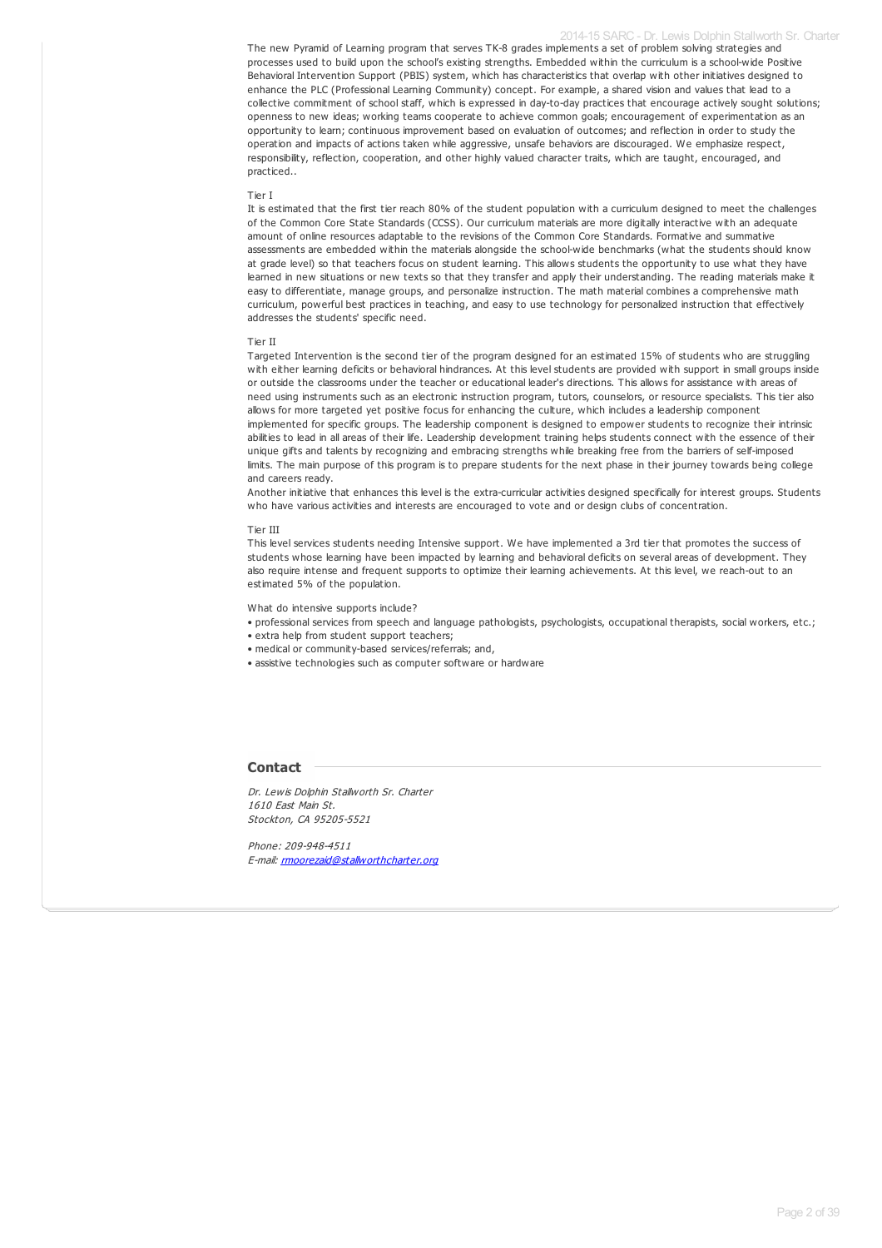#### 2014-15 SARC - Dr. Lewis Dolphin Stallworth Sr. Charter

The new Pyramid of Learning program that serves TK-8 grades implements a set of problem solving strategies and processes used to build upon the school's existing strengths. Embedded within the curriculum is a school-wide Positive Behavioral Intervention Support (PBIS) system, which has characteristics that overlap with other initiatives designed to enhance the PLC (Professional Learning Community) concept. For example, a shared vision and values that lead to a collective commitment of school staff, which is expressed in day-to-day practices that encourage actively sought solutions; openness to new ideas; working teams cooperate to achieve common goals; encouragement of experimentation as an opportunity to learn; continuous improvement based on evaluation of outcomes; and reflection in order to study the operation and impacts of actions taken while aggressive, unsafe behaviors are discouraged. We emphasize respect, responsibility, reflection, cooperation, and other highly valued character traits, which are taught, encouraged, and practiced..

#### Tier I

It is estimated that the first tier reach 80% of the student population with a curriculum designed to meet the challenges of the Common Core State Standards (CCSS). Our curriculum materials are more digitally interactive with an adequate amount of online resources adaptable to the revisions of the Common Core Standards. Formative and summative assessments are embedded within the materials alongside the school-wide benchmarks (what the students should know at grade level) so that teachers focus on student learning. This allows students the opportunity to use what they have learned in new situations or new texts so that they transfer and apply their understanding. The reading materials make it easy to differentiate, manage groups, and personalize instruction. The math material combines a comprehensive math curriculum, powerful best practices in teaching, and easy to use technology for personalized instruction that effectively addresses the students' specific need.

#### Tier II

Targeted Intervention is the second tier of the program designed for an estimated 15% of students who are struggling with either learning deficits or behavioral hindrances. At this level students are provided with support in small groups inside or outside the classrooms under the teacher or educational leader's directions. This allows for assistance with areas of need using instruments such as an electronic instruction program, tutors, counselors, or resource specialists. This tier also allows for more targeted yet positive focus for enhancing the culture, which includes a leadership component implemented for specific groups. The leadership component is designed to empower students to recognize their intrinsic abilities to lead in all areas of their life. Leadership development training helps students connect with the essence of their unique gifts and talents by recognizing and embracing strengths while breaking free from the barriers of self-imposed limits. The main purpose of this program is to prepare students for the next phase in their journey towards being college and careers ready.

Another initiative that enhances this level is the extra-curricular activities designed specifically for interest groups. Students who have various activities and interests are encouraged to vote and or design clubs of concentration.

#### Tier III

This level services students needing Intensive support. We have implemented a 3rd tier that promotes the success of students whose learning have been impacted by learning and behavioral deficits on several areas of development. They also require intense and frequent supports to optimize their learning achievements. At this level, we reach-out to an estimated 5% of the population.

What do intensive supports include?

• professional services from speech and language pathologists, psychologists, occupational therapists, social workers, etc.;

• extra help from student support teachers;

- medical or community-based services/referrals; and,
- assistive technologies such as computer software or hardware

#### **Contact**

Dr. Lewis Dolphin Stallworth Sr. Charter 1610 East Main St. Stockton, CA 95205-5521

Phone: 209-948-4511 E-mail: [rmoorezaid@stallworthcharter.org](mailto:rmoorezaid@stallworthcharter.org)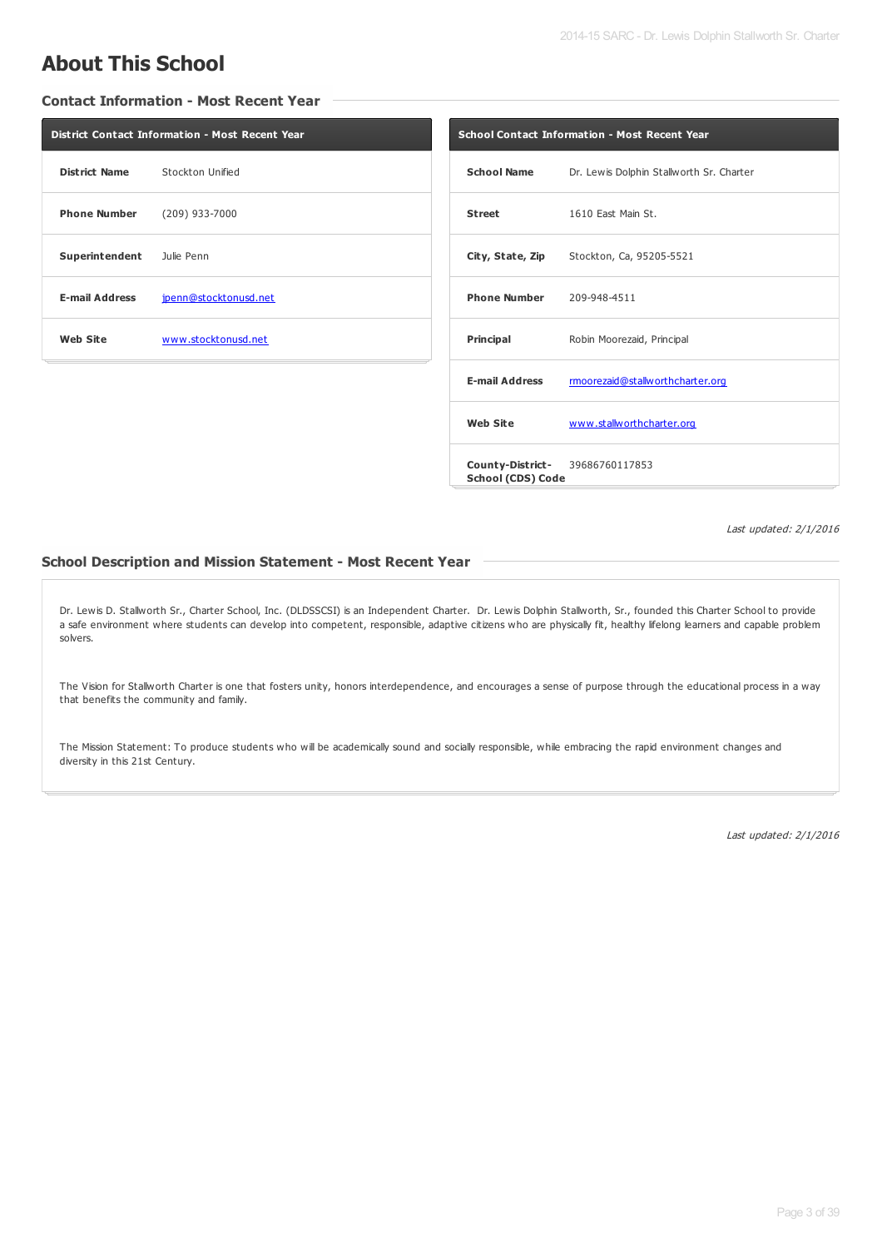# **About This School**

#### **Contact Information - Most Recent Year**

|                                       | <b>District Contact Information - Most Recent Year</b> | Scho |
|---------------------------------------|--------------------------------------------------------|------|
| <b>District Name</b> Stockton Unified |                                                        | Sc   |
| <b>Phone Number</b> (209) 933-7000    |                                                        | St   |
| Superintendent Julie Penn             |                                                        | Cit  |
| <b>E-mail Address</b>                 | jpenn@stocktonusd.net                                  | Ph   |
| Web Site                              | www.stocktonusd.net                                    | Pri  |
|                                       |                                                        |      |

|                                  | <b>School Contact Information - Most Recent Year</b> |
|----------------------------------|------------------------------------------------------|
| <b>School Name</b>               | Dr. Lewis Dolphin Stallworth Sr. Charter             |
| <b>Street</b>                    | 1610 East Main St.                                   |
|                                  | City, State, Zip Stockton, Ca, 95205-5521            |
| <b>Phone Number</b> 209-948-4511 |                                                      |
| Principal                        | Robin Moorezaid, Principal                           |
| <b>E-mail Address</b>            | rmoorezaid@stallworthcharter.org                     |
| <b>Web Site</b>                  | www.stallworthcharter.org                            |
| School (CDS) Code                | <b>County-District-</b> 39686760117853               |

Last updated: 2/1/2016

#### **School Description and Mission Statement - Most Recent Year**

Dr. Lewis D. Stallworth Sr., Charter School, Inc. (DLDSSCSI) is an Independent Charter. Dr. Lewis Dolphin Stallworth, Sr., founded this Charter School to provide a safe environment where students can develop into competent, responsible, adaptive citizens who are physically fit, healthy lifelong learners and capable problem solvers.

The Vision for Stallworth Charter is one that fosters unity, honors interdependence, and encourages a sense of purpose through the educational process in a way that benefits the community and family.

The Mission Statement: To produce students who will be academically sound and socially responsible, while embracing the rapid environment changes and diversity in this 21st Century.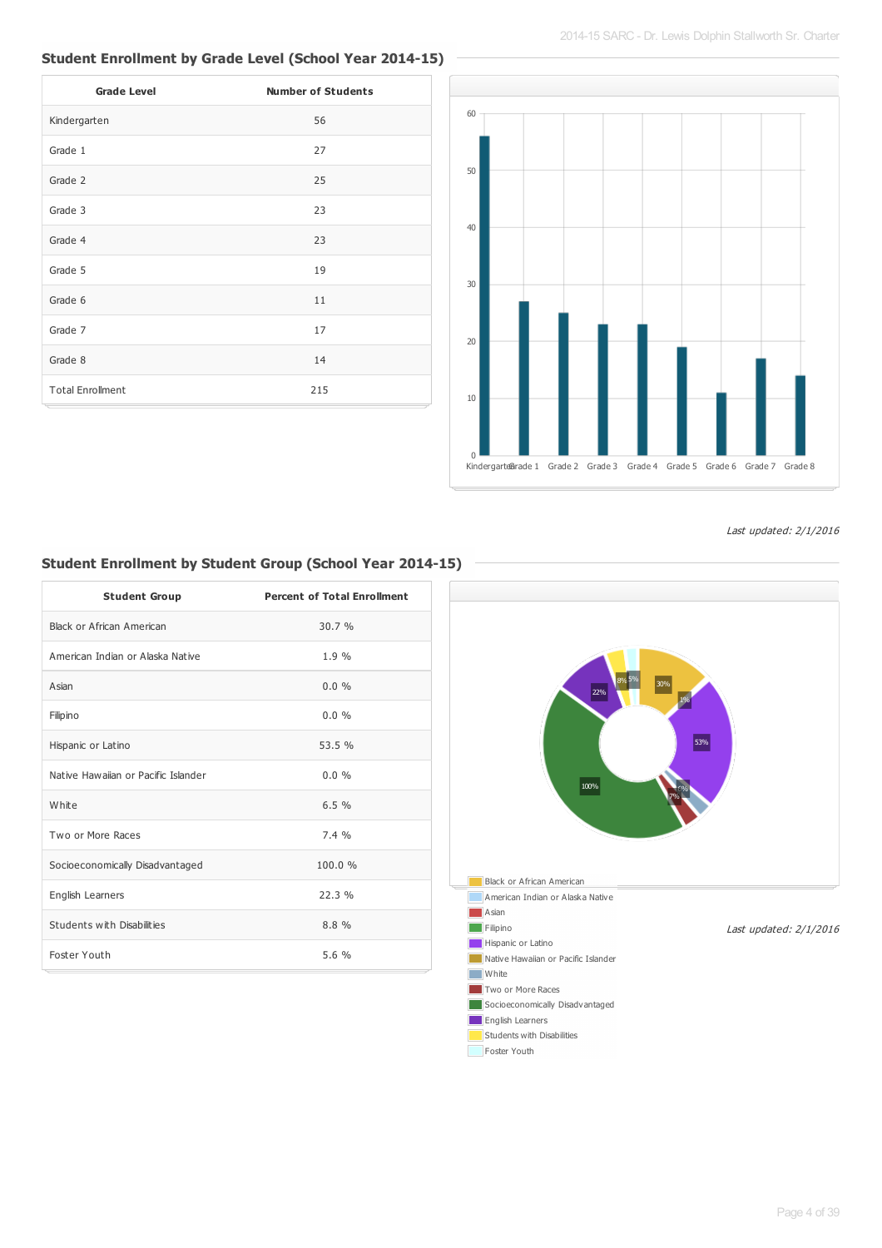## **Student Enrollment by Grade Level (School Year 2014-15)**

| <b>Grade Level</b>      | <b>Number of Students</b> |
|-------------------------|---------------------------|
| Kindergarten            | 56                        |
| Grade 1                 | 27                        |
| Grade 2                 | 25                        |
| Grade 3                 | 23                        |
| Grade 4                 | 23                        |
| Grade 5                 | 19                        |
| Grade 6                 | 11                        |
| Grade 7                 | 17                        |
| Grade 8                 | 14                        |
| <b>Total Enrollment</b> | 215                       |



Last updated: 2/1/2016

# **Student Enrollment by Student Group (School Year 2014-15)**

| <b>Student Group</b>                | <b>Percent of Total Enrollment</b> |
|-------------------------------------|------------------------------------|
| Black or African American           | 30.7%                              |
| American Indian or Alaska Native    | 1.9%                               |
| Asian                               | $0.0\%$                            |
| Filipino                            | 0.0%                               |
| Hispanic or Latino                  | 53.5 %                             |
| Native Hawaiian or Pacific Islander | $0.0\%$                            |
| White                               | 6.5%                               |
| Two or More Races                   | 7.4%                               |
| Socioeconomically Disadvantaged     | 100.0%                             |
| English Learners                    | 22.3%                              |
| Students with Disabilities          | 8.8 %                              |
| Foster Youth                        | 5.6 %                              |

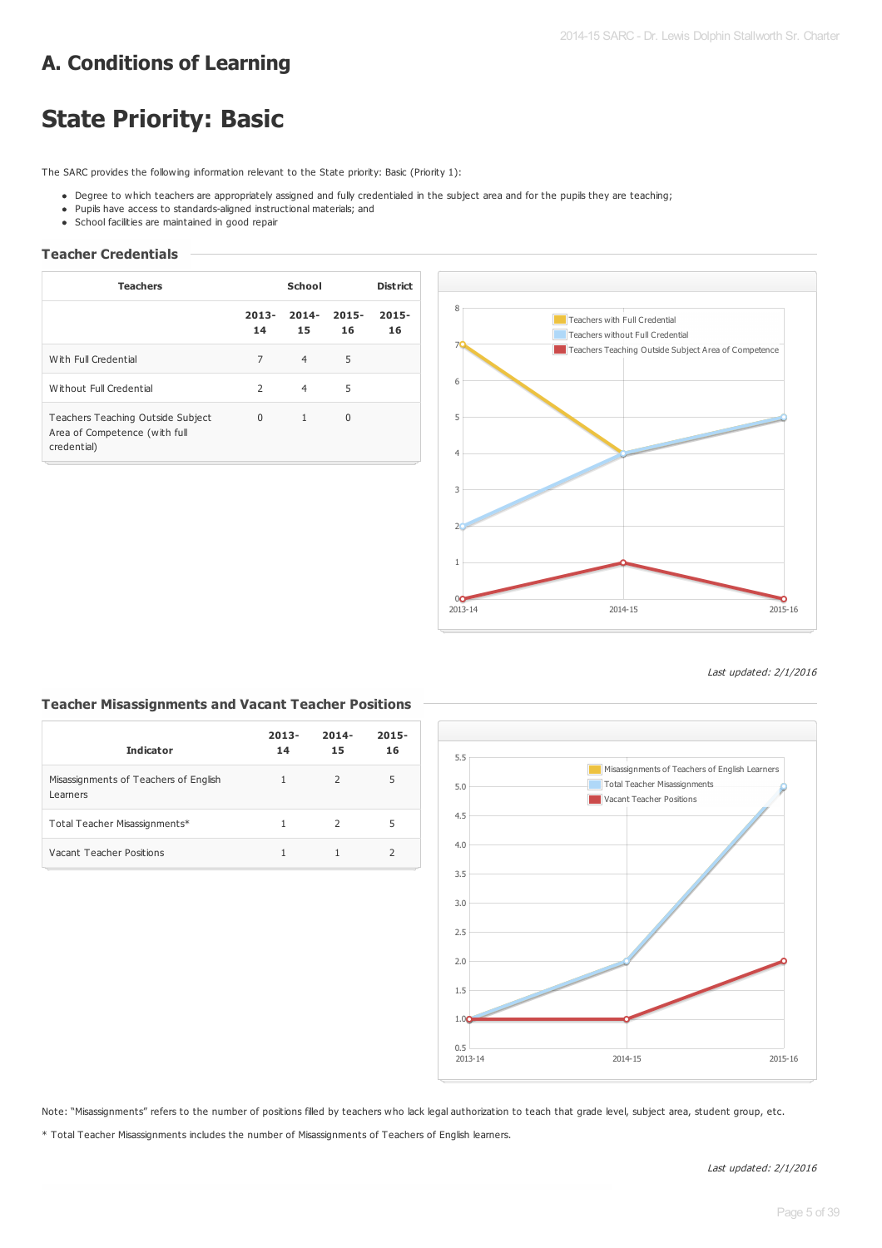# **A. Conditions of Learning**

# **State Priority: Basic**

The SARC provides the following information relevant to the State priority: Basic (Priority 1):

- Degree to which teachers are appropriately assigned and fully credentialed in the subject area and for the pupils they are teaching;
- Pupils have access to standards-aligned instructional materials; and
- School facilities are maintained in good repair

### **Teacher Credentials**

| <b>Teachers</b>                                                                   |                | School         |                | <b>District</b> |
|-----------------------------------------------------------------------------------|----------------|----------------|----------------|-----------------|
|                                                                                   | $2013 -$<br>14 | $2014 -$<br>15 | $2015 -$<br>16 | $2015 -$<br>16  |
| With Full Credential                                                              | 7              | $\overline{4}$ | 5              |                 |
| Without Full Credential                                                           | 2              | 4              | 5              |                 |
| Teachers Teaching Outside Subject<br>Area of Competence (with full<br>credential) | $\Omega$       | $\mathbf{1}$   | 0              |                 |



Last updated: 2/1/2016

#### **Teacher Misassignments and Vacant Teacher Positions**

| <b>Indicator</b>                                  | $2013 -$<br>14 | $2014 -$<br>15 | $2015 -$<br>16 |
|---------------------------------------------------|----------------|----------------|----------------|
| Misassignments of Teachers of English<br>Learners | 1              | $\mathcal{L}$  | 5              |
| Total Teacher Misassignments*                     | 1              | $\mathcal{L}$  | 5              |
| Vacant Teacher Positions                          |                |                |                |



Note: "Misassignments" refers to the number of positions filled by teachers who lack legal authorization to teach that grade level, subject area, student group, etc.

\* Total Teacher Misassignments includes the number of Misassignments of Teachers of English learners.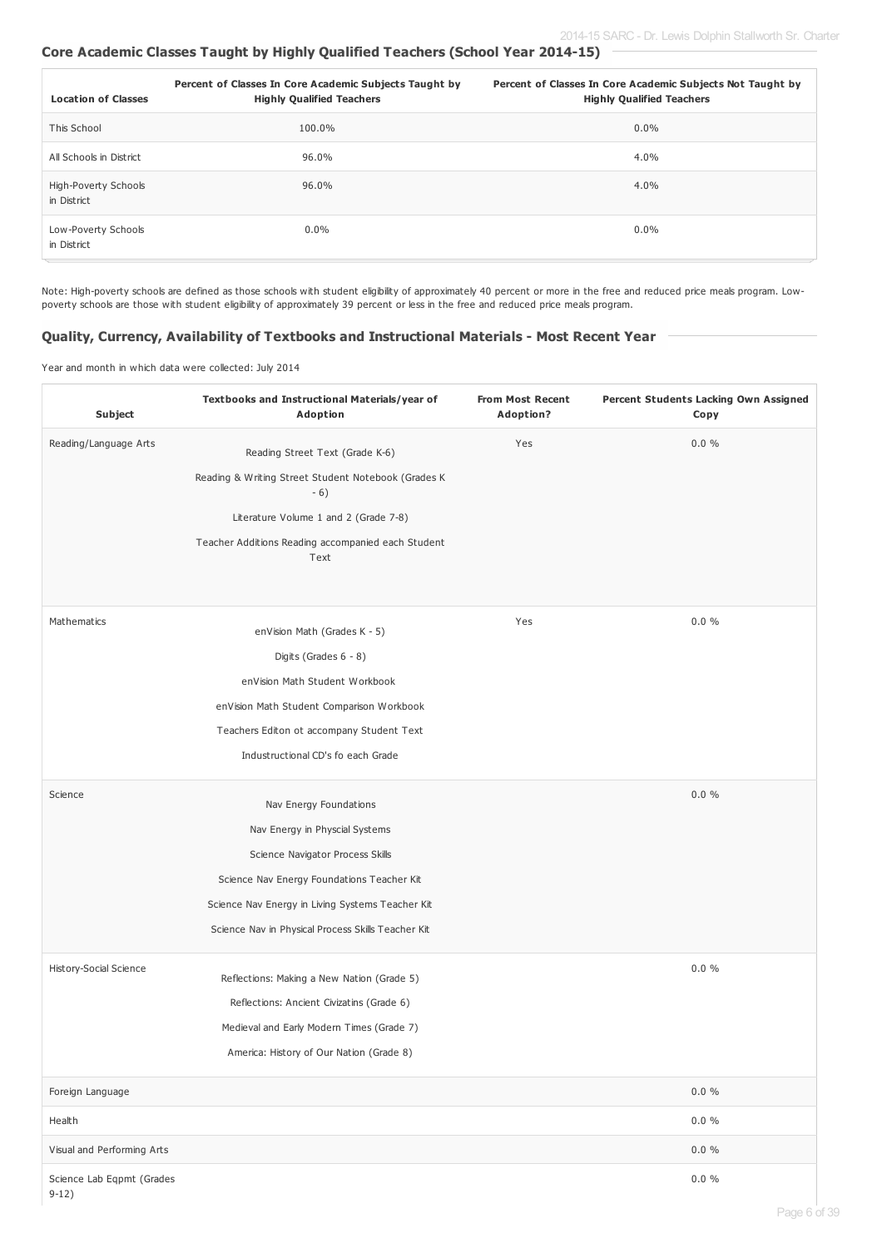#### **Core Academic Classes Taught by Highly Qualified Teachers (School Year 2014-15)**

| <b>Location of Classes</b>          | Percent of Classes In Core Academic Subjects Taught by<br><b>Highly Qualified Teachers</b> | Percent of Classes In Core Academic Subjects Not Taught by<br><b>Highly Qualified Teachers</b> |
|-------------------------------------|--------------------------------------------------------------------------------------------|------------------------------------------------------------------------------------------------|
| This School                         | 100.0%                                                                                     | $0.0\%$                                                                                        |
| All Schools in District             | 96.0%                                                                                      | 4.0%                                                                                           |
| High-Poverty Schools<br>in District | 96.0%                                                                                      | 4.0%                                                                                           |
| Low-Poverty Schools<br>in District  | $0.0\%$                                                                                    | $0.0\%$                                                                                        |

Note: High-poverty schools are defined as those schools with student eligibility of approximately 40 percent or more in the free and reduced price meals program. Lowpoverty schools are those with student eligibility of approximately 39 percent or less in the free and reduced price meals program.

#### **Quality, Currency, Availability of Textbooks and Instructional Materials - Most Recent Year**

Year and month in which data were collected: July 2014

| Subject                              | Textbooks and Instructional Materials/year of<br><b>Adoption</b> | <b>From Most Recent</b><br>Adoption? | Percent Students Lacking Own Assigned<br>Copy |
|--------------------------------------|------------------------------------------------------------------|--------------------------------------|-----------------------------------------------|
| Reading/Language Arts                | Reading Street Text (Grade K-6)                                  | Yes                                  | 0.0 %                                         |
|                                      | Reading & Writing Street Student Notebook (Grades K              |                                      |                                               |
|                                      | $-6)$                                                            |                                      |                                               |
|                                      | Literature Volume 1 and 2 (Grade 7-8)                            |                                      |                                               |
|                                      | Teacher Additions Reading accompanied each Student<br>Text       |                                      |                                               |
| Mathematics                          |                                                                  | Yes                                  | $0.0 \%$                                      |
|                                      | enVision Math (Grades K - 5)                                     |                                      |                                               |
|                                      | Digits (Grades 6 - 8)                                            |                                      |                                               |
|                                      | enVision Math Student Workbook                                   |                                      |                                               |
|                                      | enVision Math Student Comparison Workbook                        |                                      |                                               |
|                                      | Teachers Editon ot accompany Student Text                        |                                      |                                               |
|                                      | Industructional CD's fo each Grade                               |                                      |                                               |
| Science                              | Nav Energy Foundations                                           |                                      | $0.0 \%$                                      |
|                                      | Nav Energy in Physcial Systems                                   |                                      |                                               |
|                                      | Science Navigator Process Skills                                 |                                      |                                               |
|                                      | Science Nav Energy Foundations Teacher Kit                       |                                      |                                               |
|                                      | Science Nav Energy in Living Systems Teacher Kit                 |                                      |                                               |
|                                      | Science Nav in Physical Process Skills Teacher Kit               |                                      |                                               |
| History-Social Science               | Reflections: Making a New Nation (Grade 5)                       |                                      | $0.0 \%$                                      |
|                                      | Reflections: Ancient Civizatins (Grade 6)                        |                                      |                                               |
|                                      | Medieval and Early Modern Times (Grade 7)                        |                                      |                                               |
|                                      | America: History of Our Nation (Grade 8)                         |                                      |                                               |
| Foreign Language                     |                                                                  |                                      | $0.0 \%$                                      |
| Health                               |                                                                  |                                      | $0.0 \%$                                      |
| Visual and Performing Arts           |                                                                  |                                      | $0.0 \%$                                      |
| Science Lab Eqpmt (Grades<br>$9-12)$ |                                                                  |                                      | $0.0 \%$                                      |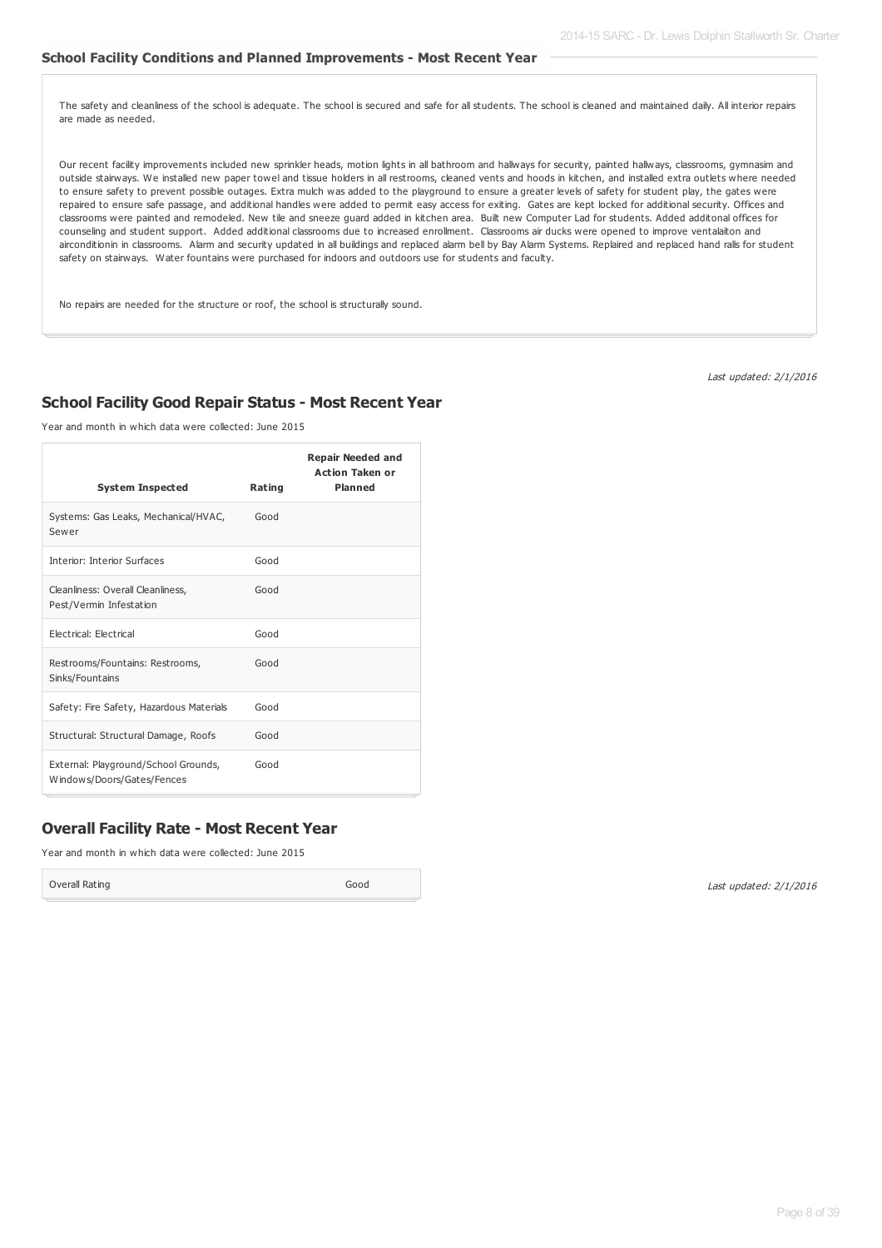#### **School Facility Conditions and Planned Improvements - Most Recent Year**

The safety and cleanliness of the school is adequate. The school is secured and safe for all students. The school is cleaned and maintained daily. All interior repairs are made as needed.

Our recent facility improvements included new sprinkler heads, motion lights in all bathroom and hallways for security, painted hallways, classrooms, gymnasim and outside stairways. We installed new paper towel and tissue holders in all restrooms, cleaned vents and hoods in kitchen, and installed extra outlets where needed to ensure safety to prevent possible outages. Extra mulch was added to the playground to ensure a greater levels of safety for student play, the gates were repaired to ensure safe passage, and additional handles were added to permit easy access for exiting. Gates are kept locked for additional security. Offices and classrooms were painted and remodeled. New tile and sneeze guard added in kitchen area. Built new Computer Lad for students. Added additonal offices for counseling and student support. Added additional classrooms due to increased enrollment. Classrooms air ducks were opened to improve ventalaiton and airconditionin in classrooms. Alarm and security updated in all buildings and replaced alarm bell by Bay Alarm Systems. Replaired and replaced hand ralls for student safety on stairways. Water fountains were purchased for indoors and outdoors use for students and faculty.

No repairs are needed for the structure or roof, the school is structurally sound.

Last updated: 2/1/2016

#### **School Facility Good Repair Status - Most Recent Year**

Year and month in which data were collected: June 2015

| <b>System Inspected</b>                                            | Rating | <b>Repair Needed and</b><br><b>Action Taken or</b><br><b>Planned</b> |
|--------------------------------------------------------------------|--------|----------------------------------------------------------------------|
| Systems: Gas Leaks, Mechanical/HVAC,<br>Sewer                      | Good   |                                                                      |
| Interior: Interior Surfaces                                        | Good   |                                                                      |
| Cleanliness: Overall Cleanliness,<br>Pest/Vermin Infestation       | Good   |                                                                      |
| <b>Electrical: Electrical</b>                                      | Good   |                                                                      |
| Restrooms/Fountains: Restrooms,<br>Sinks/Fountains                 | Good   |                                                                      |
| Safety: Fire Safety, Hazardous Materials                           | Good   |                                                                      |
| Structural: Structural Damage, Roofs                               | Good   |                                                                      |
| External: Playground/School Grounds,<br>Windows/Doors/Gates/Fences | Good   |                                                                      |

#### **Overall Facility Rate - Most Recent Year**

Year and month in which data were collected: June 2015

Overall Rating Good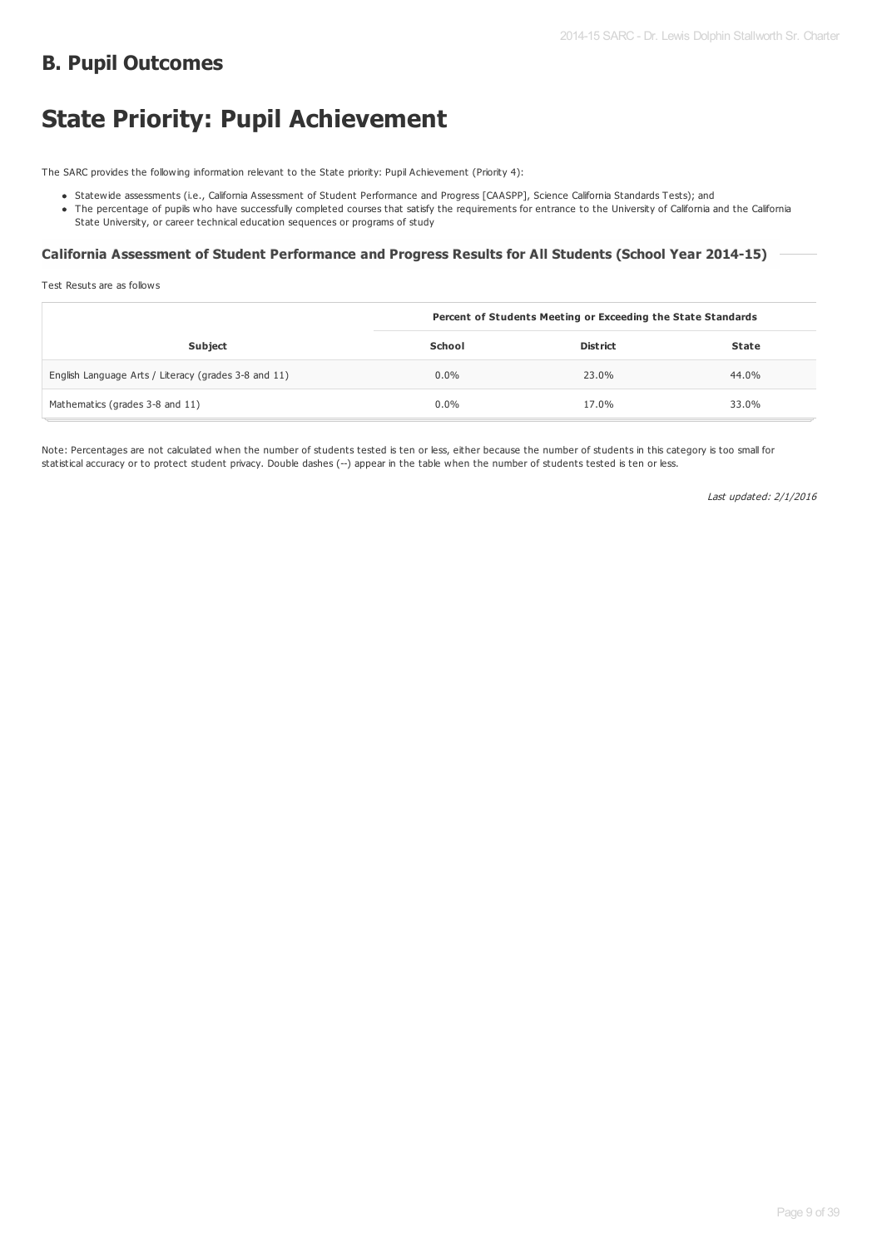# **B. Pupil Outcomes**

# **State Priority: Pupil Achievement**

The SARC provides the following information relevant to the State priority: Pupil Achievement (Priority 4):

- Statewide assessments (i.e., California Assessment of Student Performance and Progress [CAASPP], Science California Standards Tests); and
- The percentage of pupils who have successfully completed courses that satisfy the requirements for entrance to the University of California and the California State University, or career technical education sequences or programs of study

#### **California Assessment of Student Performance and Progress Results for All Students (School Year 2014-15)**

Test Resuts are as follows

|                                                      | Percent of Students Meeting or Exceeding the State Standards |                 |              |
|------------------------------------------------------|--------------------------------------------------------------|-----------------|--------------|
| Subject                                              | <b>School</b>                                                | <b>District</b> | <b>State</b> |
| English Language Arts / Literacy (grades 3-8 and 11) | $0.0\%$                                                      | 23.0%           | 44.0%        |
| Mathematics (grades 3-8 and 11)                      | 0.0%                                                         | 17.0%           | 33.0%        |

Note: Percentages are not calculated when the number of students tested is ten or less, either because the number of students in this category is too small for statistical accuracy or to protect student privacy. Double dashes (--) appear in the table when the number of students tested is ten or less.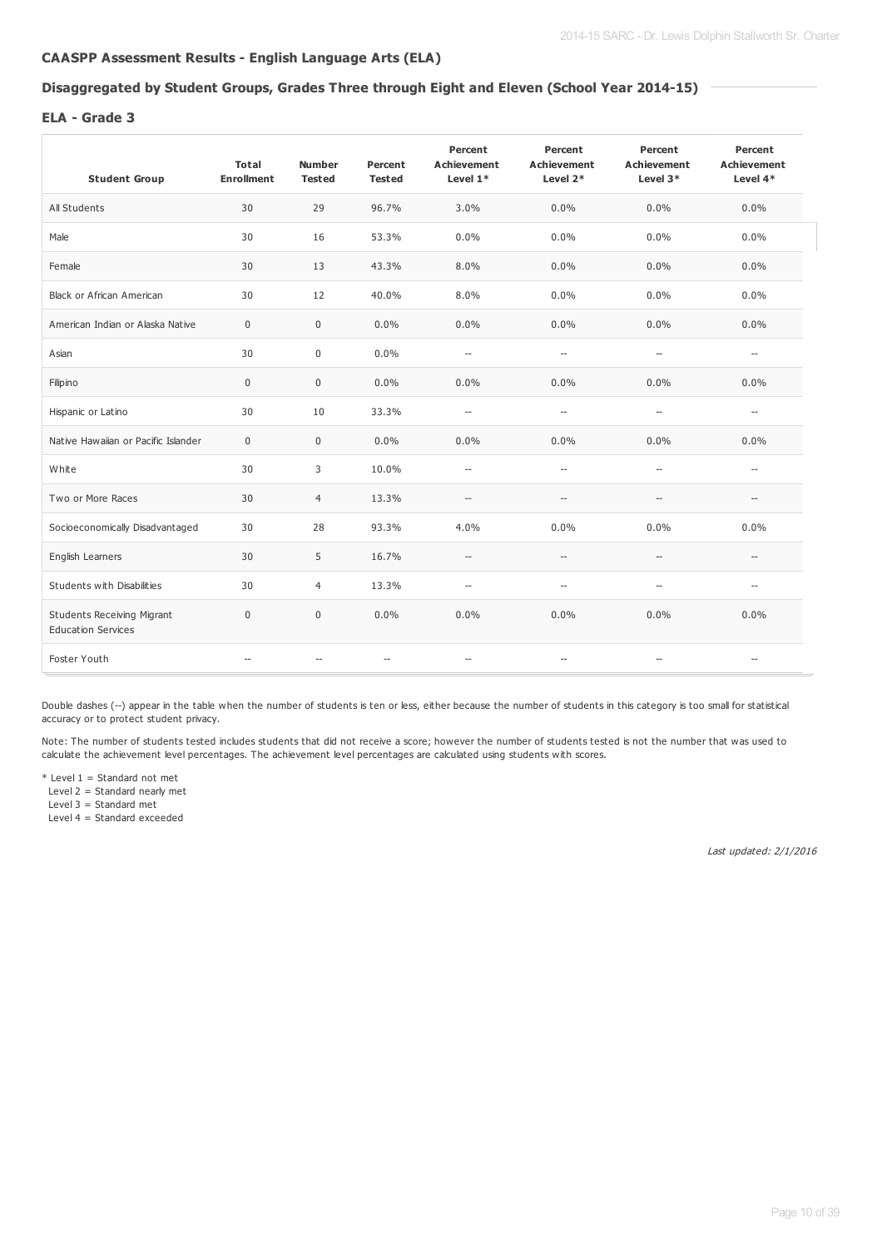## **CAASPP Assessment Results - English Language Arts (ELA)**

#### **Disaggregated by Student Groups, Grades Three through Eight and Eleven (School Year 2014-15)**

#### **ELA - Grade 3**

| <b>Student Group</b>                                           | <b>Total</b><br><b>Enrollment</b> | <b>Number</b><br><b>Tested</b> | Percent<br><b>Tested</b> | Percent<br><b>Achievement</b><br>Level 1* | Percent<br><b>Achievement</b><br>Level 2*           | Percent<br><b>Achievement</b><br>Level 3* | Percent<br><b>Achievement</b><br>Level 4* |
|----------------------------------------------------------------|-----------------------------------|--------------------------------|--------------------------|-------------------------------------------|-----------------------------------------------------|-------------------------------------------|-------------------------------------------|
| All Students                                                   | 30                                | 29                             | 96.7%                    | 3.0%                                      | 0.0%                                                | 0.0%                                      | 0.0%                                      |
| Male                                                           | 30                                | 16                             | 53.3%                    | 0.0%                                      | 0.0%                                                | 0.0%                                      | $0.0\%$                                   |
| Female                                                         | 30                                | 13                             | 43.3%                    | 8.0%                                      | 0.0%                                                | 0.0%                                      | $0.0\%$                                   |
| <b>Black or African American</b>                               | 30                                | 12                             | 40.0%                    | 8.0%                                      | 0.0%                                                | 0.0%                                      | 0.0%                                      |
| American Indian or Alaska Native                               | $\mathbf 0$                       | $\bf 0$                        | 0.0%                     | 0.0%                                      | 0.0%                                                | 0.0%                                      | $0.0\%$                                   |
| Asian                                                          | 30                                | $\mathbf 0$                    | 0.0%                     | $\hspace{0.05cm} -\hspace{0.05cm}$        | $\hspace{0.05cm} -\hspace{0.05cm} -\hspace{0.05cm}$ | $\hspace{0.05cm} -$                       | $\hspace{0.05cm} \ldots$                  |
| Filipino                                                       | $\mathbf 0$                       | $\bf 0$                        | 0.0%                     | 0.0%                                      | 0.0%                                                | 0.0%                                      | 0.0%                                      |
| Hispanic or Latino                                             | 30                                | 10                             | 33.3%                    | $\hspace{0.05cm} \ldots$                  | $\hspace{0.05cm} -\hspace{0.05cm} -\hspace{0.05cm}$ | $\overline{\phantom{a}}$                  | $\hspace{0.05cm} \ldots$                  |
| Native Hawaiian or Pacific Islander                            | $\mathbf 0$                       | $\mathbf{0}$                   | 0.0%                     | 0.0%                                      | 0.0%                                                | 0.0%                                      | 0.0%                                      |
| White                                                          | 30                                | 3                              | 10.0%                    | $\overline{\phantom{a}}$                  | $\overline{\phantom{a}}$                            | $\hspace{0.05cm} \ldots$                  | $\overline{\phantom{a}}$                  |
| Two or More Races                                              | 30                                | $\overline{4}$                 | 13.3%                    | $\hspace{0.05cm} \ldots$                  | $-\!$                                               | $\overline{\phantom{a}}$                  | $\hspace{0.05cm} -$                       |
| Socioeconomically Disadvantaged                                | 30                                | 28                             | 93.3%                    | 4.0%                                      | 0.0%                                                | 0.0%                                      | 0.0%                                      |
| English Learners                                               | 30                                | 5                              | 16.7%                    | $\hspace{0.05cm} \ldots$                  | $\hspace{0.05cm} -\hspace{0.05cm} -\hspace{0.05cm}$ | $\hspace{0.05cm} -$                       | $\overline{\phantom{a}}$                  |
| Students with Disabilities                                     | 30                                | $\overline{4}$                 | 13.3%                    | $\hspace{0.05cm} \ldots$                  | $\hspace{0.05cm} -\hspace{0.05cm} -\hspace{0.05cm}$ | $\overline{\phantom{a}}$                  | $\hspace{0.05cm} \ldots$                  |
| <b>Students Receiving Migrant</b><br><b>Education Services</b> | $\mathbf{0}$                      | $\mathbf{0}$                   | 0.0%                     | 0.0%                                      | 0.0%                                                | 0.0%                                      | 0.0%                                      |
| Foster Youth                                                   |                                   |                                | $\overline{\phantom{a}}$ | $\hspace{0.05cm} \ldots$                  | $\hspace{0.05cm} -\hspace{0.05cm} -\hspace{0.05cm}$ | $\overline{\phantom{a}}$                  | $\hspace{0.05cm} \ldots$                  |

Double dashes (--) appear in the table when the number of students is ten or less, either because the number of students in this category is too small for statistical accuracy or to protect student privacy.

Note: The number of students tested includes students that did not receive a score; however the number of students tested is not the number that was used to calculate the achievement level percentages. The achievement level percentages are calculated using students with scores.

 $*$  Level 1 = Standard not met Level 2 = Standard nearly met

Level  $3 =$  Standard met

Level 4 = Standard exceeded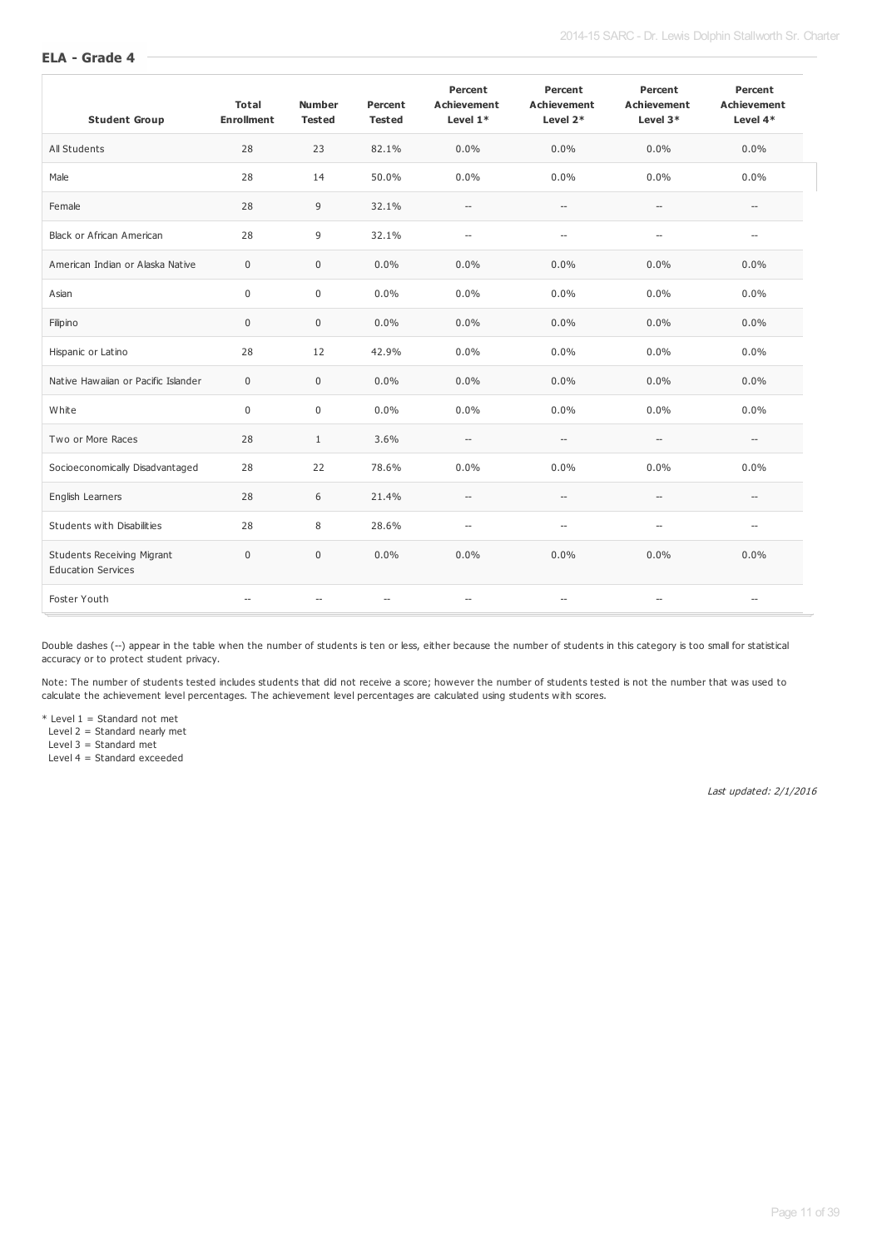| <b>Student Group</b>                                           | <b>Total</b><br><b>Enrollment</b> | <b>Number</b><br><b>Tested</b> | Percent<br><b>Tested</b> | Percent<br><b>Achievement</b><br>Level 1* | Percent<br><b>Achievement</b><br>Level 2* | Percent<br><b>Achievement</b><br>Level $3*$ | Percent<br><b>Achievement</b><br>Level 4* |
|----------------------------------------------------------------|-----------------------------------|--------------------------------|--------------------------|-------------------------------------------|-------------------------------------------|---------------------------------------------|-------------------------------------------|
| All Students                                                   | 28                                | 23                             | 82.1%                    | 0.0%                                      | 0.0%                                      | 0.0%                                        | 0.0%                                      |
| Male                                                           | 28                                | 14                             | 50.0%                    | 0.0%                                      | 0.0%                                      | 0.0%                                        | 0.0%                                      |
| Female                                                         | 28                                | 9                              | 32.1%                    | $\overline{\phantom{a}}$                  | $\overline{\phantom{a}}$                  | $\overline{\phantom{a}}$                    | $\overline{\phantom{0}}$                  |
| <b>Black or African American</b>                               | 28                                | 9                              | 32.1%                    | $\overline{\phantom{a}}$                  | $\overline{\phantom{a}}$                  | $\overline{\phantom{a}}$                    | $-$                                       |
| American Indian or Alaska Native                               | $\mathbf 0$                       | $\mathbf 0$                    | 0.0%                     | 0.0%                                      | 0.0%                                      | 0.0%                                        | 0.0%                                      |
| Asian                                                          | $\mathbf 0$                       | $\mathbf 0$                    | 0.0%                     | 0.0%                                      | 0.0%                                      | 0.0%                                        | 0.0%                                      |
| Filipino                                                       | $\mathbf 0$                       | $\mathbf 0$                    | 0.0%                     | 0.0%                                      | 0.0%                                      | 0.0%                                        | 0.0%                                      |
| Hispanic or Latino                                             | 28                                | 12                             | 42.9%                    | 0.0%                                      | 0.0%                                      | 0.0%                                        | 0.0%                                      |
| Native Hawaiian or Pacific Islander                            | $\mathbf 0$                       | $\mathbf 0$                    | 0.0%                     | 0.0%                                      | 0.0%                                      | 0.0%                                        | 0.0%                                      |
| White                                                          | $\mathbf 0$                       | $\mathbf 0$                    | 0.0%                     | 0.0%                                      | 0.0%                                      | 0.0%                                        | 0.0%                                      |
| Two or More Races                                              | 28                                | $\mathbf{1}$                   | 3.6%                     | $\overline{\phantom{a}}$                  | $\overline{\phantom{a}}$                  | $\overline{\phantom{a}}$                    | $\overline{a}$                            |
| Socioeconomically Disadvantaged                                | 28                                | 22                             | 78.6%                    | 0.0%                                      | 0.0%                                      | 0.0%                                        | 0.0%                                      |
| English Learners                                               | 28                                | 6                              | 21.4%                    | $\overline{\phantom{a}}$                  | $\overline{\phantom{0}}$                  | $\overline{a}$                              |                                           |
| Students with Disabilities                                     | 28                                | 8                              | 28.6%                    | $\overline{\phantom{a}}$                  | $\overline{\phantom{a}}$                  | $\overline{a}$                              |                                           |
| <b>Students Receiving Migrant</b><br><b>Education Services</b> | $\mathbf 0$                       | $\mathbf 0$                    | 0.0%                     | 0.0%                                      | 0.0%                                      | 0.0%                                        | 0.0%                                      |
| Foster Youth                                                   |                                   |                                | $\overline{\phantom{a}}$ | $\overline{a}$                            | $\overline{\phantom{a}}$                  | $\overline{a}$                              | --                                        |

Double dashes (--) appear in the table when the number of students is ten or less, either because the number of students in this category is too small for statistical accuracy or to protect student privacy.

Note: The number of students tested includes students that did not receive a score; however the number of students tested is not the number that was used to calculate the achievement level percentages. The achievement level percentages are calculated using students with scores.

\* Level 1 = Standard not met

Level 2 = Standard nearly met

Level 3 = Standard met

Level 4 = Standard exceeded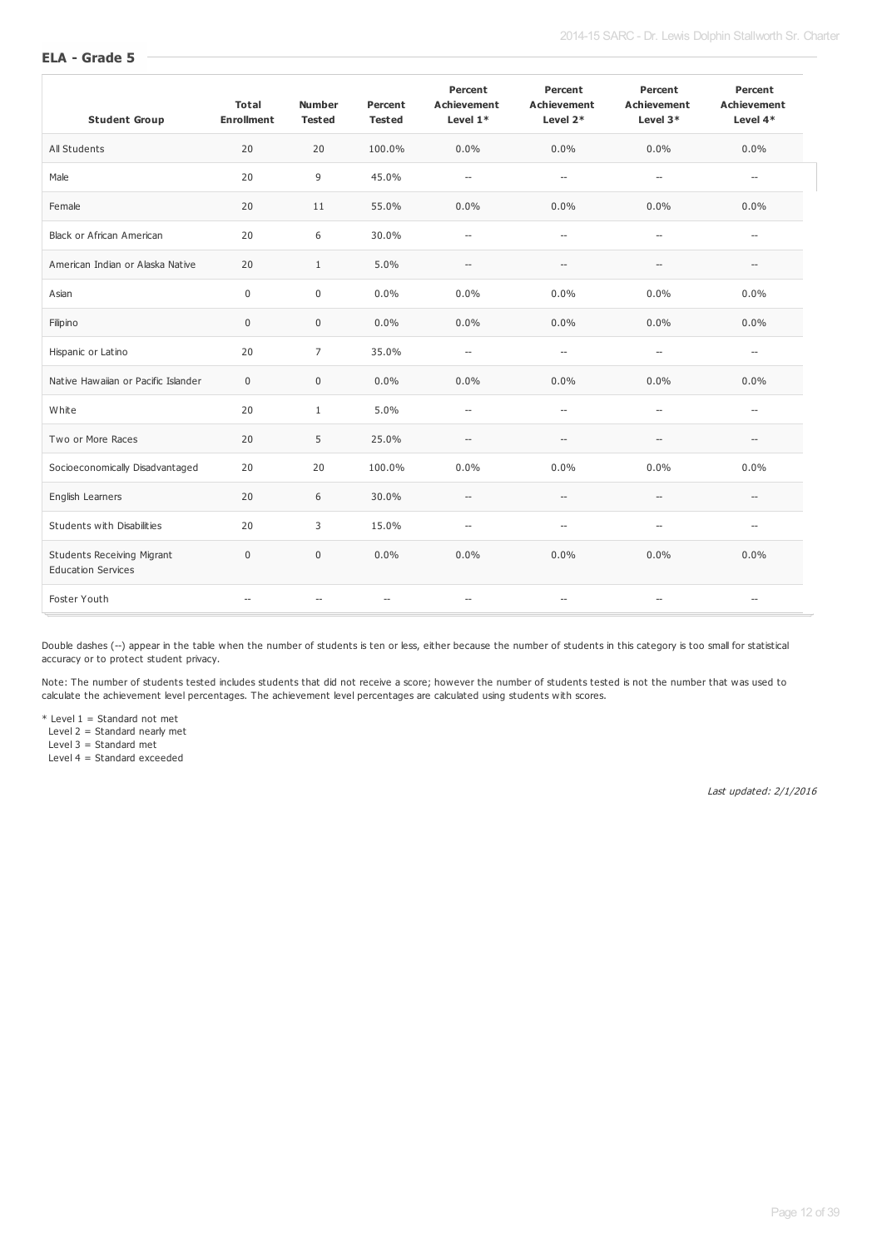| <b>Student Group</b>                                           | <b>Total</b><br><b>Enrollment</b> | <b>Number</b><br><b>Tested</b> | Percent<br><b>Tested</b> | Percent<br><b>Achievement</b><br>Level $1*$ | Percent<br><b>Achievement</b><br>Level 2*           | Percent<br><b>Achievement</b><br>Level 3*           | Percent<br><b>Achievement</b><br>Level $4*$ |
|----------------------------------------------------------------|-----------------------------------|--------------------------------|--------------------------|---------------------------------------------|-----------------------------------------------------|-----------------------------------------------------|---------------------------------------------|
| All Students                                                   | 20                                | 20                             | 100.0%                   | $0.0\%$                                     | 0.0%                                                | 0.0%                                                | $0.0\%$                                     |
| Male                                                           | 20                                | $\overline{9}$                 | 45.0%                    | $\overline{a}$                              | $\overline{\phantom{a}}$                            | $\overline{\phantom{a}}$                            | $\overline{a}$                              |
| Female                                                         | 20                                | 11                             | 55.0%                    | 0.0%                                        | 0.0%                                                | 0.0%                                                | 0.0%                                        |
| Black or African American                                      | 20                                | 6                              | 30.0%                    | $\overline{\phantom{a}}$                    | $\overline{\phantom{a}}$                            | $\overline{\phantom{a}}$                            | $\overline{\phantom{0}}$                    |
| American Indian or Alaska Native                               | 20                                | $\mathbf{1}$                   | 5.0%                     | $\hspace{0.05cm} -\hspace{0.05cm}$          | $\hspace{0.05cm} -\hspace{0.05cm} -\hspace{0.05cm}$ | $\overline{\phantom{a}}$                            | $\overline{\phantom{0}}$                    |
| Asian                                                          | $\mathbf 0$                       | $\mathbf 0$                    | 0.0%                     | 0.0%                                        | 0.0%                                                | 0.0%                                                | 0.0%                                        |
| Filipino                                                       | $\mathsf 0$                       | $\mathbf 0$                    | 0.0%                     | 0.0%                                        | 0.0%                                                | 0.0%                                                | 0.0%                                        |
| Hispanic or Latino                                             | 20                                | $\overline{7}$                 | 35.0%                    | $\overline{a}$                              | $\hspace{0.05cm} -\hspace{0.05cm} -\hspace{0.05cm}$ | $\overline{a}$                                      | $\overline{a}$                              |
| Native Hawaiian or Pacific Islander                            | $\mathbf 0$                       | $\mathbf 0$                    | 0.0%                     | 0.0%                                        | 0.0%                                                | 0.0%                                                | 0.0%                                        |
| White                                                          | 20                                | $\mathbf{1}$                   | 5.0%                     | $\overline{\phantom{a}}$                    | $\hspace{0.05cm} -\hspace{0.05cm} -\hspace{0.05cm}$ | $\overline{\phantom{a}}$                            | $\overline{\phantom{a}}$                    |
| Two or More Races                                              | 20                                | 5                              | 25.0%                    | $\overline{\phantom{a}}$                    | $\hspace{0.05cm} -\hspace{0.05cm} -\hspace{0.05cm}$ | $-$                                                 | $\overline{\phantom{a}}$                    |
| Socioeconomically Disadvantaged                                | 20                                | 20                             | 100.0%                   | 0.0%                                        | 0.0%                                                | 0.0%                                                | 0.0%                                        |
| English Learners                                               | 20                                | 6                              | 30.0%                    | $\overline{\phantom{a}}$                    | $\overline{\phantom{a}}$                            | $-$                                                 |                                             |
| Students with Disabilities                                     | 20                                | 3                              | 15.0%                    | $\overline{\phantom{a}}$                    | $\overline{\phantom{a}}$                            | $\overline{a}$                                      |                                             |
| <b>Students Receiving Migrant</b><br><b>Education Services</b> | $\mathbf 0$                       | $\mathbf{0}$                   | 0.0%                     | 0.0%                                        | 0.0%                                                | 0.0%                                                | 0.0%                                        |
| Foster Youth                                                   |                                   |                                | $\overline{\phantom{a}}$ | $\overline{\phantom{a}}$                    | $\overline{\phantom{a}}$                            | $\hspace{0.05cm} -\hspace{0.05cm} -\hspace{0.05cm}$ | $\overline{\phantom{a}}$                    |

Double dashes (--) appear in the table when the number of students is ten or less, either because the number of students in this category is too small for statistical accuracy or to protect student privacy.

Note: The number of students tested includes students that did not receive a score; however the number of students tested is not the number that was used to calculate the achievement level percentages. The achievement level percentages are calculated using students with scores.

\* Level 1 = Standard not met

Level 2 = Standard nearly met

Level 3 = Standard met

Level 4 = Standard exceeded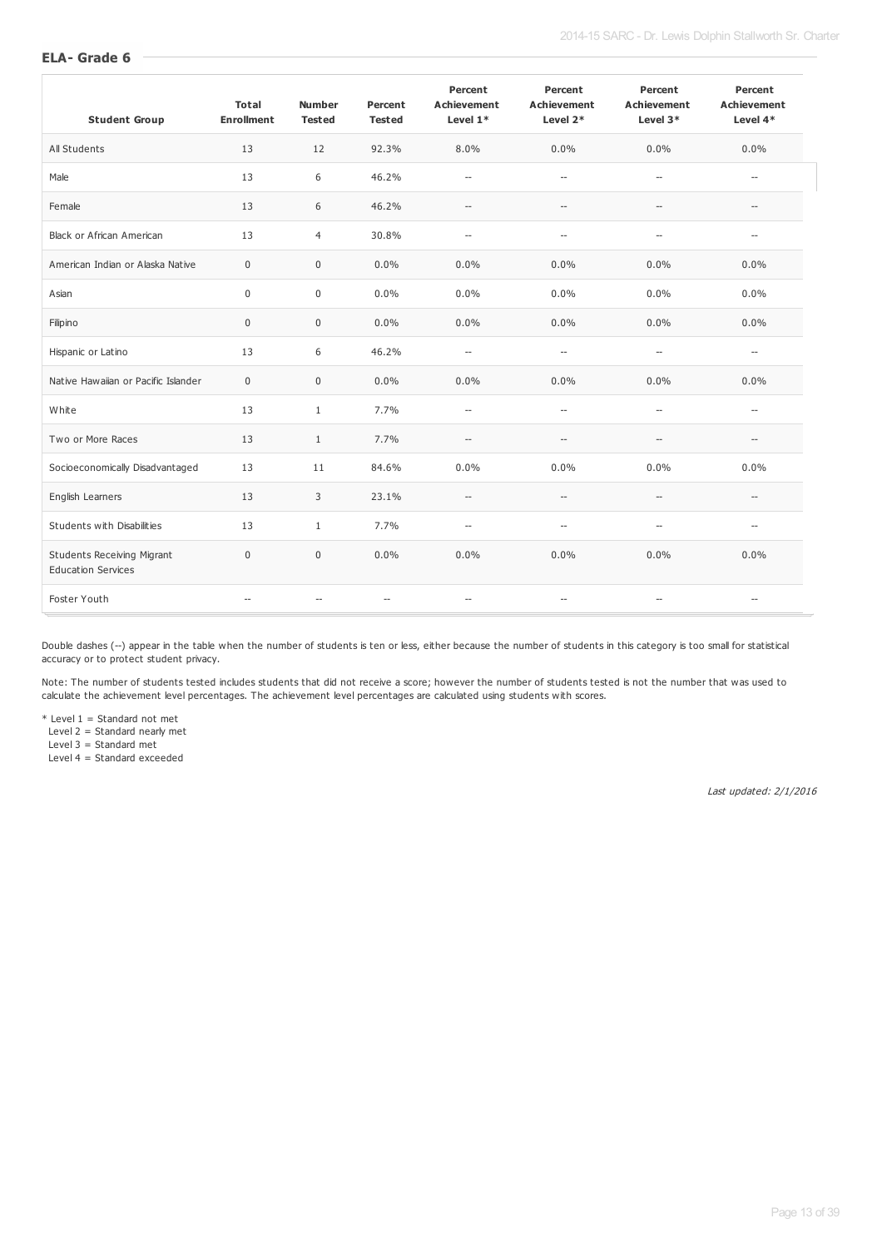| <b>Student Group</b>                                           | <b>Total</b><br><b>Enrollment</b> | <b>Number</b><br><b>Tested</b> | Percent<br><b>Tested</b> | Percent<br><b>Achievement</b><br>Level $1*$ | Percent<br><b>Achievement</b><br>Level 2* | Percent<br><b>Achievement</b><br>Level 3* | Percent<br><b>Achievement</b><br>Level 4* |
|----------------------------------------------------------------|-----------------------------------|--------------------------------|--------------------------|---------------------------------------------|-------------------------------------------|-------------------------------------------|-------------------------------------------|
| All Students                                                   | 13                                | 12                             | 92.3%                    | 8.0%                                        | 0.0%                                      | 0.0%                                      | 0.0%                                      |
| Male                                                           | 13                                | 6                              | 46.2%                    | $\overline{\phantom{a}}$                    | $\overline{\phantom{a}}$                  | $\overline{\phantom{a}}$                  | $\overline{\phantom{a}}$                  |
| Female                                                         | 13                                | 6                              | 46.2%                    | $\overline{\phantom{a}}$                    | $\overline{\phantom{a}}$                  | $\overline{\phantom{a}}$                  | $\overline{a}$                            |
| <b>Black or African American</b>                               | 13                                | $\overline{4}$                 | 30.8%                    | $\overline{\phantom{a}}$                    | $\overline{\phantom{a}}$                  | $\overline{\phantom{a}}$                  | $\overline{\phantom{0}}$                  |
| American Indian or Alaska Native                               | $\pmb{0}$                         | $\mathbf 0$                    | 0.0%                     | 0.0%                                        | 0.0%                                      | 0.0%                                      | 0.0%                                      |
| Asian                                                          | $\mathbf 0$                       | 0                              | 0.0%                     | $0.0\%$                                     | 0.0%                                      | 0.0%                                      | 0.0%                                      |
| Filipino                                                       | $\pmb{0}$                         | $\mathbf 0$                    | 0.0%                     | $0.0\%$                                     | 0.0%                                      | 0.0%                                      | 0.0%                                      |
| Hispanic or Latino                                             | 13                                | 6                              | 46.2%                    | $\overline{\phantom{a}}$                    | $\overline{\phantom{a}}$                  | $\overline{\phantom{a}}$                  | $\overline{\phantom{a}}$                  |
| Native Hawaiian or Pacific Islander                            | $\mathbf 0$                       | $\mathbf 0$                    | 0.0%                     | $0.0\%$                                     | 0.0%                                      | 0.0%                                      | 0.0%                                      |
| White                                                          | 13                                | $\mathbf{1}$                   | 7.7%                     | $\overline{\phantom{a}}$                    | $\overline{\phantom{a}}$                  | $\hspace{0.05cm} \ldots$                  | $\overline{\phantom{a}}$                  |
| Two or More Races                                              | 13                                | $\mathbf{1}$                   | 7.7%                     | $\hspace{0.05cm} \ldots$                    | $-$                                       | $\overline{\phantom{a}}$                  | $-$                                       |
| Socioeconomically Disadvantaged                                | 13                                | 11                             | 84.6%                    | $0.0\%$                                     | 0.0%                                      | 0.0%                                      | 0.0%                                      |
| English Learners                                               | 13                                | 3                              | 23.1%                    | $\hspace{0.05cm} \ldots$                    | $-$                                       | $\overline{a}$                            |                                           |
| Students with Disabilities                                     | 13                                | $\mathbf{1}$                   | 7.7%                     | $\overline{\phantom{a}}$                    | $\overline{\phantom{a}}$                  | $\overline{\phantom{a}}$                  | $\overline{a}$                            |
| <b>Students Receiving Migrant</b><br><b>Education Services</b> | $\mathbf 0$                       | $\mathbf 0$                    | $0.0\%$                  | 0.0%                                        | 0.0%                                      | 0.0%                                      | 0.0%                                      |
| Foster Youth                                                   | $\overline{a}$                    | --                             | $\overline{\phantom{a}}$ | $\overline{\phantom{a}}$                    | $\overline{\phantom{a}}$                  | $\overline{\phantom{a}}$                  | $\overline{\phantom{a}}$                  |

Double dashes (--) appear in the table when the number of students is ten or less, either because the number of students in this category is too small for statistical accuracy or to protect student privacy.

Note: The number of students tested includes students that did not receive a score; however the number of students tested is not the number that was used to calculate the achievement level percentages. The achievement level percentages are calculated using students with scores.

\* Level 1 = Standard not met

Level 2 = Standard nearly met

Level 3 = Standard met

Level 4 = Standard exceeded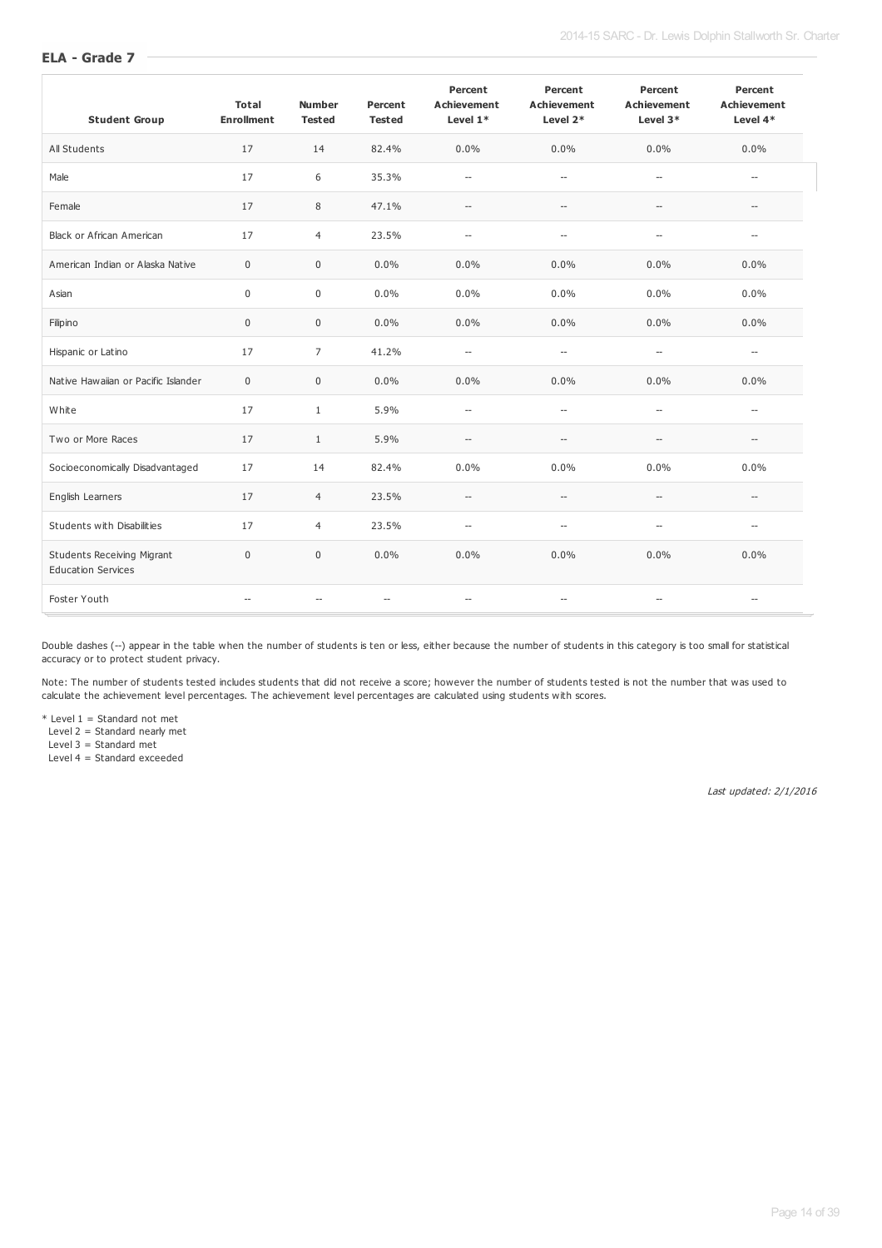| <b>Student Group</b>                                           | <b>Total</b><br><b>Enrollment</b> | <b>Number</b><br><b>Tested</b> | Percent<br><b>Tested</b> | Percent<br><b>Achievement</b><br>Level $1*$ | Percent<br><b>Achievement</b><br>Level 2*           | Percent<br><b>Achievement</b><br>Level $3*$ | Percent<br><b>Achievement</b><br>Level $4*$ |
|----------------------------------------------------------------|-----------------------------------|--------------------------------|--------------------------|---------------------------------------------|-----------------------------------------------------|---------------------------------------------|---------------------------------------------|
| All Students                                                   | 17                                | 14                             | 82.4%                    | $0.0\%$                                     | 0.0%                                                | 0.0%                                        | 0.0%                                        |
| Male                                                           | 17                                | 6                              | 35.3%                    | $\overline{\phantom{a}}$                    | $\overline{\phantom{a}}$                            | $\overline{\phantom{a}}$                    | $\overline{a}$                              |
| Female                                                         | 17                                | 8                              | 47.1%                    | $\overline{\phantom{a}}$                    | $\hspace{0.05cm} -\hspace{0.05cm} -\hspace{0.05cm}$ | $\overline{\phantom{a}}$                    | $\overline{\phantom{a}}$                    |
| Black or African American                                      | 17                                | $\overline{4}$                 | 23.5%                    | $\overline{\phantom{a}}$                    | $\overline{\phantom{a}}$                            | $\overline{\phantom{a}}$                    | $\overline{\phantom{a}}$                    |
| American Indian or Alaska Native                               | $\pmb{0}$                         | $\mathbf 0$                    | 0.0%                     | 0.0%                                        | 0.0%                                                | 0.0%                                        | 0.0%                                        |
| Asian                                                          | $\mathbf 0$                       | 0                              | 0.0%                     | $0.0\%$                                     | $0.0\%$                                             | 0.0%                                        | 0.0%                                        |
| Filipino                                                       | $\mathbf 0$                       | $\mathbf 0$                    | 0.0%                     | $0.0\%$                                     | 0.0%                                                | 0.0%                                        | 0.0%                                        |
| Hispanic or Latino                                             | 17                                | $\overline{7}$                 | 41.2%                    | $\overline{\phantom{a}}$                    | $\overline{\phantom{a}}$                            | $\overline{\phantom{a}}$                    | $\overline{\phantom{a}}$                    |
| Native Hawaiian or Pacific Islander                            | $\pmb{0}$                         | 0                              | 0.0%                     | $0.0\%$                                     | 0.0%                                                | 0.0%                                        | 0.0%                                        |
| White                                                          | 17                                | $\mathbf{1}$                   | 5.9%                     | $\overline{\phantom{a}}$                    | $\overline{\phantom{a}}$                            | $\sim$                                      | $\overline{a}$                              |
| Two or More Races                                              | 17                                | $\mathbf{1}$                   | 5.9%                     | $\overline{\phantom{a}}$                    | $\overline{\phantom{a}}$                            | $\overline{\phantom{a}}$                    | --                                          |
| Socioeconomically Disadvantaged                                | 17                                | 14                             | 82.4%                    | 0.0%                                        | 0.0%                                                | 0.0%                                        | 0.0%                                        |
| English Learners                                               | 17                                | $\overline{4}$                 | 23.5%                    | $\overline{\phantom{a}}$                    | $\overline{\phantom{a}}$                            | $\overline{a}$                              |                                             |
| Students with Disabilities                                     | 17                                | $\overline{4}$                 | 23.5%                    | $\overline{\phantom{a}}$                    | $\overline{a}$                                      | $\sim$                                      | $\overline{a}$                              |
| <b>Students Receiving Migrant</b><br><b>Education Services</b> | $\mathbf 0$                       | 0                              | 0.0%                     | $0.0\%$                                     | 0.0%                                                | 0.0%                                        | 0.0%                                        |
| Foster Youth                                                   |                                   | --                             | $\overline{\phantom{a}}$ | $\overline{\phantom{a}}$                    | $\overline{\phantom{a}}$                            | $\hspace{0.05cm} -\hspace{0.05cm}$          | $\overline{\phantom{a}}$                    |

Double dashes (--) appear in the table when the number of students is ten or less, either because the number of students in this category is too small for statistical accuracy or to protect student privacy.

Note: The number of students tested includes students that did not receive a score; however the number of students tested is not the number that was used to calculate the achievement level percentages. The achievement level percentages are calculated using students with scores.

\* Level 1 = Standard not met

Level 2 = Standard nearly met

Level 3 = Standard met

Level 4 = Standard exceeded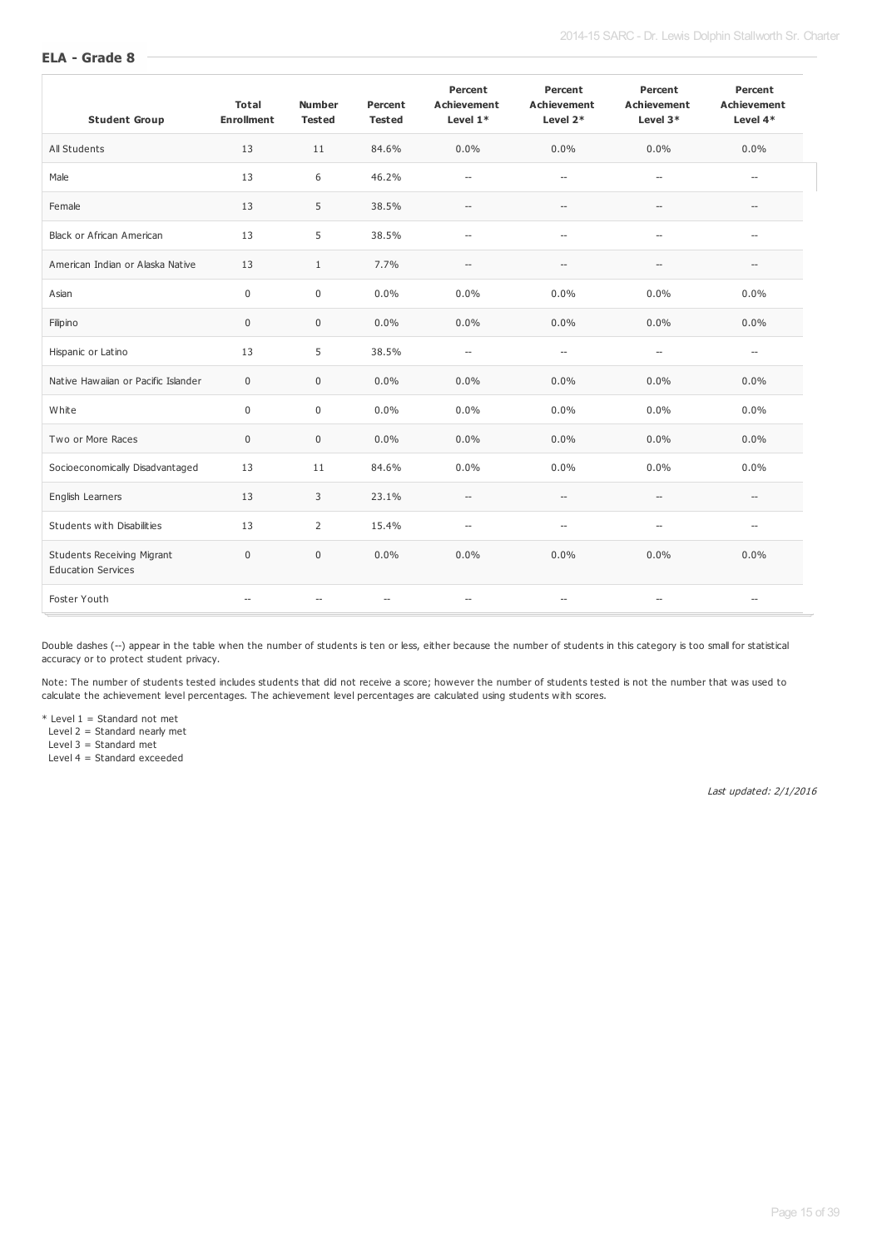| <b>Student Group</b>                                           | <b>Total</b><br><b>Enrollment</b> | <b>Number</b><br><b>Tested</b> | Percent<br><b>Tested</b> | Percent<br><b>Achievement</b><br>Level $1*$ | Percent<br><b>Achievement</b><br>Level 2*           | Percent<br><b>Achievement</b><br>Level 3*           | Percent<br><b>Achievement</b><br>Level $4*$ |
|----------------------------------------------------------------|-----------------------------------|--------------------------------|--------------------------|---------------------------------------------|-----------------------------------------------------|-----------------------------------------------------|---------------------------------------------|
| All Students                                                   | 13                                | 11                             | 84.6%                    | $0.0\%$                                     | 0.0%                                                | 0.0%                                                | $0.0\%$                                     |
| Male                                                           | 13                                | 6                              | 46.2%                    | $\overline{\phantom{a}}$                    | $\overline{\phantom{a}}$                            | $\overline{\phantom{a}}$                            | $\overline{\phantom{0}}$                    |
| Female                                                         | 13                                | 5                              | 38.5%                    | $\hspace{0.05cm} -\hspace{0.05cm}$          | $\hspace{0.05cm} -\hspace{0.05cm} -\hspace{0.05cm}$ | $\hspace{0.05cm} -\hspace{0.05cm} -\hspace{0.05cm}$ | $\hspace{0.05cm} -\hspace{0.05cm}$          |
| <b>Black or African American</b>                               | 13                                | 5                              | 38.5%                    | $\overline{a}$                              | $\overline{\phantom{a}}$                            | $\overline{\phantom{a}}$                            | $\overline{a}$                              |
| American Indian or Alaska Native                               | 13                                | $\mathbf{1}$                   | 7.7%                     | $\overline{\phantom{a}}$                    | $\qquad \qquad -$                                   | $\overline{\phantom{a}}$                            | $\overline{\phantom{a}}$                    |
| Asian                                                          | $\mathbf 0$                       | $\mathbf 0$                    | 0.0%                     | 0.0%                                        | 0.0%                                                | 0.0%                                                | 0.0%                                        |
| Filipino                                                       | $\mathbf 0$                       | $\mathbf 0$                    | 0.0%                     | 0.0%                                        | 0.0%                                                | 0.0%                                                | 0.0%                                        |
| Hispanic or Latino                                             | 13                                | 5                              | 38.5%                    | $\overline{\phantom{a}}$                    | $\hspace{0.05cm} -\hspace{0.05cm} -\hspace{0.05cm}$ | $\overline{\phantom{a}}$                            | $\overline{\phantom{a}}$                    |
| Native Hawaiian or Pacific Islander                            | $\mathsf 0$                       | $\mathbf 0$                    | 0.0%                     | 0.0%                                        | 0.0%                                                | 0.0%                                                | 0.0%                                        |
| White                                                          | $\mathbf 0$                       | $\mathbf 0$                    | 0.0%                     | 0.0%                                        | 0.0%                                                | 0.0%                                                | 0.0%                                        |
| Two or More Races                                              | $\mathbf 0$                       | $\mathbf 0$                    | 0.0%                     | 0.0%                                        | 0.0%                                                | 0.0%                                                | 0.0%                                        |
| Socioeconomically Disadvantaged                                | 13                                | 11                             | 84.6%                    | 0.0%                                        | 0.0%                                                | 0.0%                                                | 0.0%                                        |
| English Learners                                               | 13                                | 3                              | 23.1%                    | $\hspace{0.05cm} \ldots$                    | $\hspace{0.05cm} -\hspace{0.05cm} -\hspace{0.05cm}$ | $-$                                                 |                                             |
| Students with Disabilities                                     | 13                                | $\overline{2}$                 | 15.4%                    | $\overline{\phantom{a}}$                    | $\overline{\phantom{a}}$                            | $\overline{\phantom{a}}$                            | --                                          |
| <b>Students Receiving Migrant</b><br><b>Education Services</b> | $\mathbf 0$                       | $\mathbf{0}$                   | 0.0%                     | 0.0%                                        | 0.0%                                                | 0.0%                                                | 0.0%                                        |
| Foster Youth                                                   | $\sim$                            | --                             | $\overline{\phantom{a}}$ | $\overline{\phantom{a}}$                    | $\overline{\phantom{a}}$                            | $-$                                                 | $\overline{\phantom{a}}$                    |

Double dashes (--) appear in the table when the number of students is ten or less, either because the number of students in this category is too small for statistical accuracy or to protect student privacy.

Note: The number of students tested includes students that did not receive a score; however the number of students tested is not the number that was used to calculate the achievement level percentages. The achievement level percentages are calculated using students with scores.

\* Level 1 = Standard not met

Level 2 = Standard nearly met

Level 3 = Standard met

Level 4 = Standard exceeded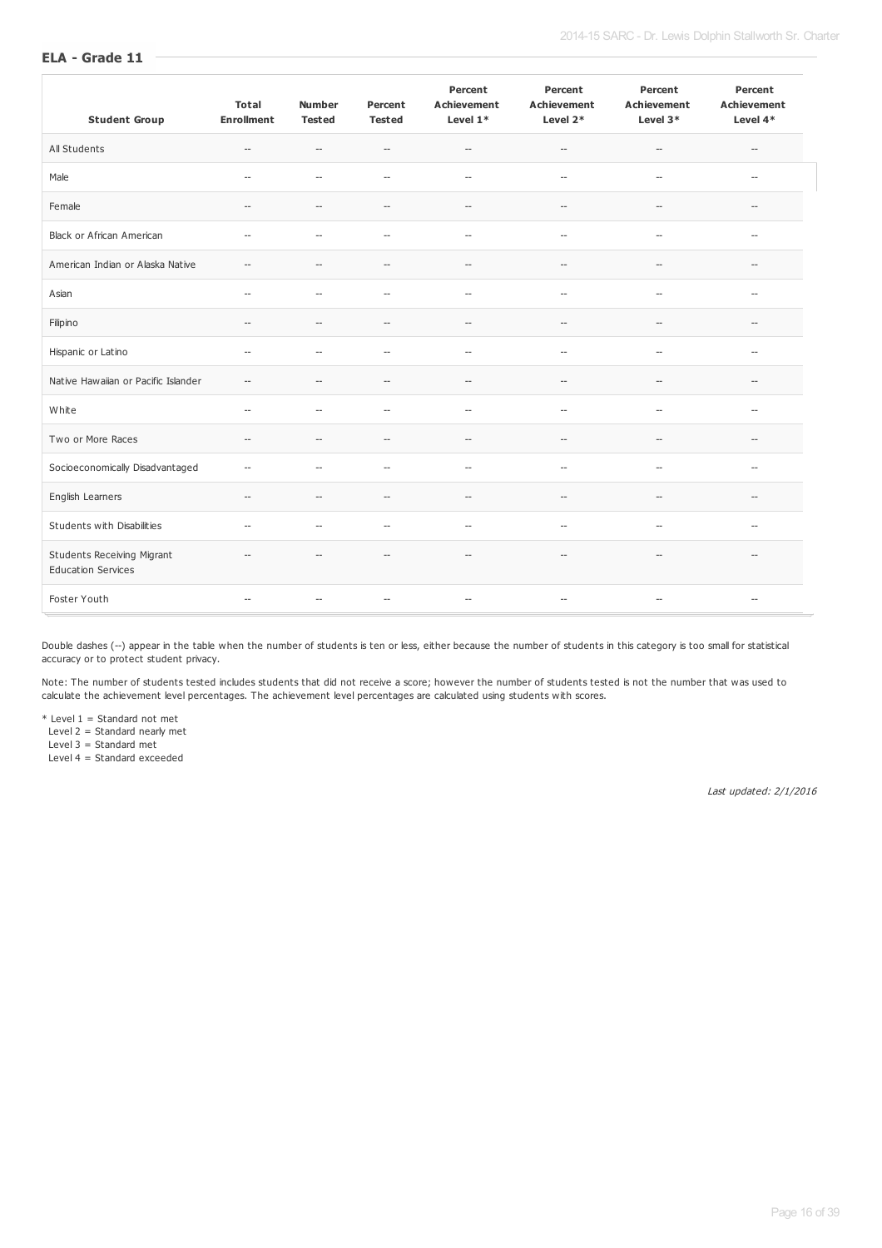| <b>Student Group</b>                                           | <b>Total</b><br><b>Enrollment</b> | <b>Number</b><br><b>Tested</b> | Percent<br><b>Tested</b>           | Percent<br><b>Achievement</b><br>Level $1*$ | Percent<br><b>Achievement</b><br>Level 2*           | Percent<br><b>Achievement</b><br>Level 3*           | Percent<br><b>Achievement</b><br>Level 4* |
|----------------------------------------------------------------|-----------------------------------|--------------------------------|------------------------------------|---------------------------------------------|-----------------------------------------------------|-----------------------------------------------------|-------------------------------------------|
| All Students                                                   | $\hspace{0.05cm} \ldots$          | $\overline{\phantom{a}}$       | $\hspace{0.05cm} -\hspace{0.05cm}$ | $\hspace{0.05cm} -\hspace{0.05cm}$          | $\hspace{0.05cm} -\hspace{0.05cm} -\hspace{0.05cm}$ | $\hspace{0.05cm} -\hspace{0.05cm} -\hspace{0.05cm}$ | $\hspace{0.05cm} -\hspace{0.05cm}$        |
| Male                                                           | $\overline{\phantom{a}}$          | $\overline{\phantom{a}}$       | $\overline{\phantom{a}}$           | $\overline{\phantom{a}}$                    | $\hspace{0.05cm} -\hspace{0.05cm} -\hspace{0.05cm}$ | $\overline{\phantom{a}}$                            | $\overline{\phantom{a}}$                  |
| Female                                                         | $\overline{a}$                    | $\overline{\phantom{a}}$       | $\qquad \qquad -$                  | $\overline{\phantom{a}}$                    | $\hspace{0.05cm} -\hspace{0.05cm} -\hspace{0.05cm}$ | $\overline{\phantom{a}}$                            | $\hspace{0.05cm} -\hspace{0.05cm}$        |
| <b>Black or African American</b>                               | $-$                               | $\sim$                         | $\overline{\phantom{a}}$           | $\overline{\phantom{a}}$                    | $\hspace{0.05cm} -\hspace{0.05cm}$                  | $\overline{\phantom{a}}$                            | $\hspace{0.05cm} -\hspace{0.05cm}$        |
| American Indian or Alaska Native                               | $\overline{\phantom{0}}$          | $\overline{\phantom{a}}$       | $\hspace{0.05cm} -\hspace{0.05cm}$ | $\overline{\phantom{a}}$                    | $\hspace{0.05cm} -\hspace{0.05cm} -\hspace{0.05cm}$ | $\overline{\phantom{a}}$                            | $\hspace{0.05cm} -\hspace{0.05cm}$        |
| Asian                                                          | $\overline{\phantom{a}}$          | $\overline{\phantom{a}}$       | $-$                                | $\overline{\phantom{a}}$                    | $\hspace{0.05cm} -\hspace{0.05cm} -\hspace{0.05cm}$ | $\overline{\phantom{a}}$                            | $\hspace{0.05cm} -\hspace{0.05cm}$        |
| Filipino                                                       | $\overline{\phantom{0}}$          | $\overline{\phantom{a}}$       | $- -$                              | $\overline{\phantom{a}}$                    | $\hspace{0.05cm} -\hspace{0.05cm}$                  | $\overline{\phantom{a}}$                            | $\overline{\phantom{a}}$                  |
| Hispanic or Latino                                             | $\overline{\phantom{a}}$          | $\overline{\phantom{a}}$       | $- -$                              | $\overline{\phantom{a}}$                    | $\hspace{0.05cm} -\hspace{0.05cm}$                  | $\overline{\phantom{a}}$                            | $\overline{\phantom{a}}$                  |
| Native Hawaiian or Pacific Islander                            | $\overline{\phantom{0}}$          | $\overline{\phantom{a}}$       | $-$                                | $\hspace{0.05cm} -\hspace{0.05cm}$          | $\hspace{0.05cm} -\hspace{0.05cm}$                  | $\overline{\phantom{a}}$                            | $\overline{\phantom{a}}$                  |
| White                                                          | $\overline{\phantom{a}}$          | $\overline{\phantom{a}}$       | $-$                                | $\overline{\phantom{a}}$                    | $\overline{\phantom{a}}$                            | $\overline{\phantom{a}}$                            | $\overline{\phantom{a}}$                  |
| Two or More Races                                              | $\hspace{0.05cm} \ldots$          | $\overline{\phantom{a}}$       | $\hspace{0.05cm} -\hspace{0.05cm}$ | $\hspace{0.05cm} -$                         | $\hspace{0.05cm} -\hspace{0.05cm}$                  | $\hspace{0.05cm} \ldots$                            | $-$                                       |
| Socioeconomically Disadvantaged                                | $-$                               | $\sim$                         | $\overline{\phantom{a}}$           | $\overline{\phantom{a}}$                    | $\hspace{0.05cm} -\hspace{0.05cm}$                  | $\hspace{0.05cm} -\hspace{0.05cm}$                  | $\overline{a}$                            |
| English Learners                                               | $\overline{\phantom{a}}$          | $\overline{\phantom{a}}$       | $\hspace{0.05cm} -\hspace{0.05cm}$ | $\overline{a}$                              | $-$                                                 | $\overline{\phantom{a}}$                            | $\overline{a}$                            |
| Students with Disabilities                                     | $\hspace{0.05cm} \ldots$          | $\overline{a}$                 | $\overline{\phantom{a}}$           | $\overline{\phantom{a}}$                    | $\hspace{0.05cm} -\hspace{0.05cm} -\hspace{0.05cm}$ | $\overline{\phantom{a}}$                            | --                                        |
| <b>Students Receiving Migrant</b><br><b>Education Services</b> | $-$                               | $\overline{\phantom{a}}$       | $\overline{\phantom{a}}$           | $\hspace{0.05cm} -\hspace{0.05cm}$          | $\hspace{0.05cm} -\hspace{0.05cm} -\hspace{0.05cm}$ | $\hspace{0.05cm} -\hspace{0.05cm} -\hspace{0.05cm}$ | $\overline{\phantom{0}}$                  |
| Foster Youth                                                   | $\hspace{0.05cm} \ldots$          | $\overline{\phantom{a}}$       | $\hspace{0.05cm} -\hspace{0.05cm}$ | $\overline{\phantom{a}}$                    | $\hspace{0.05cm} -\hspace{0.05cm} -\hspace{0.05cm}$ | $\overline{\phantom{a}}$                            | $\hspace{0.05cm} \ldots$                  |

Double dashes (--) appear in the table when the number of students is ten or less, either because the number of students in this category is too small for statistical accuracy or to protect student privacy.

Note: The number of students tested includes students that did not receive a score; however the number of students tested is not the number that was used to calculate the achievement level percentages. The achievement level percentages are calculated using students with scores.

\* Level 1 = Standard not met

Level 2 = Standard nearly met

Level 3 = Standard met

Level 4 = Standard exceeded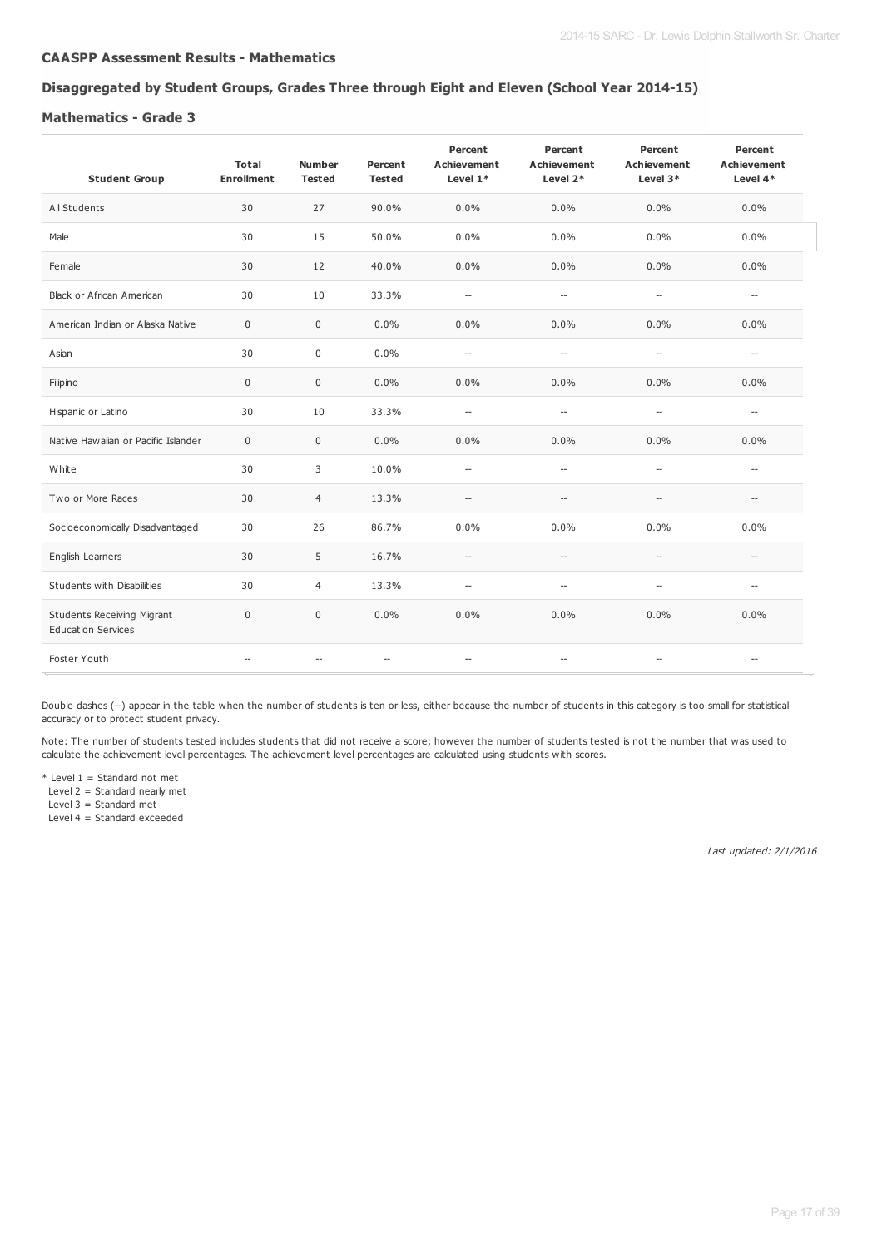#### **CAASPP Assessment Results - Mathematics**

#### **Disaggregated by Student Groups, Grades Three through Eight and Eleven (School Year 2014-15)**

#### **Mathematics - Grade 3**

| <b>Student Group</b>                                           | <b>Total</b><br><b>Enrollment</b> | <b>Number</b><br><b>Tested</b> | Percent<br><b>Tested</b>           | Percent<br><b>Achievement</b><br>Level 1* | Percent<br><b>Achievement</b><br>Level 2*           | Percent<br><b>Achievement</b><br>Level 3* | Percent<br><b>Achievement</b><br>Level 4* |
|----------------------------------------------------------------|-----------------------------------|--------------------------------|------------------------------------|-------------------------------------------|-----------------------------------------------------|-------------------------------------------|-------------------------------------------|
| All Students                                                   | 30                                | 27                             | 90.0%                              | 0.0%                                      | 0.0%                                                | $0.0\%$                                   | $0.0\%$                                   |
| Male                                                           | 30                                | 15                             | 50.0%                              | 0.0%                                      | 0.0%                                                | $0.0\%$                                   | $0.0\%$                                   |
| Female                                                         | 30                                | 12                             | 40.0%                              | 0.0%                                      | 0.0%                                                | $0.0\%$                                   | $0.0\%$                                   |
| <b>Black or African American</b>                               | 30                                | 10                             | 33.3%                              | $\overline{\phantom{a}}$                  | $\overline{\phantom{a}}$                            | $\hspace{0.05cm} -$                       | $\overline{\phantom{a}}$                  |
| American Indian or Alaska Native                               | $\mathbf 0$                       | $\mathbf 0$                    | 0.0%                               | 0.0%                                      | 0.0%                                                | 0.0%                                      | $0.0\%$                                   |
| Asian                                                          | 30                                | $\pmb{0}$                      | 0.0%                               | $\overline{\phantom{a}}$                  | $\overline{\phantom{a}}$                            | $\overline{\phantom{a}}$                  | $\hspace{0.05cm} \ldots$                  |
| Filipino                                                       | $\mathbf 0$                       | $\bf 0$                        | 0.0%                               | 0.0%                                      | 0.0%                                                | 0.0%                                      | $0.0\%$                                   |
| Hispanic or Latino                                             | 30                                | 10                             | 33.3%                              | $\overline{\phantom{a}}$                  | $\overline{\phantom{a}}$                            | $\overline{\phantom{a}}$                  | $\hspace{0.05cm} \ldots$                  |
| Native Hawaiian or Pacific Islander                            | $\mathbf 0$                       | $\mathbf{0}$                   | 0.0%                               | 0.0%                                      | 0.0%                                                | 0.0%                                      | $0.0\%$                                   |
| White                                                          | 30                                | 3                              | 10.0%                              | $\hspace{0.05cm} -$                       | $\overline{\phantom{a}}$                            | $\overline{\phantom{a}}$                  | $\hspace{0.05cm} \ldots$                  |
| Two or More Races                                              | 30                                | $\overline{4}$                 | 13.3%                              | $\hspace{0.05cm} -\hspace{0.05cm}$        | $\overline{\phantom{a}}$                            | $\hspace{0.05cm} \ldots$                  | $\hspace{0.05cm} -\hspace{0.05cm}$        |
| Socioeconomically Disadvantaged                                | 30                                | 26                             | 86.7%                              | 0.0%                                      | 0.0%                                                | 0.0%                                      | 0.0%                                      |
| English Learners                                               | 30                                | 5                              | 16.7%                              | $\hspace{0.05cm} \ldots$                  | $\hspace{0.05cm} -\hspace{0.05cm} -\hspace{0.05cm}$ | $\hspace{0.05cm} -$                       | $\overline{\phantom{a}}$                  |
| Students with Disabilities                                     | 30                                | $\overline{4}$                 | 13.3%                              | $\hspace{0.05cm} \ldots$                  | $\hspace{0.05cm} -\hspace{0.05cm} -\hspace{0.05cm}$ | $\hspace{0.05cm} \ldots$                  | $\hspace{0.05cm} \ldots$                  |
| <b>Students Receiving Migrant</b><br><b>Education Services</b> | $\mathbf{0}$                      | $\mathbf{0}$                   | 0.0%                               | 0.0%                                      | 0.0%                                                | 0.0%                                      | $0.0\%$                                   |
| Foster Youth                                                   |                                   |                                | $\hspace{0.05cm} -\hspace{0.05cm}$ | --                                        | $\hspace{0.05cm} -\hspace{0.05cm}$                  | $\overline{\phantom{a}}$                  | $\hspace{0.05cm} \ldots$                  |

Double dashes (--) appear in the table when the number of students is ten or less, either because the number of students in this category is too small for statistical accuracy or to protect student privacy.

Note: The number of students tested includes students that did not receive a score; however the number of students tested is not the number that was used to calculate the achievement level percentages. The achievement level percentages are calculated using students with scores.

 $*$  Level 1 = Standard not met Level 2 = Standard nearly met

Level  $3 =$  Standard met

Level 4 = Standard exceeded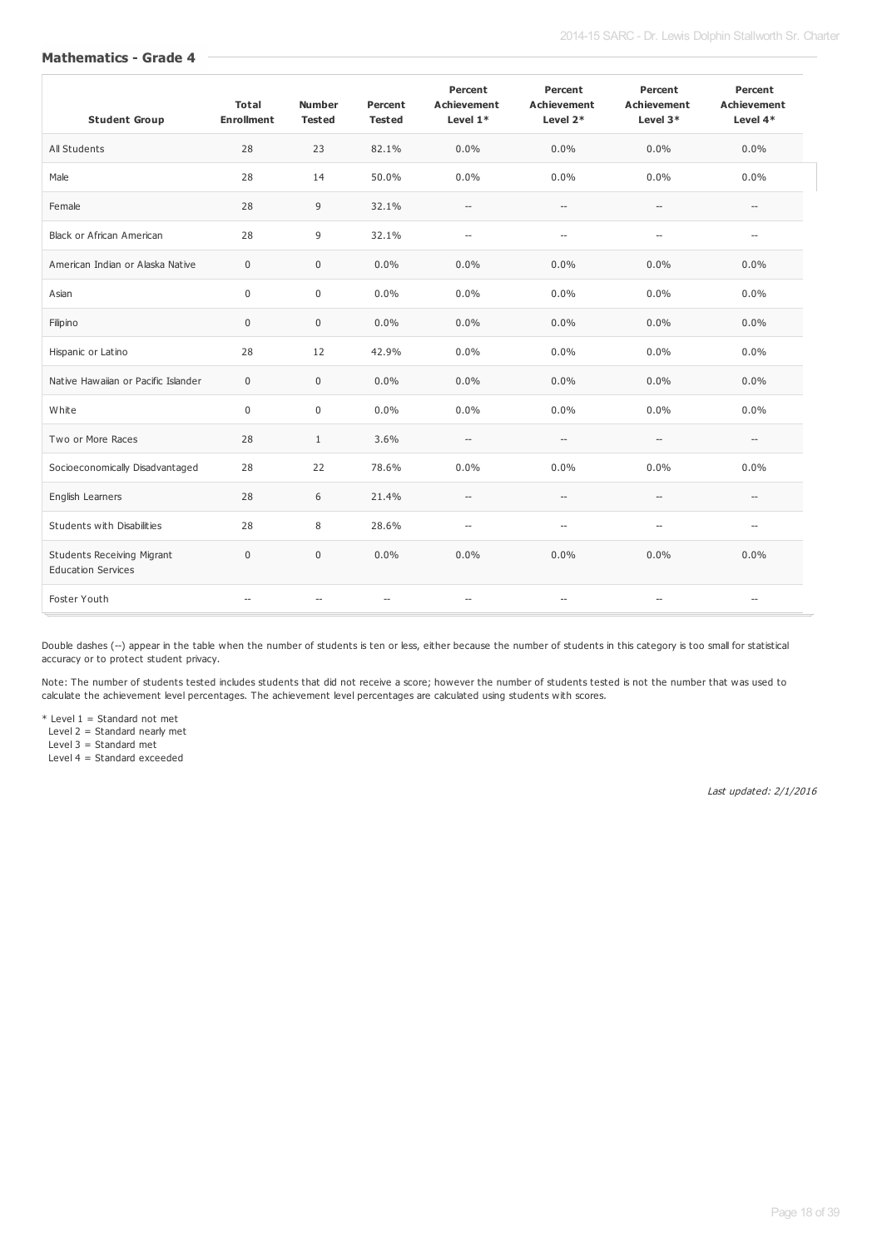| <b>Student Group</b>                                           | <b>Total</b><br><b>Enrollment</b> | <b>Number</b><br><b>Tested</b> | Percent<br><b>Tested</b> | Percent<br><b>Achievement</b><br>Level 1* | Percent<br><b>Achievement</b><br>Level 2*           | Percent<br><b>Achievement</b><br>Level 3* | Percent<br><b>Achievement</b><br>Level $4*$ |
|----------------------------------------------------------------|-----------------------------------|--------------------------------|--------------------------|-------------------------------------------|-----------------------------------------------------|-------------------------------------------|---------------------------------------------|
| All Students                                                   | 28                                | 23                             | 82.1%                    | $0.0\%$                                   | 0.0%                                                | 0.0%                                      | $0.0\%$                                     |
| Male                                                           | 28                                | 14                             | 50.0%                    | $0.0\%$                                   | 0.0%                                                | 0.0%                                      | $0.0\%$                                     |
| Female                                                         | 28                                | 9                              | 32.1%                    | $\hspace{0.05cm} \ldots$                  | $\hspace{0.05cm} -\hspace{0.05cm} -\hspace{0.05cm}$ | $\overline{\phantom{a}}$                  | $\overline{a}$                              |
| <b>Black or African American</b>                               | 28                                | 9                              | 32.1%                    | $\overline{a}$                            | $\overline{\phantom{a}}$                            | $\overline{\phantom{a}}$                  | $\overline{\phantom{a}}$                    |
| American Indian or Alaska Native                               | $\mathbf 0$                       | $\mathbf 0$                    | 0.0%                     | $0.0\%$                                   | 0.0%                                                | 0.0%                                      | 0.0%                                        |
| Asian                                                          | $\mathbf 0$                       | $\mathbf 0$                    | 0.0%                     | $0.0\%$                                   | $0.0\%$                                             | 0.0%                                      | $0.0\%$                                     |
| Filipino                                                       | $\mathbf 0$                       | $\mathbf 0$                    | 0.0%                     | $0.0\%$                                   | 0.0%                                                | 0.0%                                      | $0.0\%$                                     |
| Hispanic or Latino                                             | 28                                | 12                             | 42.9%                    | $0.0\%$                                   | 0.0%                                                | 0.0%                                      | $0.0\%$                                     |
| Native Hawaiian or Pacific Islander                            | $\mathbf 0$                       | $\mathbf 0$                    | 0.0%                     | $0.0\%$                                   | 0.0%                                                | 0.0%                                      | $0.0\%$                                     |
| White                                                          | $\Omega$                          | $\Omega$                       | 0.0%                     | $0.0\%$                                   | 0.0%                                                | 0.0%                                      | $0.0\%$                                     |
| Two or More Races                                              | 28                                | $\mathbf{1}$                   | 3.6%                     | $\hspace{0.05cm} \ldots$                  | $\hspace{0.05cm} -\hspace{0.05cm} -\hspace{0.05cm}$ | $\hspace{0.05cm} -\hspace{0.05cm}$        | $\overline{\phantom{a}}$                    |
| Socioeconomically Disadvantaged                                | 28                                | 22                             | 78.6%                    | $0.0\%$                                   | 0.0%                                                | 0.0%                                      | 0.0%                                        |
| English Learners                                               | 28                                | 6                              | 21.4%                    | $\hspace{0.05cm} -\hspace{0.05cm}$        | $\qquad \qquad -$                                   | $\overline{\phantom{a}}$                  | $\overline{a}$                              |
| Students with Disabilities                                     | 28                                | 8                              | 28.6%                    | $\overline{\phantom{a}}$                  | $\overline{\phantom{a}}$                            | $\overline{\phantom{a}}$                  | $\overline{a}$                              |
| <b>Students Receiving Migrant</b><br><b>Education Services</b> | $\mathbf 0$                       | $\mathbf 0$                    | 0.0%                     | 0.0%                                      | 0.0%                                                | 0.0%                                      | 0.0%                                        |
| Foster Youth                                                   | $\overline{a}$                    | $\overline{\phantom{a}}$       | $\overline{\phantom{a}}$ | $\overline{\phantom{a}}$                  | $\hspace{0.05cm} -\hspace{0.05cm} -\hspace{0.05cm}$ | $\overline{\phantom{a}}$                  | $\overline{a}$                              |

Double dashes (--) appear in the table when the number of students is ten or less, either because the number of students in this category is too small for statistical accuracy or to protect student privacy.

Note: The number of students tested includes students that did not receive a score; however the number of students tested is not the number that was used to calculate the achievement level percentages. The achievement level percentages are calculated using students with scores.

\* Level 1 = Standard not met

Level 2 = Standard nearly met

Level 3 = Standard met

Level 4 = Standard exceeded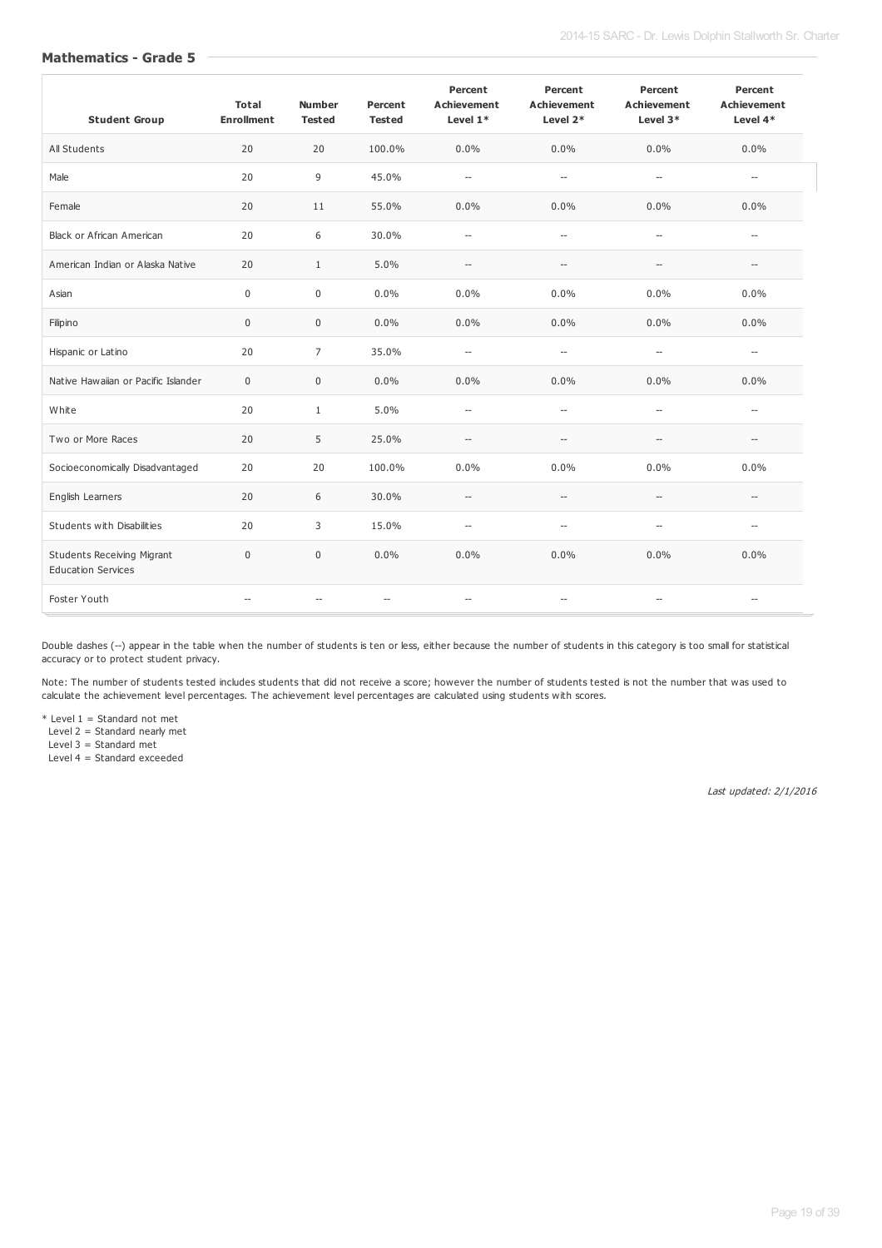| <b>Student Group</b>                                           | <b>Total</b><br><b>Enrollment</b> | <b>Number</b><br><b>Tested</b> | Percent<br><b>Tested</b> | Percent<br><b>Achievement</b><br>Level $1*$ | Percent<br><b>Achievement</b><br>Level 2*           | Percent<br><b>Achievement</b><br>Level 3* | Percent<br><b>Achievement</b><br>Level $4*$ |
|----------------------------------------------------------------|-----------------------------------|--------------------------------|--------------------------|---------------------------------------------|-----------------------------------------------------|-------------------------------------------|---------------------------------------------|
| All Students                                                   | 20                                | 20                             | 100.0%                   | $0.0\%$                                     | 0.0%                                                | 0.0%                                      | $0.0\%$                                     |
| Male                                                           | 20                                | 9                              | 45.0%                    | $\overline{a}$                              | $\overline{\phantom{a}}$                            | $\overline{\phantom{a}}$                  | $\overline{a}$                              |
| Female                                                         | 20                                | 11                             | 55.0%                    | $0.0\%$                                     | 0.0%                                                | 0.0%                                      | 0.0%                                        |
| <b>Black or African American</b>                               | 20                                | 6                              | 30.0%                    | $\overline{\phantom{a}}$                    | $\overline{\phantom{a}}$                            | $\overline{\phantom{a}}$                  | $\overline{a}$                              |
| American Indian or Alaska Native                               | 20                                | $\mathbf{1}$                   | 5.0%                     | $\overline{\phantom{a}}$                    | $\overline{\phantom{a}}$                            | $\overline{\phantom{a}}$                  | $\overline{\phantom{a}}$                    |
| Asian                                                          | $\Omega$                          | $\Omega$                       | 0.0%                     | $0.0\%$                                     | 0.0%                                                | 0.0%                                      | $0.0\%$                                     |
| Filipino                                                       | $\mathbf 0$                       | $\mathbf 0$                    | 0.0%                     | 0.0%                                        | 0.0%                                                | 0.0%                                      | 0.0%                                        |
| Hispanic or Latino                                             | 20                                | $\overline{7}$                 | 35.0%                    | $\overline{\phantom{a}}$                    | $\qquad \qquad -$                                   | $\overline{\phantom{a}}$                  | $\overline{a}$                              |
| Native Hawaiian or Pacific Islander                            | $\mathbf 0$                       | $\mathbf 0$                    | 0.0%                     | 0.0%                                        | 0.0%                                                | 0.0%                                      | 0.0%                                        |
| White                                                          | 20                                | $\mathbf{1}$                   | 5.0%                     | $\overline{\phantom{a}}$                    | $\qquad \qquad -$                                   | $\overline{\phantom{a}}$                  | --                                          |
| Two or More Races                                              | 20                                | 5                              | 25.0%                    | $\hspace{0.05cm} \ldots$                    | $\overline{\phantom{a}}$                            | $\overline{\phantom{a}}$                  | $\overline{\phantom{a}}$                    |
| Socioeconomically Disadvantaged                                | 20                                | 20                             | 100.0%                   | 0.0%                                        | 0.0%                                                | 0.0%                                      | 0.0%                                        |
| English Learners                                               | 20                                | 6                              | 30.0%                    | $\hspace{0.05cm} \ldots$                    | $\hspace{0.05cm} -\hspace{0.05cm}$                  | $\overline{\phantom{a}}$                  | $\overline{\phantom{a}}$                    |
| Students with Disabilities                                     | 20                                | 3                              | 15.0%                    | $\overline{\phantom{a}}$                    | $\overline{\phantom{a}}$                            | $\overline{\phantom{a}}$                  | $\overline{\phantom{a}}$                    |
| <b>Students Receiving Migrant</b><br><b>Education Services</b> | $\mathbf 0$                       | $\mathbf 0$                    | 0.0%                     | 0.0%                                        | 0.0%                                                | 0.0%                                      | 0.0%                                        |
| Foster Youth                                                   | $\sim$                            | $-$                            | $-$                      | $\overline{\phantom{a}}$                    | $\hspace{0.05cm} -\hspace{0.05cm} -\hspace{0.05cm}$ | $-$                                       | --                                          |

Double dashes (--) appear in the table when the number of students is ten or less, either because the number of students in this category is too small for statistical accuracy or to protect student privacy.

Note: The number of students tested includes students that did not receive a score; however the number of students tested is not the number that was used to calculate the achievement level percentages. The achievement level percentages are calculated using students with scores.

\* Level 1 = Standard not met

Level 2 = Standard nearly met

Level 3 = Standard met

Level 4 = Standard exceeded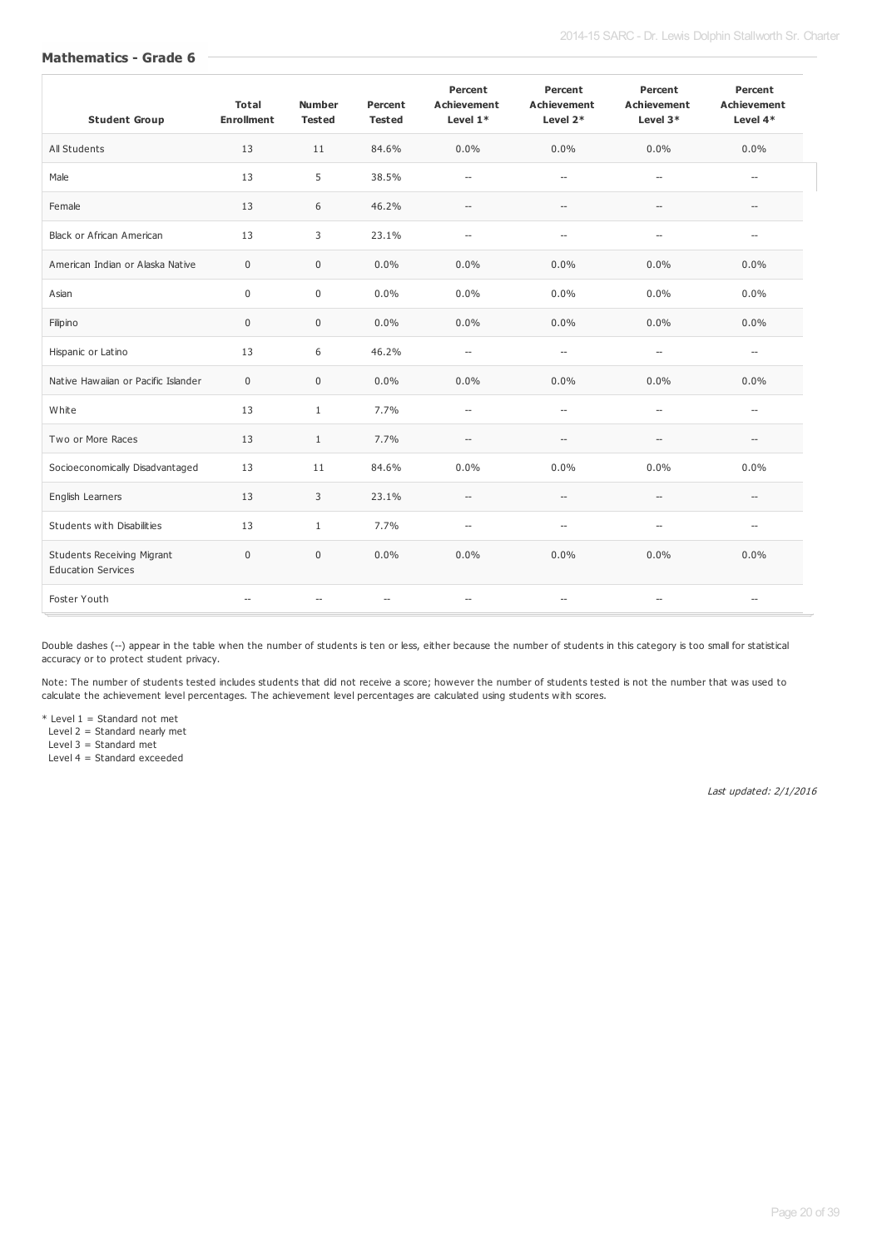| <b>Student Group</b>                                           | <b>Total</b><br><b>Enrollment</b> | <b>Number</b><br><b>Tested</b> | Percent<br><b>Tested</b> | Percent<br><b>Achievement</b><br>Level 1* | Percent<br><b>Achievement</b><br>Level 2*           | Percent<br><b>Achievement</b><br>Level $3*$ | Percent<br><b>Achievement</b><br>Level $4*$ |
|----------------------------------------------------------------|-----------------------------------|--------------------------------|--------------------------|-------------------------------------------|-----------------------------------------------------|---------------------------------------------|---------------------------------------------|
| All Students                                                   | 13                                | 11                             | 84.6%                    | $0.0\%$                                   | 0.0%                                                | 0.0%                                        | $0.0\%$                                     |
| Male                                                           | 13                                | 5                              | 38.5%                    | $\overline{a}$                            | $\overline{\phantom{a}}$                            | $\overline{\phantom{a}}$                    | $\overline{\phantom{a}}$                    |
| Female                                                         | 13                                | 6                              | 46.2%                    | $\hspace{0.05cm} -\hspace{0.05cm}$        | $\overline{\phantom{a}}$                            | $\overline{\phantom{a}}$                    | $\overline{\phantom{0}}$                    |
| <b>Black or African American</b>                               | 13                                | 3                              | 23.1%                    | $\overline{\phantom{a}}$                  | $\overline{\phantom{a}}$                            | $\overline{\phantom{a}}$                    | $\overline{a}$                              |
| American Indian or Alaska Native                               | $\mathbf 0$                       | $\mathbf 0$                    | 0.0%                     | $0.0\%$                                   | 0.0%                                                | 0.0%                                        | 0.0%                                        |
| Asian                                                          | $\mathbf 0$                       | $\mathbf 0$                    | 0.0%                     | $0.0\%$                                   | 0.0%                                                | 0.0%                                        | $0.0\%$                                     |
| Filipino                                                       | $\mathbf 0$                       | $\mathbf 0$                    | 0.0%                     | 0.0%                                      | 0.0%                                                | 0.0%                                        | 0.0%                                        |
| Hispanic or Latino                                             | 13                                | 6                              | 46.2%                    | $\overline{a}$                            | $\overline{\phantom{a}}$                            | $\overline{\phantom{a}}$                    | $\overline{a}$                              |
| Native Hawaiian or Pacific Islander                            | $\mathbf 0$                       | $\mathbf 0$                    | 0.0%                     | 0.0%                                      | 0.0%                                                | 0.0%                                        | 0.0%                                        |
| White                                                          | 13                                | $\mathbf{1}$                   | 7.7%                     | $\overline{a}$                            | $\overline{\phantom{a}}$                            | $\overline{\phantom{a}}$                    | $\overline{a}$                              |
| Two or More Races                                              | 13                                | $\mathbf{1}$                   | 7.7%                     | $\overline{\phantom{a}}$                  | $\overline{\phantom{a}}$                            | $\overline{\phantom{a}}$                    | $\overline{\phantom{0}}$                    |
| Socioeconomically Disadvantaged                                | 13                                | 11                             | 84.6%                    | 0.0%                                      | 0.0%                                                | 0.0%                                        | 0.0%                                        |
| English Learners                                               | 13                                | 3                              | 23.1%                    | $\overline{\phantom{a}}$                  | $\overline{\phantom{a}}$                            | $\overline{\phantom{a}}$                    | $\overline{a}$                              |
| Students with Disabilities                                     | 13                                | $\mathbf{1}$                   | 7.7%                     | $\overline{\phantom{a}}$                  | $\overline{\phantom{a}}$                            | $\overline{\phantom{a}}$                    | $\overline{a}$                              |
| <b>Students Receiving Migrant</b><br><b>Education Services</b> | $\mathbf 0$                       | $\mathbf 0$                    | 0.0%                     | 0.0%                                      | 0.0%                                                | 0.0%                                        | 0.0%                                        |
| Foster Youth                                                   | $\overline{a}$                    | $-$                            | $-$                      | $\overline{\phantom{a}}$                  | $\hspace{0.05cm} -\hspace{0.05cm} -\hspace{0.05cm}$ | $-$                                         | $-$                                         |

Double dashes (--) appear in the table when the number of students is ten or less, either because the number of students in this category is too small for statistical accuracy or to protect student privacy.

Note: The number of students tested includes students that did not receive a score; however the number of students tested is not the number that was used to calculate the achievement level percentages. The achievement level percentages are calculated using students with scores.

\* Level 1 = Standard not met

Level 2 = Standard nearly met

Level 3 = Standard met

Level 4 = Standard exceeded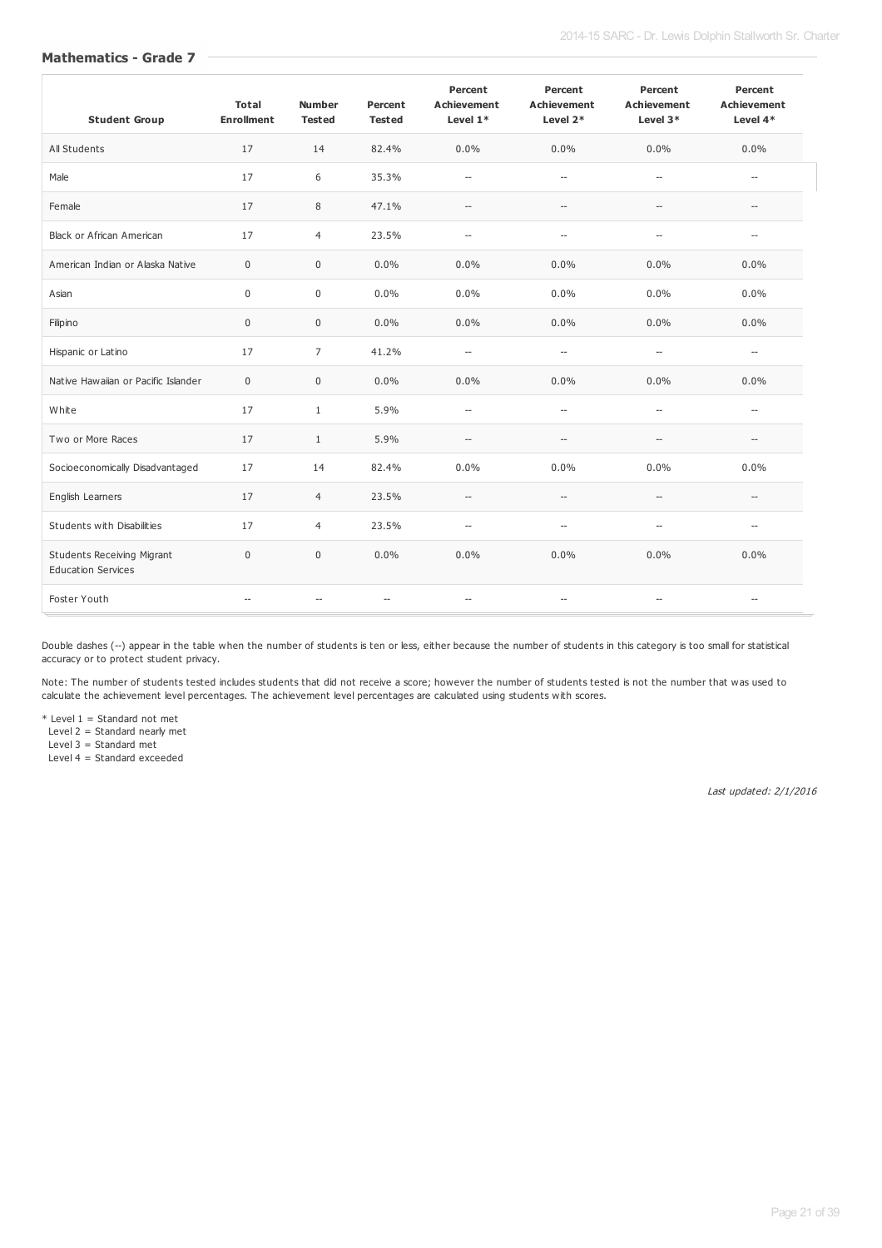| <b>Student Group</b>                                           | <b>Total</b><br><b>Enrollment</b> | <b>Number</b><br><b>Tested</b> | Percent<br><b>Tested</b> | Percent<br><b>Achievement</b><br>Level 1* | Percent<br><b>Achievement</b><br>Level 2*           | Percent<br><b>Achievement</b><br>Level $3*$         | Percent<br><b>Achievement</b><br>Level $4*$ |
|----------------------------------------------------------------|-----------------------------------|--------------------------------|--------------------------|-------------------------------------------|-----------------------------------------------------|-----------------------------------------------------|---------------------------------------------|
| All Students                                                   | 17                                | 14                             | 82.4%                    | $0.0\%$                                   | 0.0%                                                | 0.0%                                                | $0.0\%$                                     |
| Male                                                           | 17                                | 6                              | 35.3%                    | $\overline{a}$                            | $\overline{\phantom{a}}$                            | $\overline{\phantom{a}}$                            | $\overline{\phantom{a}}$                    |
| Female                                                         | 17                                | 8                              | 47.1%                    | $\hspace{0.05cm} \ldots$                  | $\hspace{0.05cm} -\hspace{0.05cm} -\hspace{0.05cm}$ | $\hspace{0.05cm} -\hspace{0.05cm} -\hspace{0.05cm}$ | $\hspace{0.05cm} -\hspace{0.05cm}$          |
| <b>Black or African American</b>                               | 17                                | $\overline{4}$                 | 23.5%                    | $\overline{a}$                            | $\overline{\phantom{a}}$                            | $\overline{\phantom{a}}$                            | $\overline{a}$                              |
| American Indian or Alaska Native                               | $\mathbf 0$                       | $\mathbf 0$                    | 0.0%                     | 0.0%                                      | 0.0%                                                | 0.0%                                                | 0.0%                                        |
| Asian                                                          | $\mathbf 0$                       | $\mathbf 0$                    | 0.0%                     | $0.0\%$                                   | 0.0%                                                | 0.0%                                                | $0.0\%$                                     |
| Filipino                                                       | $\mathbf 0$                       | $\mathbf 0$                    | 0.0%                     | 0.0%                                      | 0.0%                                                | 0.0%                                                | 0.0%                                        |
| Hispanic or Latino                                             | 17                                | $\overline{7}$                 | 41.2%                    | $\overline{\phantom{a}}$                  | $\overline{\phantom{a}}$                            | $\overline{\phantom{a}}$                            | $\overline{\phantom{a}}$                    |
| Native Hawaiian or Pacific Islander                            | $\mathbf 0$                       | $\mathbf 0$                    | 0.0%                     | 0.0%                                      | 0.0%                                                | 0.0%                                                | 0.0%                                        |
| White                                                          | 17                                | $\mathbf{1}$                   | 5.9%                     | $\overline{\phantom{a}}$                  | $\overline{\phantom{a}}$                            | $\overline{\phantom{a}}$                            | $\overline{a}$                              |
| Two or More Races                                              | 17                                | $\mathbf{1}$                   | 5.9%                     | $\overline{\phantom{a}}$                  | $\hspace{0.05cm} -\hspace{0.05cm} -\hspace{0.05cm}$ | $\overline{\phantom{a}}$                            | $\overline{a}$                              |
| Socioeconomically Disadvantaged                                | 17                                | 14                             | 82.4%                    | 0.0%                                      | 0.0%                                                | 0.0%                                                | 0.0%                                        |
| English Learners                                               | 17                                | $\overline{4}$                 | 23.5%                    | $\hspace{0.05cm} \ldots$                  | $\overline{\phantom{a}}$                            | $\overline{\phantom{a}}$                            | $\overline{a}$                              |
| Students with Disabilities                                     | 17                                | $\overline{4}$                 | 23.5%                    | $\overline{\phantom{a}}$                  | $\overline{\phantom{a}}$                            | $\overline{a}$                                      | $\overline{\phantom{a}}$                    |
| <b>Students Receiving Migrant</b><br><b>Education Services</b> | $\mathbf 0$                       | $\mathbf{0}$                   | 0.0%                     | 0.0%                                      | 0.0%                                                | 0.0%                                                | 0.0%                                        |
| Foster Youth                                                   | $\overline{a}$                    | --                             | $\overline{\phantom{a}}$ | $\overline{\phantom{a}}$                  | $\overline{\phantom{a}}$                            | $-$                                                 | $\overline{\phantom{a}}$                    |

Double dashes (--) appear in the table when the number of students is ten or less, either because the number of students in this category is too small for statistical accuracy or to protect student privacy.

Note: The number of students tested includes students that did not receive a score; however the number of students tested is not the number that was used to calculate the achievement level percentages. The achievement level percentages are calculated using students with scores.

\* Level 1 = Standard not met

Level 2 = Standard nearly met

Level 3 = Standard met

Level 4 = Standard exceeded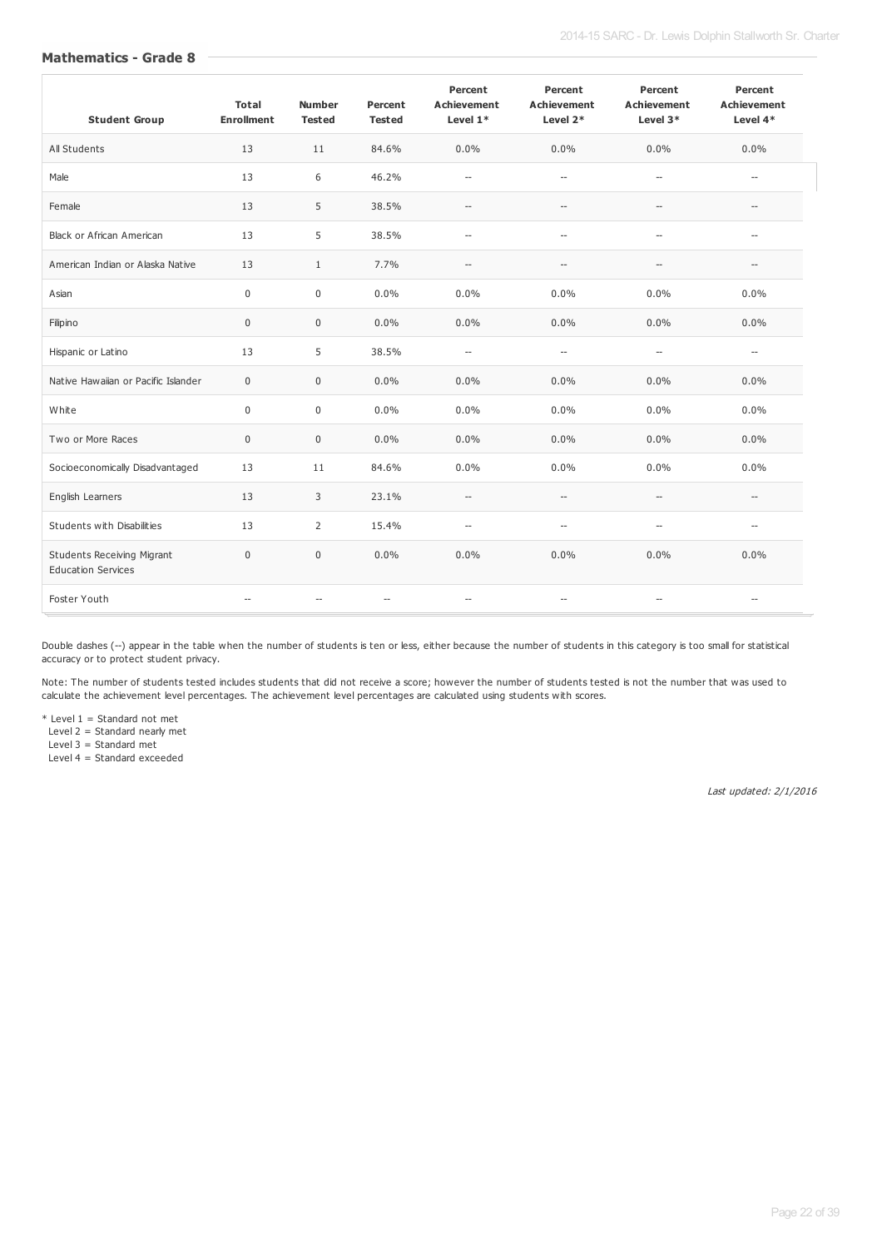| <b>Student Group</b>                                           | <b>Total</b><br><b>Enrollment</b> | <b>Number</b><br><b>Tested</b> | Percent<br><b>Tested</b> | Percent<br><b>Achievement</b><br>Level $1*$ | Percent<br><b>Achievement</b><br>Level $2*$         | Percent<br><b>Achievement</b><br>Level 3* | Percent<br><b>Achievement</b><br>Level $4*$ |
|----------------------------------------------------------------|-----------------------------------|--------------------------------|--------------------------|---------------------------------------------|-----------------------------------------------------|-------------------------------------------|---------------------------------------------|
| All Students                                                   | 13                                | 11                             | 84.6%                    | 0.0%                                        | 0.0%                                                | 0.0%                                      | 0.0%                                        |
| Male                                                           | 13                                | 6                              | 46.2%                    | $\overline{\phantom{a}}$                    | $\overline{\phantom{a}}$                            | $\overline{\phantom{a}}$                  | $\overline{\phantom{a}}$                    |
| Female                                                         | 13                                | 5                              | 38.5%                    | $\overline{\phantom{a}}$                    | $\overline{\phantom{a}}$                            | $\overline{\phantom{a}}$                  | $\overline{a}$                              |
| <b>Black or African American</b>                               | 13                                | 5                              | 38.5%                    | $\overline{\phantom{a}}$                    | $\overline{\phantom{a}}$                            | $\overline{\phantom{a}}$                  | $\overline{a}$                              |
| American Indian or Alaska Native                               | 13                                | $\mathbf{1}$                   | 7.7%                     | $\hspace{0.05cm} -$                         | $\overline{\phantom{a}}$                            | $\overline{\phantom{a}}$                  | $\overline{\phantom{a}}$                    |
| Asian                                                          | $\mathbf 0$                       | $\mathbf 0$                    | 0.0%                     | $0.0\%$                                     | 0.0%                                                | 0.0%                                      | $0.0\%$                                     |
| Filipino                                                       | $\mathbf 0$                       | $\mathbf 0$                    | 0.0%                     | $0.0\%$                                     | 0.0%                                                | 0.0%                                      | $0.0\%$                                     |
| Hispanic or Latino                                             | 13                                | 5                              | 38.5%                    | $\overline{\phantom{a}}$                    | $\hspace{0.05cm} -\hspace{0.05cm} -\hspace{0.05cm}$ | $\overline{\phantom{a}}$                  | $\overline{\phantom{0}}$                    |
| Native Hawaiian or Pacific Islander                            | $\mathbf 0$                       | $\mathbf 0$                    | 0.0%                     | $0.0\%$                                     | 0.0%                                                | 0.0%                                      | $0.0\%$                                     |
| White                                                          | $\mathbf 0$                       | $\mathbf 0$                    | 0.0%                     | $0.0\%$                                     | 0.0%                                                | 0.0%                                      | $0.0\%$                                     |
| Two or More Races                                              | $\mathbf 0$                       | $\mathbf 0$                    | 0.0%                     | 0.0%                                        | 0.0%                                                | 0.0%                                      | 0.0%                                        |
| Socioeconomically Disadvantaged                                | 13                                | 11                             | 84.6%                    | 0.0%                                        | 0.0%                                                | 0.0%                                      | 0.0%                                        |
| English Learners                                               | 13                                | 3                              | 23.1%                    | $\hspace{0.05cm} -\hspace{0.05cm}$          | $\overline{\phantom{a}}$                            | $\overline{\phantom{a}}$                  | $\overline{\phantom{a}}$                    |
| Students with Disabilities                                     | 13                                | $\overline{2}$                 | 15.4%                    | $\overline{\phantom{a}}$                    | $\overline{\phantom{a}}$                            | $\overline{\phantom{a}}$                  | $\overline{\phantom{a}}$                    |
| <b>Students Receiving Migrant</b><br><b>Education Services</b> | $\mathbf 0$                       | $\mathbf 0$                    | 0.0%                     | 0.0%                                        | 0.0%                                                | 0.0%                                      | 0.0%                                        |
| Foster Youth                                                   | $\overline{a}$                    | $\overline{\phantom{a}}$       | $\overline{\phantom{0}}$ | $\overline{\phantom{a}}$                    | $\hspace{0.05cm} -\hspace{0.05cm} -\hspace{0.05cm}$ | $\overline{\phantom{a}}$                  | $\overline{a}$                              |

Double dashes (--) appear in the table when the number of students is ten or less, either because the number of students in this category is too small for statistical accuracy or to protect student privacy.

Note: The number of students tested includes students that did not receive a score; however the number of students tested is not the number that was used to calculate the achievement level percentages. The achievement level percentages are calculated using students with scores.

\* Level 1 = Standard not met

Level 2 = Standard nearly met

Level 3 = Standard met

Level 4 = Standard exceeded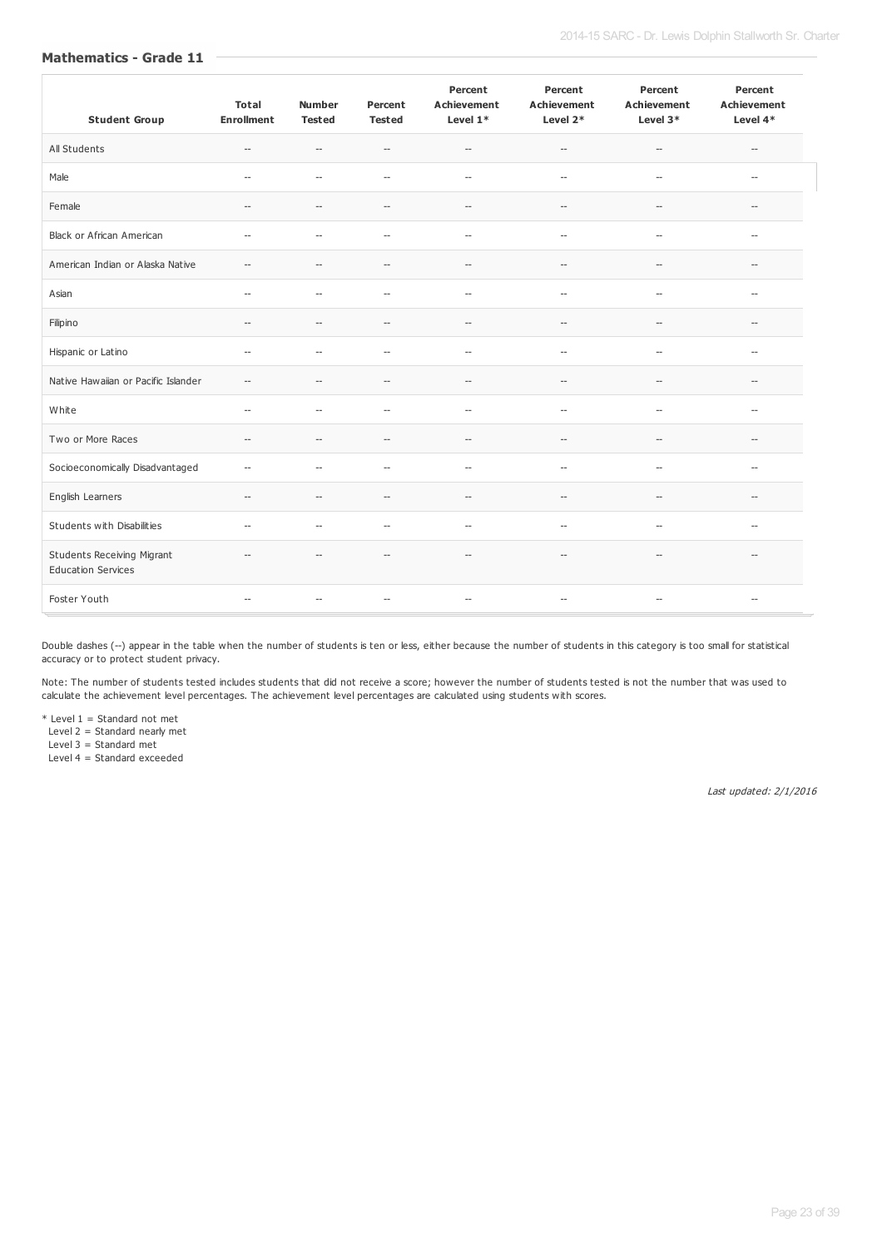| <b>Student Group</b>                                           | <b>Total</b><br><b>Enrollment</b> | <b>Number</b><br><b>Tested</b> | Percent<br><b>Tested</b>                            | Percent<br><b>Achievement</b><br>Level $1*$ | Percent<br><b>Achievement</b><br>Level 2*           | Percent<br><b>Achievement</b><br>Level 3*           | Percent<br><b>Achievement</b><br>Level $4*$ |
|----------------------------------------------------------------|-----------------------------------|--------------------------------|-----------------------------------------------------|---------------------------------------------|-----------------------------------------------------|-----------------------------------------------------|---------------------------------------------|
| All Students                                                   | $\hspace{0.05cm} \ldots$          | $\overline{\phantom{a}}$       | $\hspace{0.05cm} -\hspace{0.05cm} -\hspace{0.05cm}$ | $\hspace{0.05cm} -\hspace{0.05cm}$          | $\hspace{0.05cm} -\hspace{0.05cm} -\hspace{0.05cm}$ | $\overline{\phantom{a}}$                            | $\overline{\phantom{0}}$                    |
| Male                                                           | $\overline{\phantom{a}}$          | $\overline{\phantom{a}}$       | $\hspace{0.05cm} -\hspace{0.05cm}$                  | $\overline{\phantom{a}}$                    | $\overline{\phantom{a}}$                            | $\overline{\phantom{a}}$                            | $\overline{\phantom{a}}$                    |
| Female                                                         | $\overline{\phantom{a}}$          | --                             | $\overline{\phantom{a}}$                            | $\overline{\phantom{a}}$                    | $\overline{\phantom{a}}$                            | $\overline{\phantom{a}}$                            | $\overline{a}$                              |
| <b>Black or African American</b>                               | $\overline{\phantom{a}}$          | $\overline{a}$                 | $\overline{\phantom{a}}$                            | $\overline{\phantom{a}}$                    | $\overline{\phantom{a}}$                            | $\overline{\phantom{a}}$                            | $\overline{a}$                              |
| American Indian or Alaska Native                               | $-$                               | $\overline{\phantom{a}}$       | $\hspace{0.05cm} -\hspace{0.05cm}$                  | $\overline{\phantom{a}}$                    | $\qquad \qquad -$                                   | $\overline{\phantom{a}}$                            | $\overline{\phantom{a}}$                    |
| Asian                                                          | $\overline{\phantom{a}}$          | $\overline{\phantom{a}}$       | $\overline{\phantom{a}}$                            | $\overline{\phantom{a}}$                    | $\overline{\phantom{a}}$                            | $\overline{\phantom{a}}$                            | $\overline{\phantom{a}}$                    |
| Filipino                                                       | $\overline{\phantom{a}}$          | $\overline{\phantom{0}}$       | $\overline{\phantom{a}}$                            | $\overline{\phantom{a}}$                    | $\overline{\phantom{a}}$                            | $\hspace{0.05cm} -\hspace{0.05cm} -\hspace{0.05cm}$ | $\hspace{0.05cm} -\hspace{0.05cm}$          |
| Hispanic or Latino                                             | $\overline{\phantom{a}}$          | $\overline{\phantom{a}}$       | $\overline{\phantom{a}}$                            | $\overline{\phantom{a}}$                    | $\overline{\phantom{a}}$                            | $\overline{\phantom{a}}$                            | $\hspace{0.05cm} -$                         |
| Native Hawaiian or Pacific Islander                            | $\overline{\phantom{a}}$          | $\overline{a}$                 | $\hspace{0.05cm} -\hspace{0.05cm} -\hspace{0.05cm}$ | $\hspace{0.05cm} -\hspace{0.05cm}$          | $\hspace{0.05cm} -\hspace{0.05cm} -\hspace{0.05cm}$ | $\hspace{0.05cm} -\hspace{0.05cm} -\hspace{0.05cm}$ | $\overline{\phantom{a}}$                    |
| White                                                          | $\overline{\phantom{a}}$          | $\overline{\phantom{a}}$       | $\overline{\phantom{a}}$                            | $\overline{\phantom{a}}$                    | $\overline{\phantom{a}}$                            | $\overline{\phantom{a}}$                            | $\overline{\phantom{a}}$                    |
| Two or More Races                                              | $\overline{\phantom{a}}$          | --                             | $\hspace{0.05cm} -\hspace{0.05cm}$                  | $\hspace{0.05cm} -\hspace{0.05cm}$          | $\hspace{0.05cm} -\hspace{0.05cm} -\hspace{0.05cm}$ | $\hspace{0.05cm} -\hspace{0.05cm} -\hspace{0.05cm}$ | --                                          |
| Socioeconomically Disadvantaged                                | $\overline{\phantom{a}}$          | --                             | $\hspace{0.05cm} -\hspace{0.05cm}$                  | $\overline{\phantom{a}}$                    | $\overline{\phantom{a}}$                            | $\overline{\phantom{a}}$                            | $\overline{\phantom{a}}$                    |
| English Learners                                               | $\overline{\phantom{a}}$          | --                             | $\hspace{0.05cm} -\hspace{0.05cm}$                  | $\hspace{0.05cm} -\hspace{0.05cm}$          | $\hspace{0.05cm} -\hspace{0.05cm} -\hspace{0.05cm}$ | $\overline{\phantom{a}}$                            | $\overline{\phantom{0}}$                    |
| Students with Disabilities                                     | $\overline{\phantom{a}}$          | --                             | $\hspace{0.05cm} -\hspace{0.05cm}$                  | $\overline{\phantom{a}}$                    | $\overline{\phantom{a}}$                            | $\overline{\phantom{a}}$                            | $\overline{\phantom{0}}$                    |
| <b>Students Receiving Migrant</b><br><b>Education Services</b> | $\overline{\phantom{a}}$          | $\overline{\phantom{0}}$       | $\hspace{0.05cm} -\hspace{0.05cm}$                  | $\overline{\phantom{a}}$                    | $\hspace{0.05cm} -\hspace{0.05cm}$                  | $\hspace{0.05cm} \ldots$                            | $\overline{\phantom{0}}$                    |
| Foster Youth                                                   | $\overline{\phantom{a}}$          | $\hspace{0.05cm} \ldots$       | $\hspace{0.05cm} -\hspace{0.05cm}$                  | $\hspace{0.05cm} \ldots$                    | $\hspace{0.05cm} -\hspace{0.05cm} -\hspace{0.05cm}$ | $\hspace{0.05cm} \ldots$                            | $\overline{\phantom{a}}$                    |

Double dashes (--) appear in the table when the number of students is ten or less, either because the number of students in this category is too small for statistical accuracy or to protect student privacy.

Note: The number of students tested includes students that did not receive a score; however the number of students tested is not the number that was used to calculate the achievement level percentages. The achievement level percentages are calculated using students with scores.

\* Level 1 = Standard not met

Level 2 = Standard nearly met

Level 3 = Standard met

Level 4 = Standard exceeded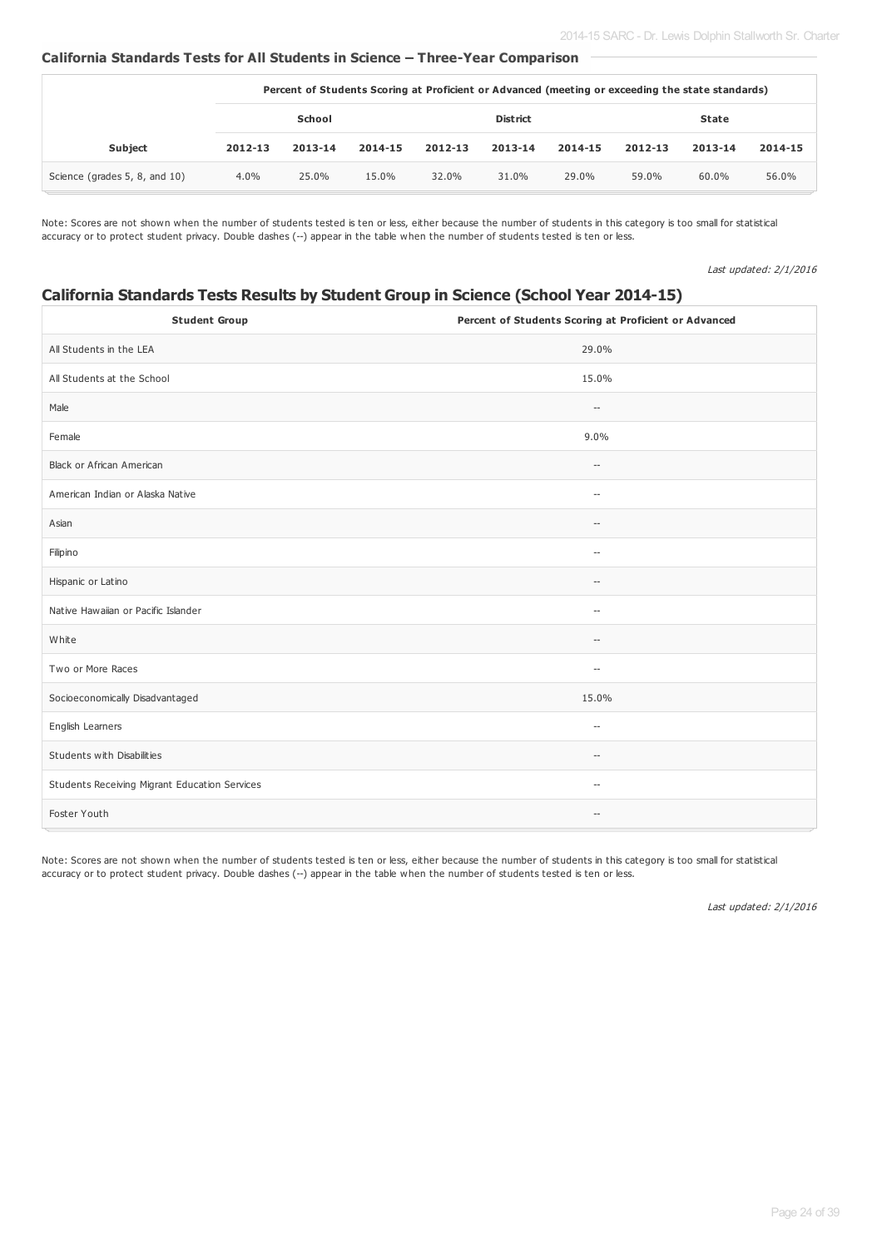#### **California Standards Tests for All Students in Science – Three-Year Comparison**

|                               | Percent of Students Scoring at Proficient or Advanced (meeting or exceeding the state standards) |         |         |                 |         |         |              |         |         |
|-------------------------------|--------------------------------------------------------------------------------------------------|---------|---------|-----------------|---------|---------|--------------|---------|---------|
|                               | School                                                                                           |         |         | <b>District</b> |         |         | <b>State</b> |         |         |
| <b>Subject</b>                | 2012-13                                                                                          | 2013-14 | 2014-15 | 2012-13         | 2013-14 | 2014-15 | 2012-13      | 2013-14 | 2014-15 |
| Science (grades 5, 8, and 10) | $4.0\%$                                                                                          | 25.0%   | 15.0%   | 32.0%           | 31.0%   | 29.0%   | 59.0%        | 60.0%   | 56.0%   |

Note: Scores are not shown when the number of students tested is ten or less, either because the number of students in this category is too small for statistical accuracy or to protect student privacy. Double dashes (--) appear in the table when the number of students tested is ten or less.

Last updated: 2/1/2016

# **California Standards Tests Results by Student Group in Science (School Year 2014-15)**

| <b>Student Group</b>                          | Percent of Students Scoring at Proficient or Advanced |
|-----------------------------------------------|-------------------------------------------------------|
| All Students in the LEA                       | 29.0%                                                 |
| All Students at the School                    | 15.0%                                                 |
| Male                                          | $\hspace{0.05cm} \ldots$                              |
| Female                                        | 9.0%                                                  |
| Black or African American                     | $\overline{\phantom{a}}$                              |
| American Indian or Alaska Native              | $\overline{\phantom{a}}$                              |
| Asian                                         | $\overline{\phantom{a}}$                              |
| Filipino                                      | $\overline{\phantom{a}}$                              |
| Hispanic or Latino                            | $\hspace{0.05cm} -$                                   |
| Native Hawaiian or Pacific Islander           | $\hspace{0.05cm} -\hspace{0.05cm}$                    |
| White                                         | $\hspace{0.05cm} \ldots$                              |
| Two or More Races                             | $\hspace{0.05cm} -$                                   |
| Socioeconomically Disadvantaged               | 15.0%                                                 |
| English Learners                              | $\overline{\phantom{a}}$                              |
| Students with Disabilities                    | $\hspace{0.05cm} \ldots$                              |
| Students Receiving Migrant Education Services | $\hspace{0.05cm} -$                                   |
| Foster Youth                                  | $\overline{\phantom{a}}$                              |

Note: Scores are not shown when the number of students tested is ten or less, either because the number of students in this category is too small for statistical accuracy or to protect student privacy. Double dashes (--) appear in the table when the number of students tested is ten or less.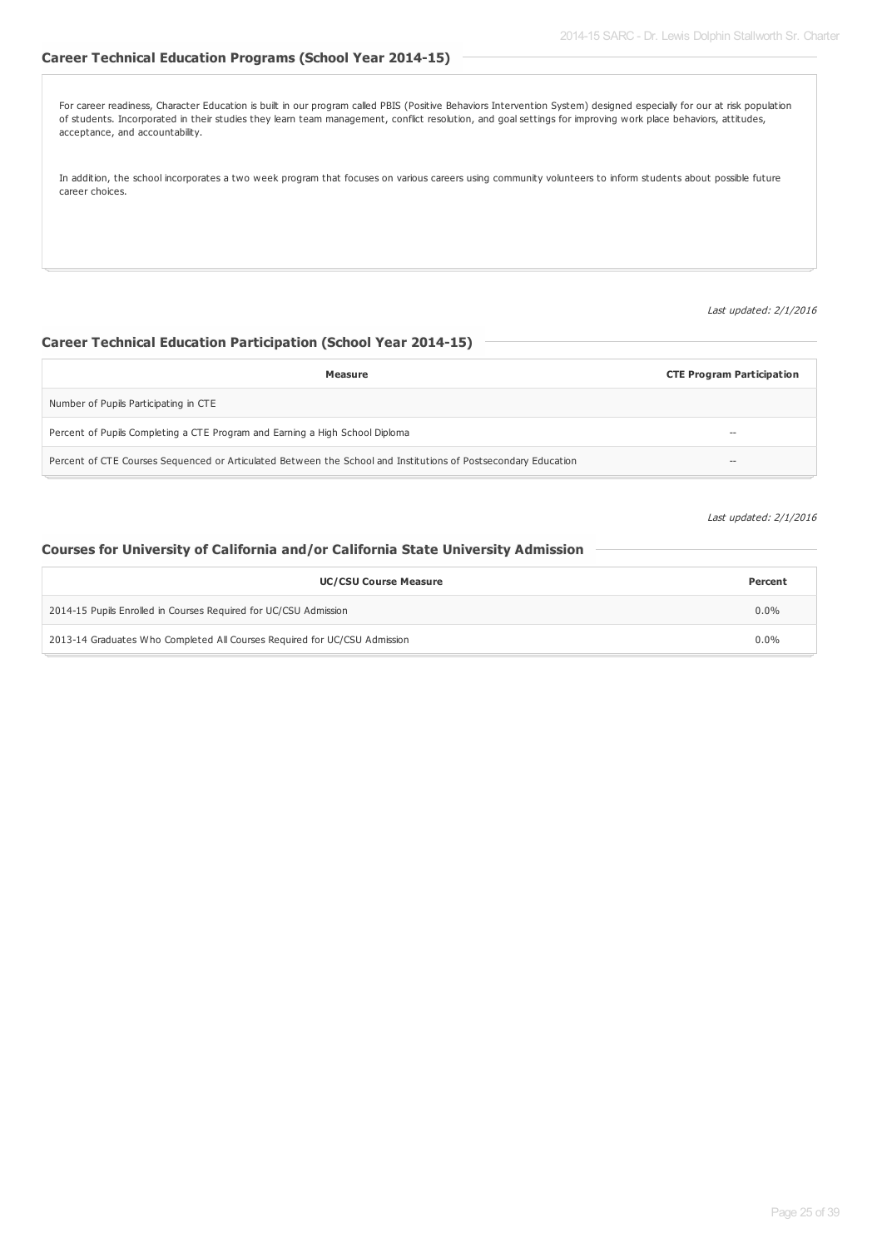## **Career Technical Education Programs (School Year 2014-15)**

For career readiness, Character Education is built in our program called PBIS (Positive Behaviors Intervention System) designed especially for our at risk population of students. Incorporated in their studies they learn team management, conflict resolution, and goal settings for improving work place behaviors, attitudes, acceptance, and accountability.

In addition, the school incorporates a two week program that focuses on various careers using community volunteers to inform students about possible future career choices.

Last updated: 2/1/2016

#### **Career Technical Education Participation (School Year 2014-15)**

| Measure                                                                                                        | <b>CTE Program Participation</b> |
|----------------------------------------------------------------------------------------------------------------|----------------------------------|
| Number of Pupils Participating in CTE                                                                          |                                  |
| Percent of Pupils Completing a CTE Program and Earning a High School Diploma                                   | $- -$                            |
| Percent of CTE Courses Sequenced or Articulated Between the School and Institutions of Postsecondary Education | $\!-$                            |

Last updated: 2/1/2016

#### **Courses for University of California and/or California State University Admission**

| <b>UC/CSU Course Measure</b>                                              | Percent |
|---------------------------------------------------------------------------|---------|
| 2014-15 Pupils Enrolled in Courses Required for UC/CSU Admission          | $0.0\%$ |
| 2013-14 Graduates Who Completed All Courses Required for UC/CSU Admission | $0.0\%$ |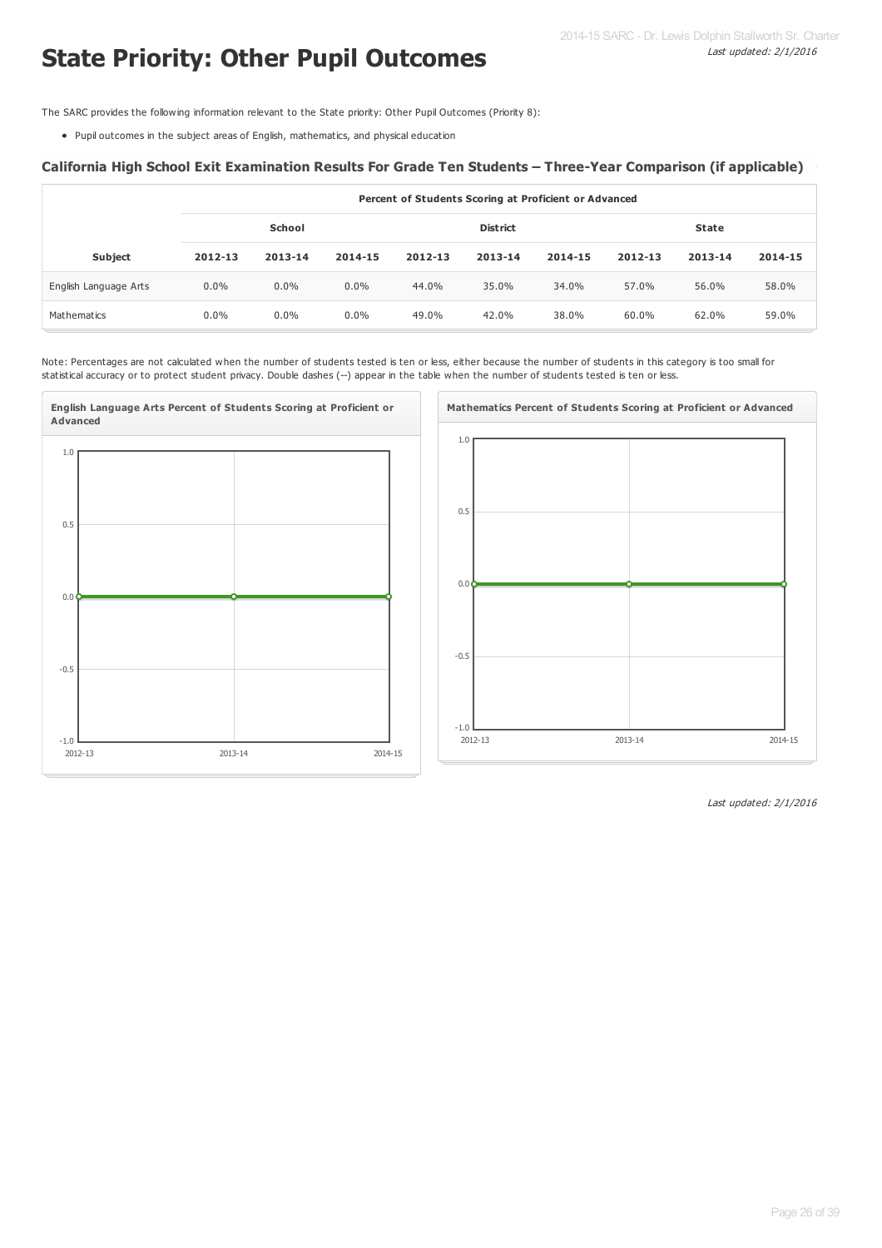# **State Priority: Other Pupil Outcomes**

The SARC provides the following information relevant to the State priority: Other Pupil Outcomes (Priority 8):

Pupil outcomes in the subject areas of English, mathematics, and physical education

#### **California High School Exit Examination Results For Grade Ten Students – Three-Year Comparison (if applicable)**

|                       | Percent of Students Scoring at Proficient or Advanced |         |         |         |                 |         |              |         |         |  |  |
|-----------------------|-------------------------------------------------------|---------|---------|---------|-----------------|---------|--------------|---------|---------|--|--|
|                       |                                                       | School  |         |         | <b>District</b> |         | <b>State</b> |         |         |  |  |
|                       |                                                       |         |         |         |                 |         |              |         |         |  |  |
| <b>Subject</b>        | 2012-13                                               | 2013-14 | 2014-15 | 2012-13 | 2013-14         | 2014-15 | 2012-13      | 2013-14 | 2014-15 |  |  |
| English Language Arts | $0.0\%$                                               | $0.0\%$ | $0.0\%$ | 44.0%   | 35.0%           | 34.0%   | 57.0%        | 56.0%   | 58.0%   |  |  |
| Mathematics           | $0.0\%$                                               | $0.0\%$ | $0.0\%$ | 49.0%   | 42.0%           | 38.0%   | 60.0%        | 62.0%   | 59.0%   |  |  |

Note: Percentages are not calculated when the number of students tested is ten or less, either because the number of students in this category is too small for statistical accuracy or to protect student privacy. Double dashes (--) appear in the table when the number of students tested is ten or less.



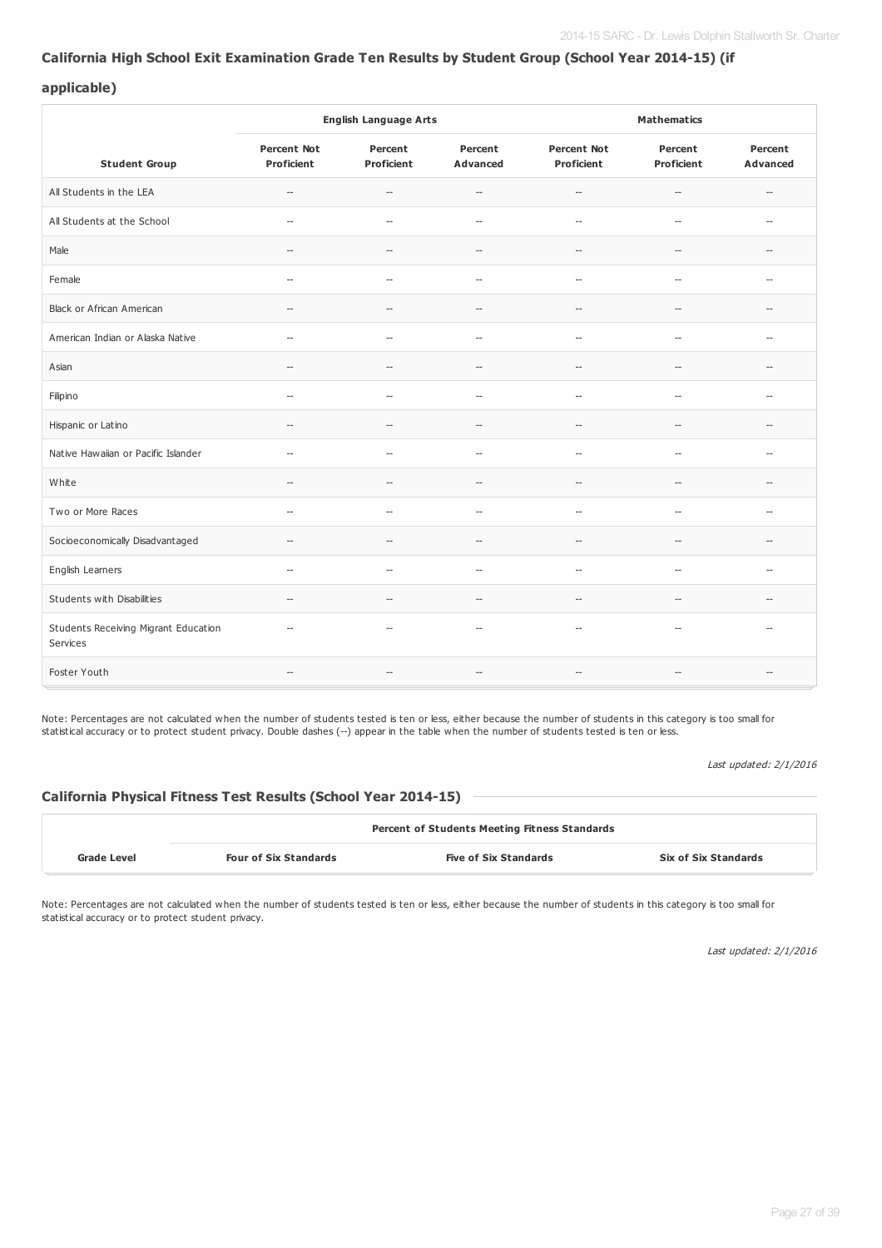#### **California High School Exit Examination Grade Ten Results by Student Group (School Year 2014-15) (if**

#### **applicable)**

|                                                  |                                     | <b>English Language Arts</b>                        |                                                     |                                                     | <b>Mathematics</b>                                  |                                     |  |  |
|--------------------------------------------------|-------------------------------------|-----------------------------------------------------|-----------------------------------------------------|-----------------------------------------------------|-----------------------------------------------------|-------------------------------------|--|--|
| <b>Student Group</b>                             | <b>Percent Not</b><br>Proficient    | Percent<br>Proficient                               | Percent<br>Advanced                                 | <b>Percent Not</b><br><b>Proficient</b>             | Percent<br><b>Proficient</b>                        | Percent<br><b>Advanced</b>          |  |  |
| All Students in the LEA                          | $\hspace{0.05cm} \ldots$            | $\overline{\phantom{a}}$                            | $\overline{\phantom{a}}$                            | $\hspace{0.05cm} -\hspace{0.05cm} -\hspace{0.05cm}$ | $\hspace{0.05cm} -\hspace{0.05cm}$                  | $\hspace{0.05cm} -\hspace{0.05cm}$  |  |  |
| All Students at the School                       | $\overline{\phantom{a}}$            | $\overline{\phantom{a}}$                            | $\overline{\phantom{a}}$                            | $\overline{\phantom{a}}$                            | $\overline{\phantom{a}}$                            | $\overline{a}$                      |  |  |
| Male                                             | $\overline{\phantom{a}}$            | $\overline{\phantom{a}}$                            | $\overline{\phantom{a}}$                            | $\overline{\phantom{a}}$                            | $\overline{\phantom{a}}$                            | $\overline{a}$                      |  |  |
| Female                                           | $\overline{\phantom{a}}$            | $\overline{\phantom{a}}$                            | --                                                  | $\overline{\phantom{a}}$                            | $\overline{\phantom{a}}$                            | $\hspace{0.05cm} -\hspace{0.05cm}$  |  |  |
| Black or African American                        | $\qquad \qquad -$                   | $\overline{\phantom{a}}$                            | $\overline{\phantom{a}}$                            | $\overline{\phantom{a}}$                            | $\hspace{0.05cm} -\hspace{0.05cm}$                  | $\overline{\phantom{a}}$            |  |  |
| American Indian or Alaska Native                 | $\overline{a}$                      | $\overline{\phantom{a}}$                            | $\overline{a}$                                      | $\overline{\phantom{a}}$                            | $\overline{\phantom{a}}$                            | $\overline{a}$                      |  |  |
| Asian                                            | $\hspace{0.05cm}$ $\hspace{0.05cm}$ | $\hspace{0.05cm} -\hspace{0.05cm} -\hspace{0.05cm}$ | $\overline{\phantom{a}}$                            | $\overline{\phantom{a}}$                            | $\overline{\phantom{a}}$                            | $\hspace{0.05cm}$ $\hspace{0.05cm}$ |  |  |
| Filipino                                         | $\overline{\phantom{a}}$            | --                                                  | $\overline{a}$                                      | $\overline{\phantom{a}}$                            | $\overline{\phantom{a}}$                            | $\overline{a}$                      |  |  |
| Hispanic or Latino                               | $\overline{a}$                      | --                                                  | $\overline{\phantom{a}}$                            | $\overline{\phantom{a}}$                            | $\overline{\phantom{a}}$                            | $\overline{\phantom{a}}$            |  |  |
| Native Hawaiian or Pacific Islander              | $\overline{\phantom{a}}$            | $\overline{\phantom{a}}$                            | $\overline{\phantom{a}}$                            | $\overline{a}$                                      | $\overline{\phantom{a}}$                            | $\overline{\phantom{a}}$            |  |  |
| White                                            | $\hspace{0.05cm} \ldots$            | $\overline{\phantom{a}}$                            | $\overline{a}$                                      | $\sim$                                              | $\hspace{0.05cm} -\hspace{0.05cm}$                  | $\overline{a}$                      |  |  |
| Two or More Races                                | $\overline{\phantom{a}}$            | $\overline{a}$                                      | $\overline{\phantom{a}}$                            | $\overline{\phantom{a}}$                            | $\hspace{0.05cm} -\hspace{0.05cm}$                  | $\overline{\phantom{a}}$            |  |  |
| Socioeconomically Disadvantaged                  | $\hspace{0.05cm} -\hspace{0.05cm}$  | $\overline{\phantom{a}}$                            | $\hspace{0.05cm} -\hspace{0.05cm} -\hspace{0.05cm}$ | $\hspace{0.05cm} -\hspace{0.05cm} -\hspace{0.05cm}$ | $\hspace{0.05cm} -\hspace{0.05cm} -\hspace{0.05cm}$ | $\overline{\phantom{a}}$            |  |  |
| English Learners                                 | $\hspace{0.05cm} -\hspace{0.05cm}$  | $\overline{\phantom{a}}$                            | $\hspace{0.05cm} -\hspace{0.05cm} -\hspace{0.05cm}$ | $\hspace{0.05cm} -\hspace{0.05cm} -\hspace{0.05cm}$ | $\hspace{0.05cm} -\hspace{0.05cm} -\hspace{0.05cm}$ | $\overline{\phantom{a}}$            |  |  |
| Students with Disabilities                       | $-$                                 | $\overline{a}$                                      | $-$                                                 | $\overline{a}$                                      | $\overline{\phantom{0}}$                            | $\overline{a}$                      |  |  |
| Students Receiving Migrant Education<br>Services | $\overline{\phantom{a}}$            | $\overline{\phantom{a}}$                            | $\overline{\phantom{a}}$                            | $\overline{\phantom{a}}$                            | $\overline{\phantom{a}}$                            | $\overline{a}$                      |  |  |
| Foster Youth                                     | $\qquad \qquad -$                   | $\qquad \qquad -$                                   | $\qquad \qquad -$                                   | $\hspace{0.05cm} -\hspace{0.05cm}$                  | $-\!$                                               | $\hspace{0.05cm} -$                 |  |  |

Note: Percentages are not calculated when the number of students tested is ten or less, either because the number of students in this category is too small for statistical accuracy or to protect student privacy. Double dashes (--) appear in the table when the number of students tested is ten or less.

Last updated: 2/1/2016

#### **California Physical Fitness Test Results (School Year 2014-15)**

|             | <b>Percent of Students Meeting Fitness Standards</b> |                              |                             |  |  |  |  |
|-------------|------------------------------------------------------|------------------------------|-----------------------------|--|--|--|--|
| Grade Level | <b>Four of Six Standards</b>                         | <b>Five of Six Standards</b> | <b>Six of Six Standards</b> |  |  |  |  |

Note: Percentages are not calculated when the number of students tested is ten or less, either because the number of students in this category is too small for statistical accuracy or to protect student privacy.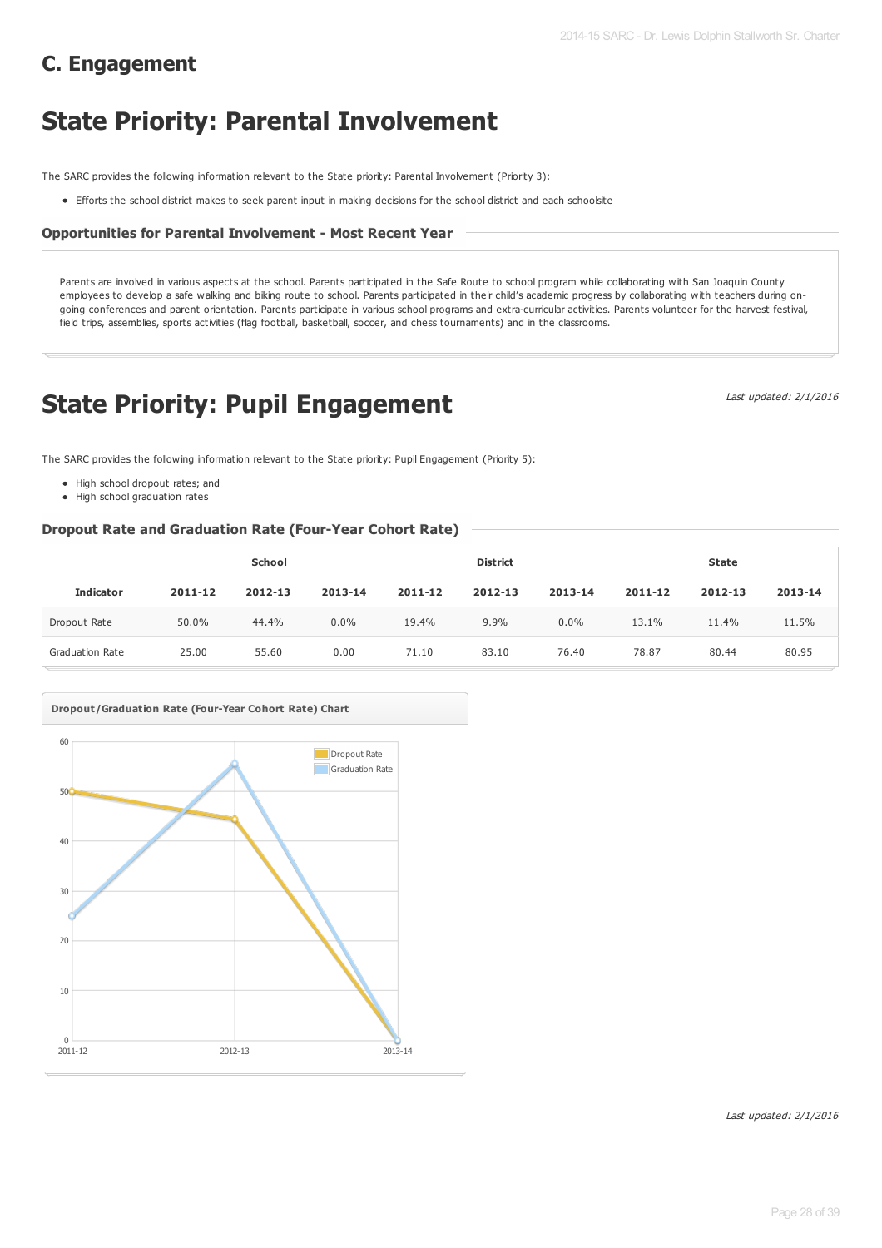# **State Priority: Parental Involvement**

The SARC provides the following information relevant to the State priority: Parental Involvement (Priority 3):

Efforts the school district makes to seek parent input in making decisions for the school district and each schoolsite

## **Opportunities for Parental Involvement - Most Recent Year**

Parents are involved in various aspects at the school. Parents participated in the Safe Route to school program while collaborating with San Joaquin County employees to develop a safe walking and biking route to school. Parents participated in their child's academic progress by collaborating with teachers during ongoing conferences and parent orientation. Parents participate in various school programs and extra-curricular activities. Parents volunteer for the harvest festival, field trips, assemblies, sports activities (flag football, basketball, soccer, and chess tournaments) and in the classrooms.

# **State Priority: Pupil Engagement**

Last updated: 2/1/2016

The SARC provides the following information relevant to the State priority: Pupil Engagement (Priority 5):

- High school dropout rates; and
- High school graduation rates

#### **Dropout Rate and Graduation Rate (Four-Year Cohort Rate)**

|                        | School  |         |         | <b>District</b> |         |         | <b>State</b> |         |         |
|------------------------|---------|---------|---------|-----------------|---------|---------|--------------|---------|---------|
| <b>Indicator</b>       | 2011-12 | 2012-13 | 2013-14 | 2011-12         | 2012-13 | 2013-14 | 2011-12      | 2012-13 | 2013-14 |
| Dropout Rate           | 50.0%   | 44.4%   | $0.0\%$ | 19.4%           | 9.9%    | $0.0\%$ | 13.1%        | 11.4%   | 11.5%   |
| <b>Graduation Rate</b> | 25.00   | 55.60   | 0.00    | 71.10           | 83.10   | 76.40   | 78.87        | 80.44   | 80.95   |

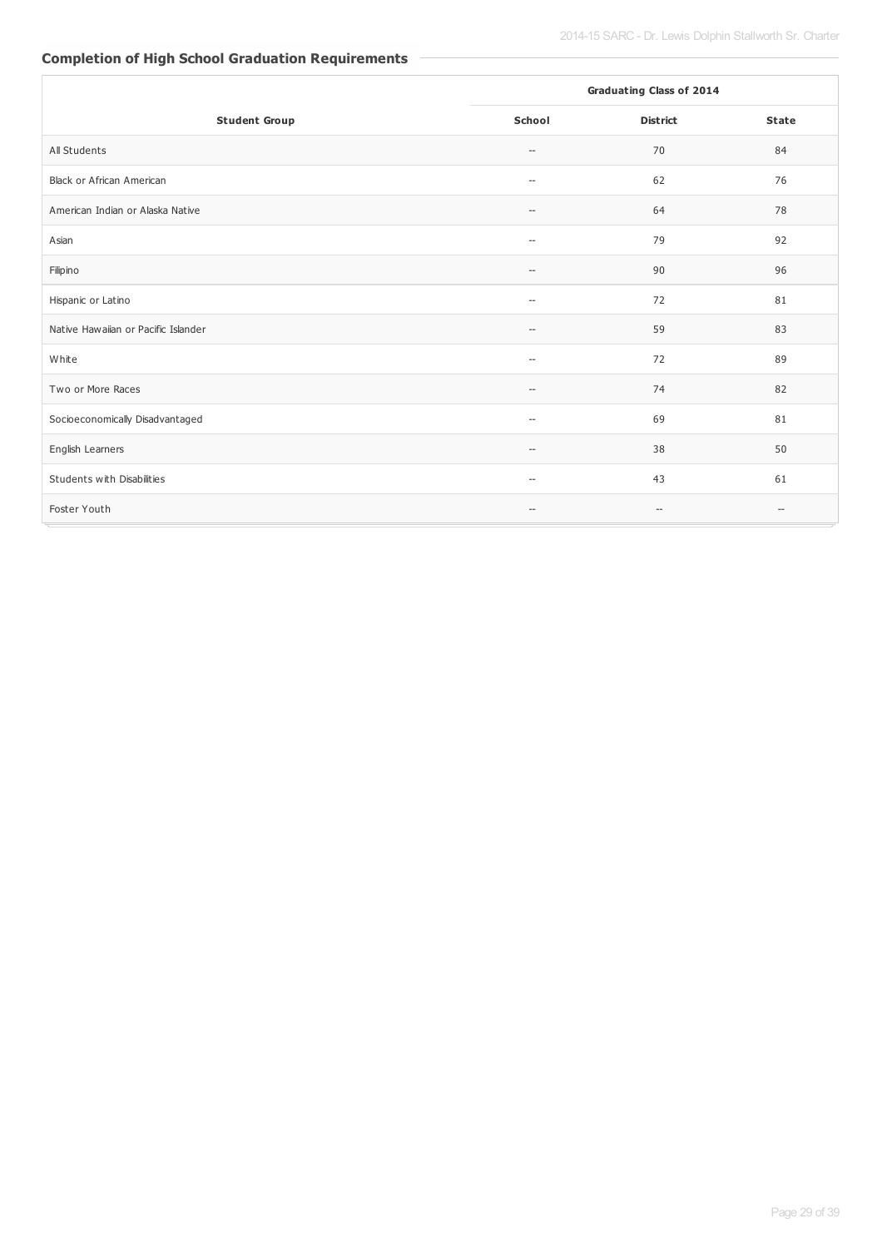# **Completion of High School Graduation Requirements**

|                                     | <b>Graduating Class of 2014</b>                     |                                                     |                                                     |
|-------------------------------------|-----------------------------------------------------|-----------------------------------------------------|-----------------------------------------------------|
| <b>Student Group</b>                | <b>School</b>                                       | <b>District</b>                                     | <b>State</b>                                        |
| All Students                        | $\hspace{0.05cm} \ldots$                            | 70                                                  | 84                                                  |
| Black or African American           | $\hspace{0.05cm} \ldots$                            | 62                                                  | 76                                                  |
| American Indian or Alaska Native    | $\hspace{0.05cm} \ldots$                            | 64                                                  | 78                                                  |
| Asian                               | $\hspace{0.05cm} \ldots$                            | 79                                                  | 92                                                  |
| Filipino                            | $\hspace{0.05cm} -\hspace{0.05cm} -\hspace{0.05cm}$ | 90                                                  | 96                                                  |
| Hispanic or Latino                  | $\overline{\phantom{a}}$                            | 72                                                  | 81                                                  |
| Native Hawaiian or Pacific Islander | $\hspace{0.05cm} \ldots$                            | 59                                                  | 83                                                  |
| White                               | $\overline{\phantom{a}}$                            | 72                                                  | 89                                                  |
| Two or More Races                   | $\qquad \qquad -$                                   | 74                                                  | 82                                                  |
| Socioeconomically Disadvantaged     | $\hspace{0.05cm} \ldots$                            | 69                                                  | 81                                                  |
| English Learners                    | $\hspace{0.05cm} \ldots$                            | 38                                                  | 50                                                  |
| Students with Disabilities          | $\overline{\phantom{a}}$                            | 43                                                  | 61                                                  |
| Foster Youth                        | $\hspace{0.05cm} \ldots$                            | $\hspace{0.05cm} -\hspace{0.05cm} -\hspace{0.05cm}$ | $\hspace{0.05cm} -\hspace{0.05cm} -\hspace{0.05cm}$ |

e.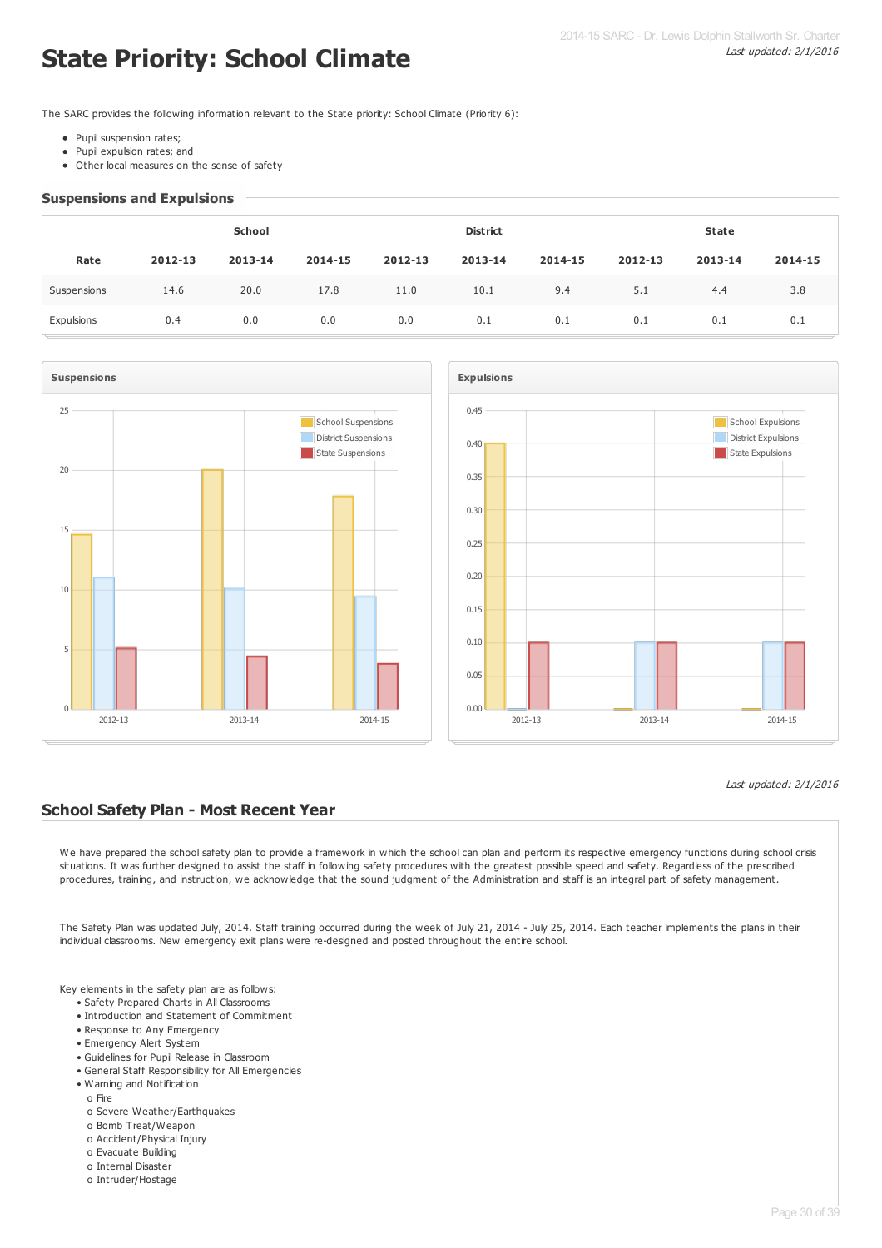# **State Priority: School Climate**

The SARC provides the following information relevant to the State priority: School Climate (Priority 6):

- Pupil suspension rates;
- Pupil expulsion rates; and  $\bullet$
- Other local measures on the sense of safety

#### **Suspensions and Expulsions**

|             | School  |         |         |         | <b>District</b> |         | <b>State</b> |         |         |
|-------------|---------|---------|---------|---------|-----------------|---------|--------------|---------|---------|
| Rate        | 2012-13 | 2013-14 | 2014-15 | 2012-13 | 2013-14         | 2014-15 | 2012-13      | 2013-14 | 2014-15 |
| Suspensions | 14.6    | 20.0    | 17.8    | 11.0    | 10.1            | 9.4     | 5.1          | 4.4     | 3.8     |
| Expulsions  | 0.4     | 0.0     | 0.0     | 0.0     | 0.1             | 0.1     | 0.1          | 0.1     | 0.1     |





#### Last updated: 2/1/2016

## **School Safety Plan - Most Recent Year**

We have prepared the school safety plan to provide a framework in which the school can plan and perform its respective emergency functions during school crisis situations. It was further designed to assist the staff in following safety procedures with the greatest possible speed and safety. Regardless of the prescribed procedures, training, and instruction, we acknowledge that the sound judgment of the Administration and staff is an integral part of safety management.

The Safety Plan was updated July, 2014. Staff training occurred during the week of July 21, 2014 - July 25, 2014. Each teacher implements the plans in their individual classrooms. New emergency exit plans were re-designed and posted throughout the entire school.

Key elements in the safety plan are as follows:

- Safety Prepared Charts in All Classrooms
- Introduction and Statement of Commitment
- Response to Any Emergency
- Emergency Alert System
- Guidelines for Pupil Release in Classroom
- General Staff Responsibility for All Emergencies
- Warning and Notification
	- o Fire
	- o Severe Weather/Earthquakes
	- o Bomb Treat/Weapon
	- o Accident/Physical Injury
	- o Evacuate Building
	- o Internal Disaster
	- o Intruder/Hostage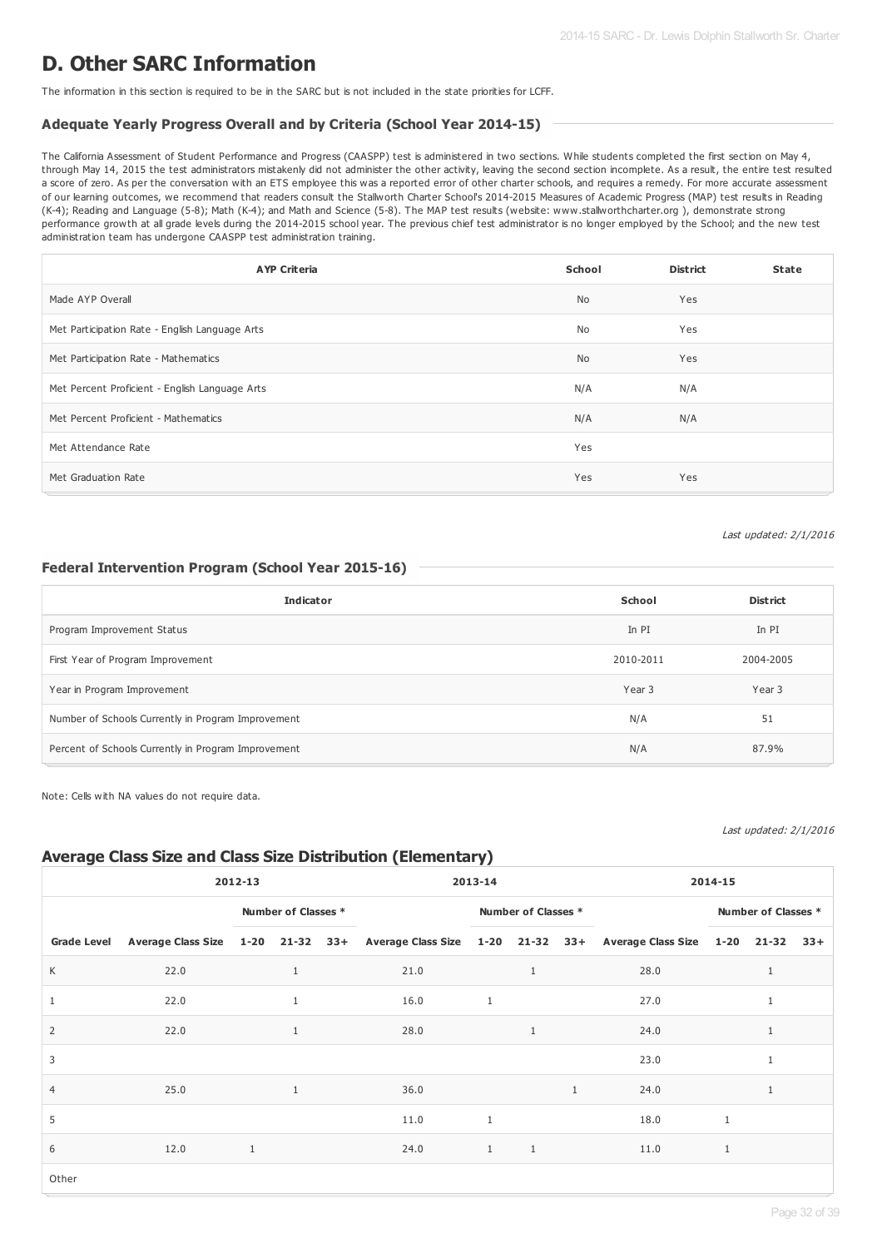# **D. Other SARC Information**

The information in this section is required to be in the SARC but is not included in the state priorities for LCFF.

#### **Adequate Yearly Progress Overall and by Criteria (School Year 2014-15)**

The California Assessment of Student Performance and Progress (CAASPP) test is administered in two sections. While students completed the first section on May 4, through May 14, 2015 the test administrators mistakenly did not administer the other activity, leaving the second section incomplete. As a result, the entire test resulted a score of zero. As per the conversation with an ETS employee this was a reported error of other charter schools, and requires a remedy. For more accurate assessment of our learning outcomes, we recommend that readers consult the Stallworth Charter School's 2014-2015 Measures of Academic Progress (MAP) test results in Reading (K-4); Reading and Language (5-8); Math (K-4); and Math and Science (5-8). The MAP test results (website: www.stallworthcharter.org ), demonstrate strong performance growth at all grade levels during the 2014-2015 school year. The previous chief test administrator is no longer employed by the School; and the new test administration team has undergone CAASPP test administration training.

| <b>AYP Criteria</b>                            | School    | <b>District</b> | <b>State</b> |
|------------------------------------------------|-----------|-----------------|--------------|
| Made AYP Overall                               | <b>No</b> | Yes             |              |
| Met Participation Rate - English Language Arts | <b>No</b> | Yes             |              |
| Met Participation Rate - Mathematics           | <b>No</b> | Yes             |              |
| Met Percent Proficient - English Language Arts | N/A       | N/A             |              |
| Met Percent Proficient - Mathematics           | N/A       | N/A             |              |
| Met Attendance Rate                            | Yes       |                 |              |
| Met Graduation Rate                            | Yes       | Yes             |              |

Last updated: 2/1/2016

#### **Federal Intervention Program (School Year 2015-16)**

| <b>Indicator</b>                                    | School    | <b>District</b> |
|-----------------------------------------------------|-----------|-----------------|
| Program Improvement Status                          | In PI     | In PI           |
| First Year of Program Improvement                   | 2010-2011 | 2004-2005       |
| Year in Program Improvement                         | Year 3    | Year 3          |
| Number of Schools Currently in Program Improvement  | N/A       | 51              |
| Percent of Schools Currently in Program Improvement | N/A       | 87.9%           |

Note: Cells with NA values do not require data.

Last updated: 2/1/2016

# **Average Class Size and Class Size Distribution (Elementary)**

| 2012-13            |      |                     |              | 2013-14 |                     |              | 2014-15      |              |                                                                                                       |   |  |  |
|--------------------|------|---------------------|--------------|---------|---------------------|--------------|--------------|--------------|-------------------------------------------------------------------------------------------------------|---|--|--|
|                    |      | Number of Classes * |              |         | Number of Classes * |              |              |              | Number of Classes *                                                                                   |   |  |  |
| <b>Grade Level</b> |      |                     |              |         |                     |              |              |              | Average Class Size 1-20 21-32 33+ Average Class Size 1-20 21-32 33+ Average Class Size 1-20 21-32 33+ |   |  |  |
| K                  | 22.0 |                     | $\mathbf{1}$ |         | 21.0                |              | $\mathbf{1}$ |              | 28.0                                                                                                  |   |  |  |
| 1                  | 22.0 |                     |              |         | 16.0                | 1            |              |              | 27.0                                                                                                  |   |  |  |
| $\overline{2}$     | 22.0 |                     | $\mathbf{1}$ |         | 28.0                |              | $\mathbf{1}$ |              | 24.0                                                                                                  |   |  |  |
| 3                  |      |                     |              |         |                     |              |              |              | 23.0                                                                                                  |   |  |  |
| $\overline{4}$     | 25.0 |                     | $\mathbf{1}$ |         | 36.0                |              |              | $\mathbf{1}$ | 24.0                                                                                                  |   |  |  |
| 5                  |      |                     |              |         | 11.0                | $\mathbf{1}$ |              |              | 18.0                                                                                                  | 1 |  |  |
| 6                  | 12.0 | $\mathbf{1}$        |              |         | 24.0                | $\mathbf{1}$ | $\mathbf{1}$ |              | 11.0                                                                                                  | 1 |  |  |
| Other              |      |                     |              |         |                     |              |              |              |                                                                                                       |   |  |  |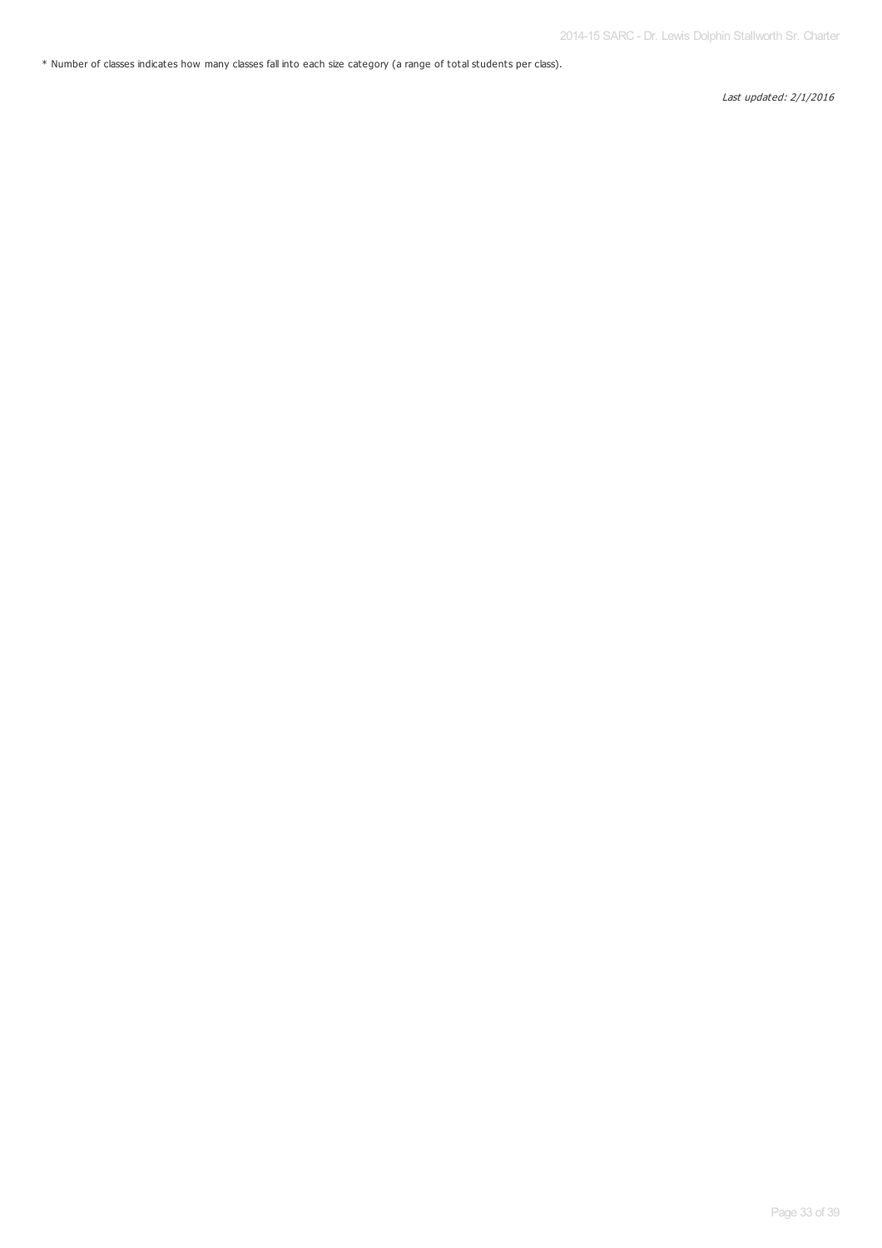\* Number of classes indicates how many classes fall into each size category (a range of total students per class).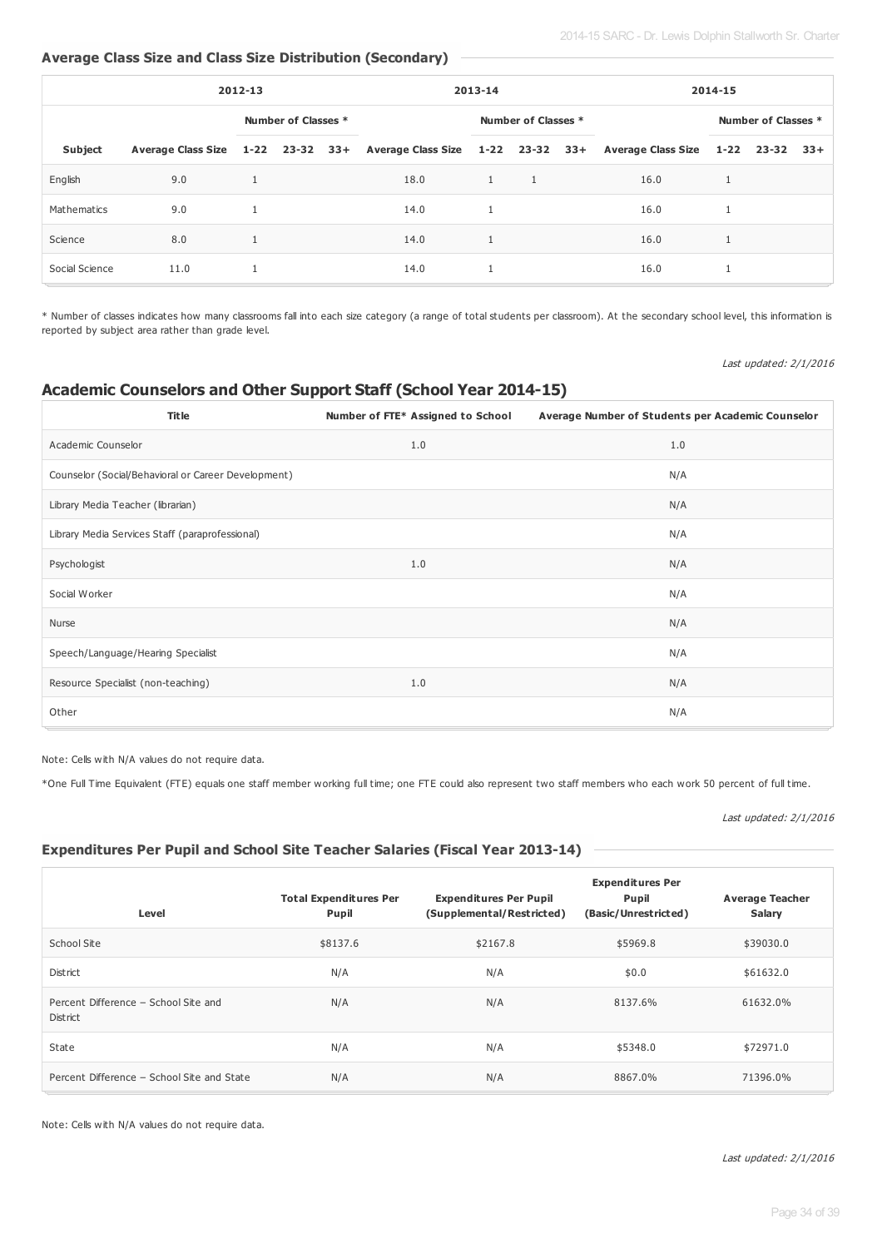## **Average Class Size and Class Size Distribution (Secondary)**

| 2012-13        |      |  | 2013-14             |  |      | 2014-15      |                     |  |                                                                                                       |   |                     |  |
|----------------|------|--|---------------------|--|------|--------------|---------------------|--|-------------------------------------------------------------------------------------------------------|---|---------------------|--|
|                |      |  | Number of Classes * |  |      |              | Number of Classes * |  |                                                                                                       |   | Number of Classes * |  |
| <b>Subject</b> |      |  |                     |  |      |              |                     |  | Average Class Size 1-22 23-32 33+ Average Class Size 1-22 23-32 33+ Average Class Size 1-22 23-32 33+ |   |                     |  |
| English        | 9.0  |  |                     |  | 18.0 | $\mathbf{1}$ | $\overline{1}$      |  | 16.0                                                                                                  | 1 |                     |  |
| Mathematics    | 9.0  |  |                     |  | 14.0 | $\mathbf{1}$ |                     |  | 16.0                                                                                                  |   |                     |  |
| Science        | 8.0  |  |                     |  | 14.0 | $\mathbf{1}$ |                     |  | 16.0                                                                                                  |   |                     |  |
| Social Science | 11.0 |  |                     |  | 14.0 | 1            |                     |  | 16.0                                                                                                  |   |                     |  |

\* Number of classes indicates how many classrooms fall into each size category (a range of total students per classroom). At the secondary school level, this information is reported by subject area rather than grade level.

Last updated: 2/1/2016

## **Academic Counselors and Other Support Staff (School Year 2014-15)**

| <b>Title</b>                                        | Number of FTE* Assigned to School | Average Number of Students per Academic Counselor |
|-----------------------------------------------------|-----------------------------------|---------------------------------------------------|
| Academic Counselor                                  | 1.0                               | 1.0                                               |
| Counselor (Social/Behavioral or Career Development) |                                   | N/A                                               |
| Library Media Teacher (librarian)                   |                                   | N/A                                               |
| Library Media Services Staff (paraprofessional)     |                                   | N/A                                               |
| Psychologist                                        | 1.0                               | N/A                                               |
| Social Worker                                       |                                   | N/A                                               |
| Nurse                                               |                                   | N/A                                               |
| Speech/Language/Hearing Specialist                  |                                   | N/A                                               |
| Resource Specialist (non-teaching)                  | 1.0                               | N/A                                               |
| Other                                               |                                   | N/A                                               |

Note: Cells with N/A values do not require data.

\*One Full Time Equivalent (FTE) equals one staff member working full time; one FTE could also represent two staff members who each work 50 percent of full time.

#### Last updated: 2/1/2016

## **Expenditures Per Pupil and School Site Teacher Salaries (Fiscal Year 2013-14)**

| Level                                            | <b>Total Expenditures Per</b><br><b>Pupil</b> | <b>Expenditures Per Pupil</b><br>(Supplemental/Restricted) | <b>Expenditures Per</b><br>Pupil<br>(Basic/Unrestricted) | <b>Average Teacher</b><br><b>Salary</b> |
|--------------------------------------------------|-----------------------------------------------|------------------------------------------------------------|----------------------------------------------------------|-----------------------------------------|
| School Site                                      | \$8137.6                                      | \$2167.8                                                   | \$5969.8                                                 | \$39030.0                               |
| District                                         | N/A                                           | N/A                                                        | \$0.0                                                    | \$61632.0                               |
| Percent Difference - School Site and<br>District | N/A                                           | N/A                                                        | 8137.6%                                                  | 61632.0%                                |
| State                                            | N/A                                           | N/A                                                        | \$5348.0                                                 | \$72971.0                               |
| Percent Difference - School Site and State       | N/A                                           | N/A                                                        | 8867.0%                                                  | 71396.0%                                |

Note: Cells with N/A values do not require data.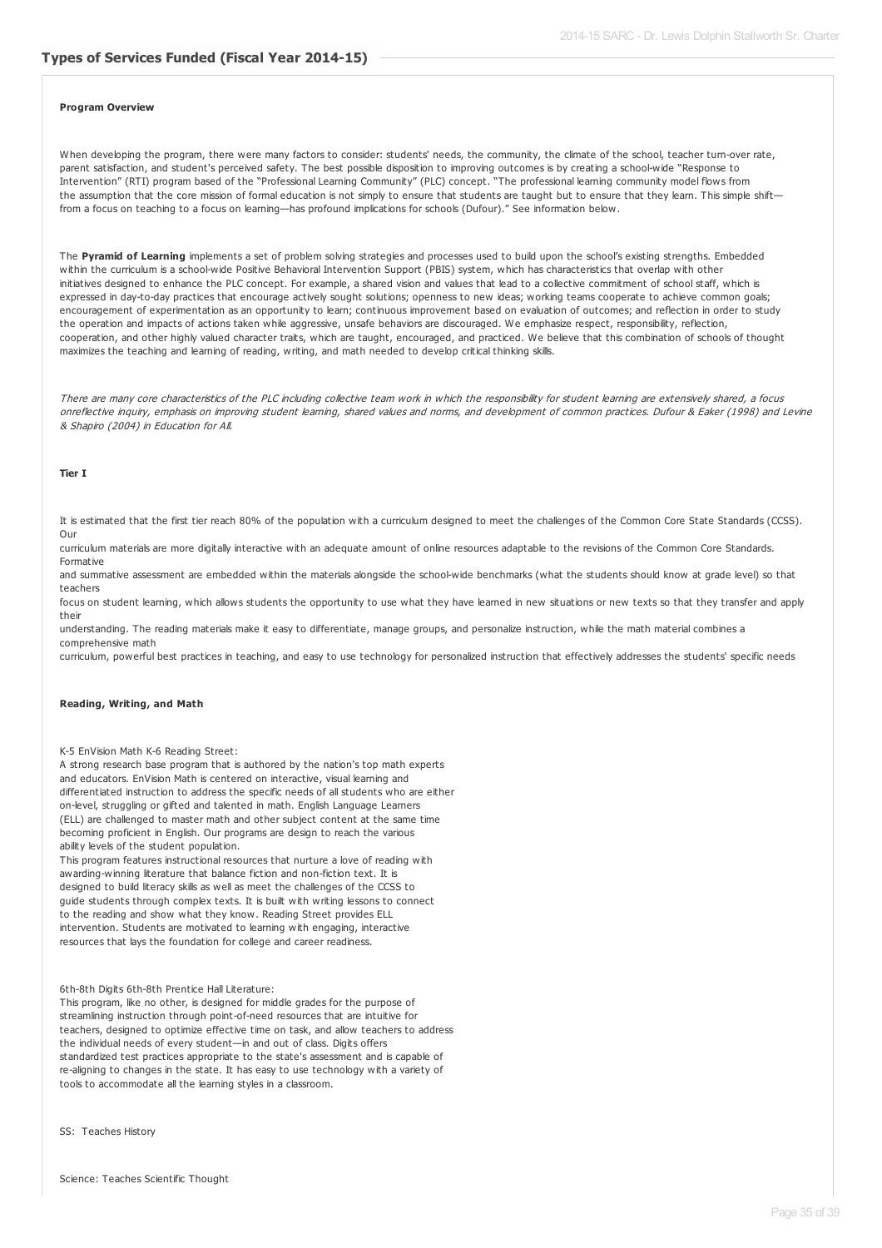#### **Program Overview**

When developing the program, there were many factors to consider: students' needs, the community, the climate of the school, teacher turn-over rate, parent satisfaction, and student's perceived safety. The best possible disposition to improving outcomes is by creating a school-wide "Response to Intervention" (RTI) program based of the "Professional Learning Community" (PLC) concept. "The professional learning community model flows from the assumption that the core mission of formal education is not simply to ensure that students are taught but to ensure that they learn. This simple shiftfrom a focus on teaching to a focus on learning—has profound implications for schools (Dufour)." See information below.

The **Pyramid of Learning** implements a set of problem solving strategies and processes used to build upon the school's existing strengths. Embedded within the curriculum is a school-wide Positive Behavioral Intervention Support (PBIS) system, which has characteristics that overlap with other initiatives designed to enhance the PLC concept. For example, a shared vision and values that lead to a collective commitment of school staff, which is expressed in day-to-day practices that encourage actively sought solutions; openness to new ideas; working teams cooperate to achieve common goals; encouragement of experimentation as an opportunity to learn; continuous improvement based on evaluation of outcomes; and reflection in order to study the operation and impacts of actions taken while aggressive, unsafe behaviors are discouraged. We emphasize respect, responsibility, reflection, cooperation, and other highly valued character traits, which are taught, encouraged, and practiced. We believe that this combination of schools of thought maximizes the teaching and learning of reading, writing, and math needed to develop critical thinking skills.

There are many core characteristics of the PLC including collective team work in which the responsibility for student learning are extensively shared, a focus onreflective inquiry, emphasis on improving student learning, shared values and norms, and development of common practices. Dufour & Eaker (1998) and Levine & Shapiro (2004) in Education for All.

#### **Tier I**

It is estimated that the first tier reach 80% of the population with a curriculum designed to meet the challenges of the Common Core State Standards (CCSS). Our

curriculum materials are more digitally interactive with an adequate amount of online resources adaptable to the revisions of the Common Core Standards. Formative

and summative assessment are embedded within the materials alongside the school-wide benchmarks (what the students should know at grade level) so that teachers

focus on student learning, which allows students the opportunity to use what they have learned in new situations or new texts so that they transfer and apply their

understanding. The reading materials make it easy to differentiate, manage groups, and personalize instruction, while the math material combines a comprehensive math

curriculum, powerful best practices in teaching, and easy to use technology for personalized instruction that effectively addresses the students' specific needs

#### **Reading, Writing, and Math**

#### K-5 EnVision Math K-6 Reading Street:

A strong research base program that is authored by the nation's top math experts and educators. EnVision Math is centered on interactive, visual learning and differentiated instruction to address the specific needs of all students who are either on-level, struggling or gifted and talented in math. English Language Learners (ELL) are challenged to master math and other subject content at the same time becoming proficient in English. Our programs are design to reach the various ability levels of the student population.

This program features instructional resources that nurture a love of reading with awarding-winning literature that balance fiction and non-fiction text. It is designed to build literacy skills as well as meet the challenges of the CCSS to guide students through complex texts. It is built with writing lessons to connect to the reading and show what they know. Reading Street provides ELL intervention. Students are motivated to learning with engaging, interactive resources that lays the foundation for college and career readiness.

#### 6th-8th Digits 6th-8th Prentice Hall Literature:

This program, like no other, is designed for middle grades for the purpose of streamlining instruction through point-of-need resources that are intuitive for teachers, designed to optimize effective time on task, and allow teachers to address the individual needs of every student—in and out of class. Digits offers standardized test practices appropriate to the state's assessment and is capable of re-aligning to changes in the state. It has easy to use technology with a variety of tools to accommodate all the learning styles in a classroom.

SS: Teaches History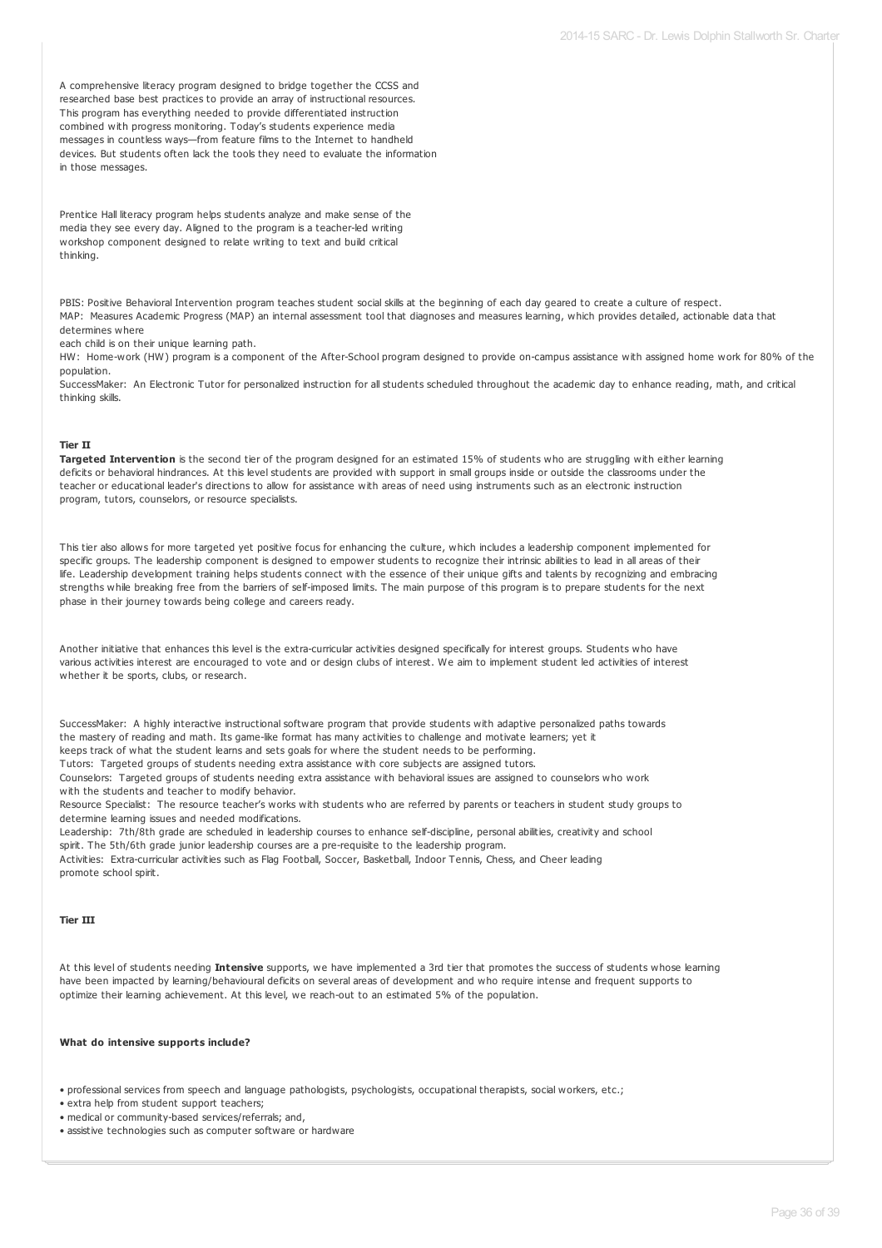A comprehensive literacy program designed to bridge together the CCSS and researched base best practices to provide an array of instructional resources. This program has everything needed to provide differentiated instruction combined with progress monitoring. Today's students experience media messages in countless ways—from feature films to the Internet to handheld devices. But students often lack the tools they need to evaluate the information in those messages.

Prentice Hall literacy program helps students analyze and make sense of the media they see every day. Aligned to the program is a teacher-led writing workshop component designed to relate writing to text and build critical thinking.

PBIS: Positive Behavioral Intervention program teaches student social skills at the beginning of each day geared to create a culture of respect. MAP: Measures Academic Progress (MAP) an internal assessment tool that diagnoses and measures learning, which provides detailed, actionable data that determines where

each child is on their unique learning path.

HW: Home-work (HW) program is a component of the After-School program designed to provide on-campus assistance with assigned home work for 80% of the population.

SuccessMaker: An Electronic Tutor for personalized instruction for all students scheduled throughout the academic day to enhance reading, math, and critical thinking skills.

#### **Tier II**

**Targeted Intervention** is the second tier of the program designed for an estimated 15% of students who are struggling with either learning deficits or behavioral hindrances. At this level students are provided with support in small groups inside or outside the classrooms under the teacher or educational leader's directions to allow for assistance with areas of need using instruments such as an electronic instruction program, tutors, counselors, or resource specialists.

This tier also allows for more targeted yet positive focus for enhancing the culture, which includes a leadership component implemented for specific groups. The leadership component is designed to empower students to recognize their intrinsic abilities to lead in all areas of their life. Leadership development training helps students connect with the essence of their unique gifts and talents by recognizing and embracing strengths while breaking free from the barriers of self-imposed limits. The main purpose of this program is to prepare students for the next phase in their journey towards being college and careers ready.

| Another initiative that enhances this level is the extra-curricular activities designed specifically for interest groups. Students who have |
|---------------------------------------------------------------------------------------------------------------------------------------------|
| various activities interest are encouraged to vote and or design clubs of interest. We aim to implement student led activities of interest  |
| whether it be sports, clubs, or research.                                                                                                   |

SuccessMaker: A highly interactive instructional software program that provide students with adaptive personalized paths towards the mastery of reading and math. Its game-like format has many activities to challenge and motivate learners; yet it keeps track of what the student learns and sets goals for where the student needs to be performing.

Tutors: Targeted groups of students needing extra assistance with core subjects are assigned tutors.

Counselors: Targeted groups of students needing extra assistance with behavioral issues are assigned to counselors who work with the students and teacher to modify behavior.

Resource Specialist: The resource teacher's works with students who are referred by parents or teachers in student study groups to determine learning issues and needed modifications.

Leadership: 7th/8th grade are scheduled in leadership courses to enhance self-discipline, personal abilities, creativity and school spirit. The 5th/6th grade junior leadership courses are a pre-requisite to the leadership program.

Activities: Extra-curricular activities such as Flag Football, Soccer, Basketball, Indoor Tennis, Chess, and Cheer leading promote school spirit.

#### **Tier III**

At this level of students needing **Intensive** supports, we have implemented a 3rd tier that promotes the success of students whose learning have been impacted by learning/behavioural deficits on several areas of development and who require intense and frequent supports to optimize their learning achievement. At this level, we reach-out to an estimated 5% of the population.

#### **What do intensive supports include?**

• professional services from speech and language pathologists, psychologists, occupational therapists, social workers, etc.;

• extra help from student support teachers;

- medical or community-based services/referrals; and,
- assistive technologies such as computer software or hardware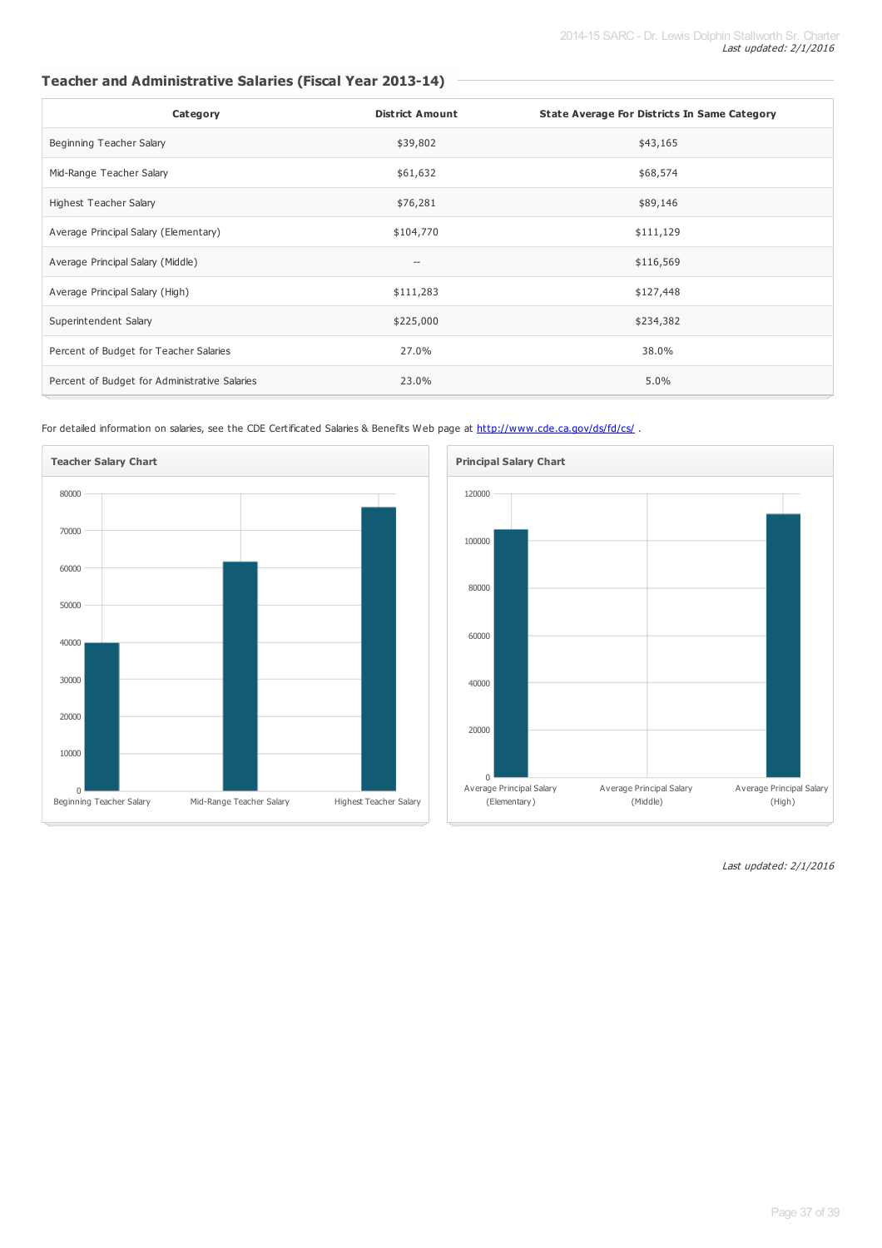## **Teacher and Administrative Salaries (Fiscal Year 2013-14)**

| Category                                      | <b>District Amount</b>   | <b>State Average For Districts In Same Category</b> |
|-----------------------------------------------|--------------------------|-----------------------------------------------------|
| Beginning Teacher Salary                      | \$39,802                 | \$43,165                                            |
| Mid-Range Teacher Salary                      | \$61,632                 | \$68,574                                            |
| Highest Teacher Salary                        | \$76,281                 | \$89,146                                            |
| Average Principal Salary (Elementary)         | \$104,770                | \$111,129                                           |
| Average Principal Salary (Middle)             | $\overline{\phantom{a}}$ | \$116,569                                           |
| Average Principal Salary (High)               | \$111,283                | \$127,448                                           |
| Superintendent Salary                         | \$225,000                | \$234,382                                           |
| Percent of Budget for Teacher Salaries        | 27.0%                    | 38.0%                                               |
| Percent of Budget for Administrative Salaries | 23.0%                    | 5.0%                                                |

For detailed information on salaries, see the CDE Certificated Salaries & Benefits Web page at <http://www.cde.ca.gov/ds/fd/cs/>.